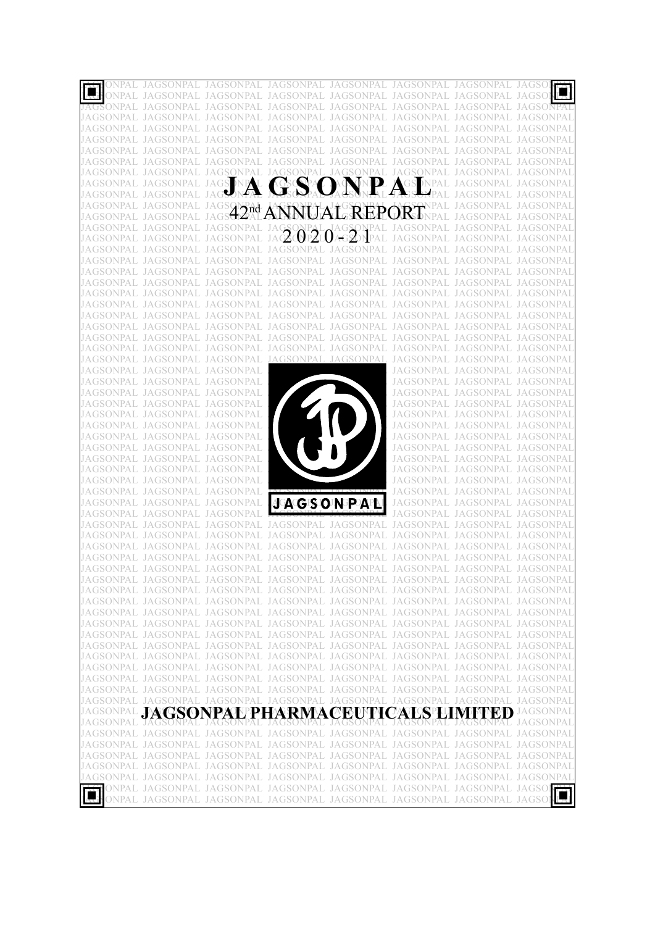|  |                                                                | JAGSONPAL                                         | JAGSONPAL JAGSONPAL JAGSONPAL                                                                                                                                                                                                                   |                  |                                                                |                   |
|--|----------------------------------------------------------------|---------------------------------------------------|-------------------------------------------------------------------------------------------------------------------------------------------------------------------------------------------------------------------------------------------------|------------------|----------------------------------------------------------------|-------------------|
|  |                                                                | JAGSONPAL                                         | JAGSONPAL JAGSONPAL JAGSONPAL                                                                                                                                                                                                                   |                  |                                                                |                   |
|  |                                                                |                                                   | JAGSONPAL JAGSONPAL JAGSONPAL JAGSONPAL JAGSONPAL JAGSONPA                                                                                                                                                                                      |                  |                                                                |                   |
|  | <b>JAGSONPAL</b>                                               |                                                   | JAGSONPAL JAGSONPAL JAGSONPAL                                                                                                                                                                                                                   | <b>JAGSONPAL</b> |                                                                |                   |
|  |                                                                |                                                   | JAGSONPAL JAGSONPAL JAGSONPAL JAGSONPAL JAGSONPAL JAGSONPAL                                                                                                                                                                                     |                  |                                                                |                   |
|  |                                                                |                                                   | IAGSONPAL JAGSONPAL JAGSONPAL JAGSONPAL JAGSONPAL JAGSONPAL JAGSONPAL JAGSONPAI                                                                                                                                                                 |                  |                                                                |                   |
|  | IAGSONPAL JAGSONPAL                                            | JAGSONPAL                                         | JAGSONPAL, JAGSONPAL,                                                                                                                                                                                                                           |                  |                                                                |                   |
|  |                                                                | JAGSONPAL JAGSONPAL JAGSONPAL                     |                                                                                                                                                                                                                                                 | JAGSONPAL        |                                                                |                   |
|  |                                                                |                                                   | JAGSONPAL JAGSONPAL JAGSONPAL JAGSONPAL JAGSONPAL JAGSONPAL JAGSONPAL JAGSONPAI                                                                                                                                                                 |                  |                                                                |                   |
|  | JAGSONPAL JAGSONPAL                                            |                                                   |                                                                                                                                                                                                                                                 |                  |                                                                |                   |
|  | JAGSONPAL JAGSONPAL                                            |                                                   | JAGSTNA GESPAOASNALASMPAL                                                                                                                                                                                                                       |                  |                                                                | ONPAL JAGSONPAI   |
|  |                                                                |                                                   | JAGSONPAL JAGSONPAL JAGSON ALANNUALAT GREPORTNPAL                                                                                                                                                                                               |                  |                                                                | GSONPAL JAGSONPAI |
|  |                                                                |                                                   |                                                                                                                                                                                                                                                 |                  |                                                                |                   |
|  |                                                                |                                                   | JAGSONPAL JAGSONPAL JAGSONPAL JAGSONPAL JAGSONPAL JAGSONPAL JAGSONPAL<br>JAGSONPAL JAGSONPAL JAGSONPAL JA $\bigotimes^{\mathbf{O}}$ p $\bigotimes^{\mathbf{L}}$ l $\bigotimes^{\mathbf{A}}$ g $\bigotimes^{\mathbf{D}}$ pal JAGSONPAL JAGSONPAL |                  | JAGSONPAL JAGSONPAL JAGSONPAI                                  |                   |
|  |                                                                | IAGSONPAL JAGSONPAL JAGSONPAL                     | JAGSONPAL JAGSONPAL                                                                                                                                                                                                                             | JAGSONPAL        |                                                                |                   |
|  |                                                                |                                                   | JAGSONPAL JAGSONPAL JAGSONPAL JAGSONPAL JAGSONPAL JAGSONPAL                                                                                                                                                                                     |                  |                                                                |                   |
|  |                                                                |                                                   | IAGSONPAL JAGSONPAL JAGSONPAL JAGSONPAL JAGSONPAL JAGSONPAL JAGSONPAL JAGSONPAI                                                                                                                                                                 |                  |                                                                |                   |
|  |                                                                | IAGSONPAL JAGSONPAL JAGSONPAL                     | JAGSONPAL JAGSONPAL                                                                                                                                                                                                                             | JAGSONPAL        |                                                                |                   |
|  |                                                                | JAGSONPAL JAGSONPAL JAGSONPAL                     | JAGSONPAL JAGSONPAL                                                                                                                                                                                                                             | JAGSONPAL        |                                                                |                   |
|  |                                                                |                                                   | JAGSONPAL JAGSONPAL JAGSONPAL JAGSONPAL JAGSONPAL JAGSONPAL JAGSONPAL JAGSONPAI                                                                                                                                                                 |                  |                                                                |                   |
|  |                                                                |                                                   | IAGSONPAL JAGSONPAL JAGSONPAL JAGSONPAL JAGSONPAL JAGSONPAL                                                                                                                                                                                     |                  | JAGSONPAL JAGSONPAI                                            |                   |
|  |                                                                |                                                   | JAGSONPAL JAGSONPAL JAGSONPAL JAGSONPAL JAGSONPAL JAGSONPAL                                                                                                                                                                                     |                  |                                                                |                   |
|  |                                                                |                                                   | IAGSONPAL JAGSONPAL JAGSONPAL JAGSONPAL JAGSONPAL JAGSONPAL JAGSONPAL JAGSONPAI                                                                                                                                                                 |                  |                                                                |                   |
|  |                                                                | IAGSONPAL JAGSONPAL JAGSONPAL                     | JAGSONPAL JAGSONPAL                                                                                                                                                                                                                             | JAGSONPAL        | JAGSONPAL                                                      |                   |
|  |                                                                | JAGSONPAL JAGSONPAL JAGSONPAL                     | JAGSONPAL JAGSONPAL                                                                                                                                                                                                                             |                  | JAGSONPAL JAGSONPAL                                            | <b>JAGSONPAI</b>  |
|  | JAGSONPAL JAGSONPAL JAGSONPAL                                  |                                                   |                                                                                                                                                                                                                                                 |                  | JAGSONPAL JAGSONPAL JAGSONPAI                                  |                   |
|  | JAGSONPAL JAGSONPAL JAGSONPAL                                  |                                                   |                                                                                                                                                                                                                                                 |                  | JAGSONPAL JAGSONPAL JAGSONPAI                                  |                   |
|  | JAGSONPAL JAGSONPAL JAGSONPAL                                  |                                                   |                                                                                                                                                                                                                                                 |                  | JAGSONPAL JAGSONPAL JAGSONPAI                                  |                   |
|  | JAGSONPAL JAGSONPAL JAGSONPAL                                  |                                                   |                                                                                                                                                                                                                                                 |                  | JAGSONPAL JAGSONPAL JAGSONPAI                                  |                   |
|  | JAGSONPAL JAGSONPAL JAGSONPAL                                  |                                                   |                                                                                                                                                                                                                                                 |                  | JAGSONPAL JAGSONPAL JAGSONPAI                                  |                   |
|  | JAGSONPAL JAGSONPAL JAGSONPAL                                  |                                                   |                                                                                                                                                                                                                                                 |                  | JAGSONPAL JAGSONPAL JAGSONPAI                                  |                   |
|  | JAGSONPAL JAGSONPAL JAGSONPAL<br>JAGSONPAL JAGSONPAL JAGSONPAL |                                                   |                                                                                                                                                                                                                                                 |                  | JAGSONPAL JAGSONPAL JAGSONPAI<br>JAGSONPAL JAGSONPAL JAGSONPAI |                   |
|  | JAGSONPAL JAGSONPAL JAGSONPAL                                  |                                                   |                                                                                                                                                                                                                                                 |                  | JAGSONPAL JAGSONPAL JAGSONPAI                                  |                   |
|  | JAGSONPAL JAGSONPAL JAGSONPAL                                  |                                                   |                                                                                                                                                                                                                                                 |                  | JAGSONPAL JAGSONPAL JAGSONPAI                                  |                   |
|  | JAGSONPAL JAGSONPAL JAGSONPAL                                  |                                                   |                                                                                                                                                                                                                                                 |                  | JAGSONPAL JAGSONPAL JAGSONPAI                                  |                   |
|  | JAGSONPAL JAGSONPAL                                            |                                                   |                                                                                                                                                                                                                                                 |                  | JAGSONPAL JAGSONPAL JAGSONPAI                                  |                   |
|  | JAGSONPAL JAGSONPAL JAGSONPAL                                  |                                                   | <b>JGAGES OF NEP APLI</b>                                                                                                                                                                                                                       |                  | JAGSONPAL JAGSONPAL JAGSONPAI                                  |                   |
|  | JAGSONPAL JAGSONPAL                                            |                                                   |                                                                                                                                                                                                                                                 |                  | JAGSONPAL. JAGSONPAI                                           |                   |
|  |                                                                | JAGSONPAL JAGSONPAL JAGSONPAL JAGSONPAL JAGSONPAL |                                                                                                                                                                                                                                                 | JAGSONPAL        |                                                                |                   |
|  |                                                                |                                                   | IAGSONPAL JAGSONPAL JAGSONPAL JAGSONPAL JAGSONPAL JAGSONPAL JAGSONPAL JAGSONPAI                                                                                                                                                                 |                  |                                                                |                   |
|  |                                                                | IAGSONPAL JAGSONPAL                               |                                                                                                                                                                                                                                                 |                  |                                                                |                   |
|  |                                                                | JAGSONPAL JAGSONPAL                               | JAGSONPAL JAGSONPAL JAGSONPAL                                                                                                                                                                                                                   |                  | JAGSONPAL                                                      |                   |
|  |                                                                |                                                   | JAGSONPAL JAGSONPAL JAGSONPAL JAGSONPAL JAGSONPAL                                                                                                                                                                                               |                  | JAGSONPAL                                                      |                   |
|  |                                                                |                                                   | JAGSONPAL JAGSONPAL JAGSONPAL JAGSONPAL JAGSONPAL JAGSONPAL JAGSONPAL JAGSONPAL                                                                                                                                                                 |                  |                                                                |                   |
|  |                                                                |                                                   | JAGSONPAL JAGSONPAL JAGSONPAL JAGSONPAL JAGSONPAL JAGSONPAL JAGSONPAL JAGSONPAL                                                                                                                                                                 |                  |                                                                |                   |
|  |                                                                |                                                   | JAGSONPAL JAGSONPAL JAGSONPAL JAGSONPAL JAGSONPAL JAGSONPAL JAGSONPAL JAGSONPAL                                                                                                                                                                 |                  |                                                                |                   |
|  |                                                                |                                                   | JAGSONPAL JAGSONPAL JAGSONPAL JAGSONPAL JAGSONPAL JAGSONPAL JAGSONPAL JAGSONPAL<br>JAGSONPAL JAGSONPAL JAGSONPAL JAGSONPAL JAGSONPAL JAGSONPAL JAGSONPAL JAGSONPAL                                                                              |                  |                                                                |                   |
|  |                                                                |                                                   | JAGSONPAL JAGSONPAL JAGSONPAL JAGSONPAL JAGSONPAL JAGSONPAL JAGSONPAL JAGSONPAL                                                                                                                                                                 |                  |                                                                |                   |
|  |                                                                |                                                   | JAGSONPAL JAGSONPAL JAGSONPAL JAGSONPAL JAGSONPAL JAGSONPAL JAGSONPAL JAGSONPAL                                                                                                                                                                 |                  |                                                                |                   |
|  |                                                                |                                                   | JAGSONPAL JAGSONPAL JAGSONPAL JAGSONPAL JAGSONPAL JAGSONPAL JAGSONPAL JAGSONPAL                                                                                                                                                                 |                  |                                                                |                   |
|  |                                                                |                                                   | JAGSONPAL JAGSONPAL JAGSONPAL JAGSONPAL JAGSONPAL JAGSONPAL JAGSONPAL JAGSONPAL                                                                                                                                                                 |                  |                                                                |                   |
|  |                                                                |                                                   | JAGSONPAL JAGSONPAL JAGSONPAL JAGSONPAL JAGSONPAL JAGSONPAL JAGSONPAL JAGSONPAL                                                                                                                                                                 |                  |                                                                |                   |
|  |                                                                |                                                   | JAGSONPAL JAGSONPAL JAGSONPAL JAGSONPAL JAGSONPAL JAGSONPAL JAGSONPAL JAGSONPAL                                                                                                                                                                 |                  |                                                                |                   |
|  |                                                                |                                                   | JAGSONPAL JAGSONPAL JAGSONPAL JAGSONPAL JAGSONPAL JAGSONPAL JAGSONPAL JAGSONPAL                                                                                                                                                                 |                  |                                                                |                   |
|  |                                                                |                                                   | <b>JAGSONPAL JAGSONPALPHARMACEUTICALSPLIMITED</b>                                                                                                                                                                                               |                  |                                                                | JAGSONPAL         |
|  |                                                                |                                                   | JAGSONPAL JAGSONPAL JAGSONPAL JAGSONPAL JAGSONPAL JAGSONPAL JAGSONPAL JAGSONPAL                                                                                                                                                                 |                  |                                                                |                   |
|  |                                                                |                                                   | JAGSONPAL JAGSONPAL JAGSONPAL JAGSONPAL JAGSONPAL JAGSONPAL JAGSONPAL JAGSONPAL                                                                                                                                                                 |                  |                                                                |                   |
|  |                                                                |                                                   | JAGSONPAL JAGSONPAL JAGSONPAL JAGSONPAL JAGSONPAL JAGSONPAL JAGSONPAL JAGSONPAL                                                                                                                                                                 |                  |                                                                |                   |
|  |                                                                |                                                   | JAGSONPAL JAGSONPAL JAGSONPAL JAGSONPAL JAGSONPAL JAGSONPAL JAGSONPAL JAGSONPAL                                                                                                                                                                 |                  |                                                                |                   |
|  |                                                                |                                                   | JAGSONPAL JAGSONPAL JAGSONPAL JAGSONPAL JAGSONPAL JAGSONPAL JAGSONPAL JAGSONPAL                                                                                                                                                                 |                  |                                                                |                   |
|  |                                                                |                                                   | AGSONPAL JAGSONPAL JAGSONPAL JAGSONPAL JAGSONPAL JAGSONPAL JAGSONPAL JAGSONPAL                                                                                                                                                                  |                  |                                                                |                   |
|  |                                                                |                                                   | ONPAL JAGSONPAL JAGSONPAL JAGSONPAL JAGSONPAL JAGSONPAL JAGSONPAL JAGSONPAL JAGSONPAL JAGSONPAL JAGSONPAL JAGSONPAL JAGSONPAL JAGSONPAL JAGSONPAL JAGSONPAL JAGSONPAL JAGSONPAL JAGSONPAL JAGSONPAL JAGSONPAL JAGSONPAL JAGSON                  |                  |                                                                |                   |
|  |                                                                |                                                   |                                                                                                                                                                                                                                                 |                  |                                                                |                   |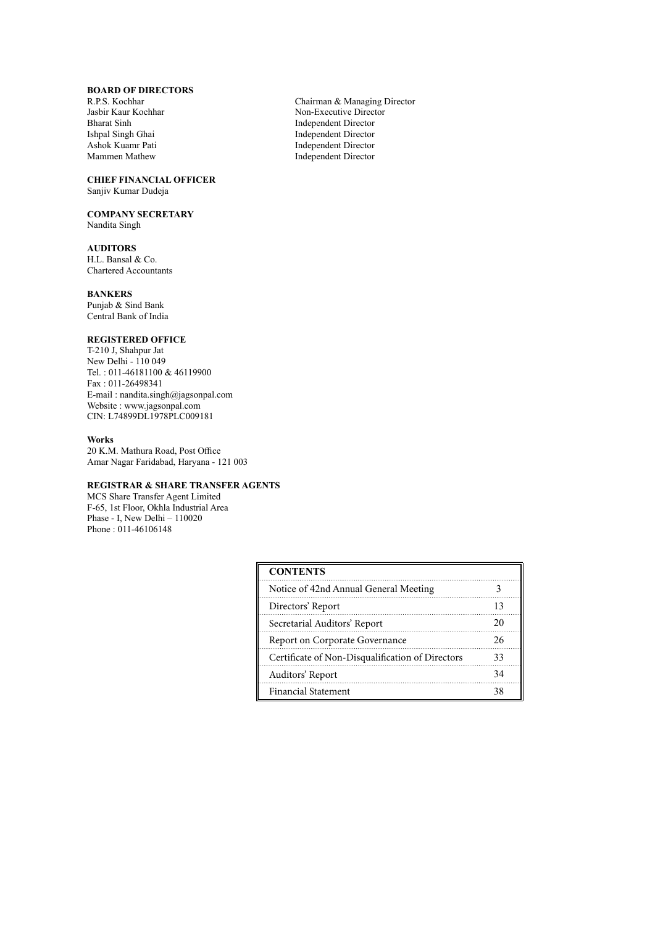# **BOARD OF DIRECTORS**

Bharat Sinh Independent Director Ishpal Singh Ghai National Singh Sharat Sinh Independent Director Ishpal Singh Ghai Ishpal Singh Ghai Independent Director Ashok Kuamr Pati **Independent Director**<br>Mammen Mathew **Independent Director** 

#### **CHIEF FINANCIAL OFFICER** Sanjiv Kumar Dudeja

**COMPANY SECRETARY**

Nandita Singh

# **AUDITORS**

H.L. Bansal & Co. Chartered Accountants

# **BANKERS**

Punjab & Sind Bank Central Bank of India

# **REGISTERED OFFICE**

T-210 J, Shahpur Jat New Delhi - 110 049 Tel. : 011-46181100 & 46119900 Fax : 011-26498341 E-mail : nandita.singh@jagsonpal.com Website : www.jagsonpal.com CIN: L74899DL1978PLC009181

# **Works**

20 K.M. Mathura Road, Post Office Amar Nagar Faridabad, Haryana - 121 003

# **REGISTRAR & SHARE TRANSFER AGENTS**

MCS Share Transfer Agent Limited F-65, 1st Floor, Okhla Industrial Area Phase - I, New Delhi – 110020 Phone : 011-46106148

| <b>CONTENTS</b>                                  |    |
|--------------------------------------------------|----|
| Notice of 42nd Annual General Meeting            |    |
| Directors' Report                                | 13 |
| Secretarial Auditors' Report                     | 20 |
| Report on Corporate Governance                   | 26 |
| Certificate of Non-Disqualification of Directors | 33 |
| Auditors' Report                                 | 34 |
| <b>Financial Statement</b>                       | 38 |

R.P.S. Kochhar Chairman & Managing Director<br>
Jasbir Kaur Kochhar Chairman & Mon-Executive Director Non-Executive Director Independent Director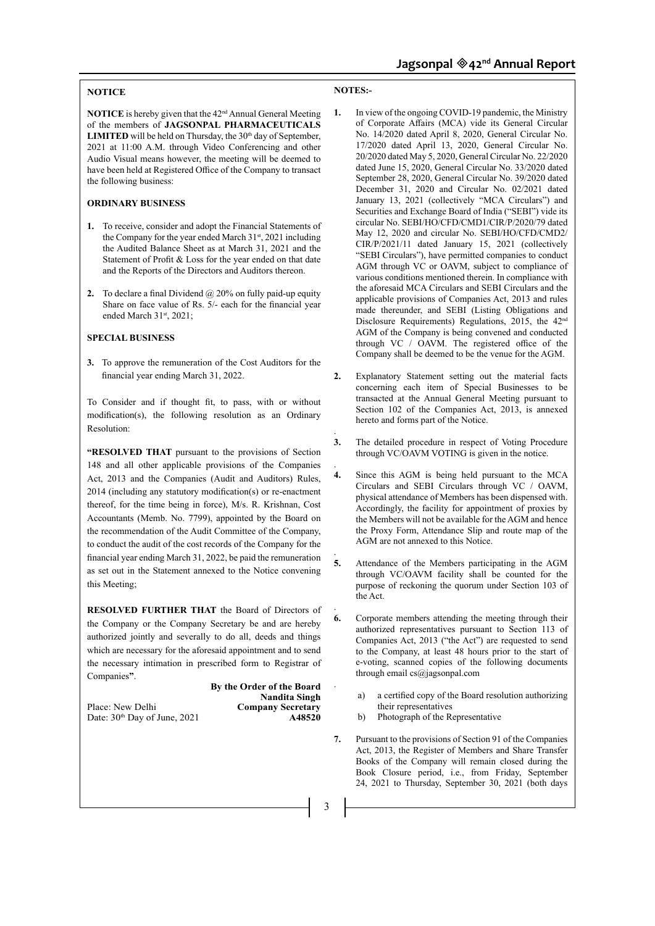# **NOTICE**

**NOTICE** is hereby given that the 42nd Annual General Meeting of the members of **JAGSONPAL PHARMACEUTICALS LIMITED** will be held on Thursday, the  $30<sup>th</sup>$  day of September, 2021 at 11:00 A.M. through Video Conferencing and other Audio Visual means however, the meeting will be deemed to have been held at Registered Office of the Company to transact the following business:

# **ORDINARY BUSINESS**

- **1.** To receive, consider and adopt the Financial Statements of the Company for the year ended March 31<sup>st</sup>, 2021 including the Audited Balance Sheet as at March 31, 2021 and the Statement of Profit & Loss for the year ended on that date and the Reports of the Directors and Auditors thereon.
- **2.** To declare a final Dividend @ 20% on fully paid-up equity Share on face value of Rs. 5/- each for the financial year ended March 31st, 2021;

#### **SPECIAL BUSINESS**

**3.** To approve the remuneration of the Cost Auditors for the financial year ending March 31, 2022.

To Consider and if thought fit, to pass, with or without modification(s), the following resolution as an Ordinary Resolution:

**"RESOLVED THAT** pursuant to the provisions of Section 148 and all other applicable provisions of the Companies Act, 2013 and the Companies (Audit and Auditors) Rules, 2014 (including any statutory modification(s) or re-enactment thereof, for the time being in force), M/s. R. Krishnan, Cost Accountants (Memb. No. 7799), appointed by the Board on the recommendation of the Audit Committee of the Company, to conduct the audit of the cost records of the Company for the financial year ending March 31, 2022, be paid the remuneration as set out in the Statement annexed to the Notice convening this Meeting;

**RESOLVED FURTHER THAT** the Board of Directors of the Company or the Company Secretary be and are hereby authorized jointly and severally to do all, deeds and things which are necessary for the aforesaid appointment and to send the necessary intimation in prescribed form to Registrar of Companies**"**.

**By the Order of the Board Nandita Singh** Place: New Delhi **Company Secretary**<br>Date:  $30^{\text{th}}$  Day of June. 2021 **Company Secretary** Date:  $30<sup>th</sup>$  Day of June, 2021

#### **NOTES:-**

- **1.** In view of the ongoing COVID-19 pandemic, the Ministry of Corporate Affairs (MCA) vide its General Circular No. 14/2020 dated April 8, 2020, General Circular No. 17/2020 dated April 13, 2020, General Circular No. 20/2020 dated May 5, 2020, General Circular No. 22/2020 dated June 15, 2020, General Circular No. 33/2020 dated September 28, 2020, General Circular No. 39/2020 dated December 31, 2020 and Circular No. 02/2021 dated January 13, 2021 (collectively "MCA Circulars") and Securities and Exchange Board of India ("SEBI") vide its circular No. SEBI/HO/CFD/CMD1/CIR/P/2020/79 dated May 12, 2020 and circular No. SEBI/HO/CFD/CMD2/ CIR/P/2021/11 dated January 15, 2021 (collectively "SEBI Circulars"), have permitted companies to conduct AGM through VC or OAVM, subject to compliance of various conditions mentioned therein. In compliance with the aforesaid MCA Circulars and SEBI Circulars and the applicable provisions of Companies Act, 2013 and rules made thereunder, and SEBI (Listing Obligations and Disclosure Requirements) Regulations, 2015, the 42<sup>nd</sup> AGM of the Company is being convened and conducted through VC / OAVM. The registered office of the Company shall be deemed to be the venue for the AGM.
- **2.** Explanatory Statement setting out the material facts concerning each item of Special Businesses to be transacted at the Annual General Meeting pursuant to Section 102 of the Companies Act, 2013, is annexed hereto and forms part of the Notice.
- . **3.** The detailed procedure in respect of Voting Procedure through VC/OAVM VOTING is given in the notice.
- **4.** Since this AGM is being held pursuant to the MCA Circulars and SEBI Circulars through VC / OAVM, physical attendance of Members has been dispensed with. Accordingly, the facility for appointment of proxies by the Members will not be available for the AGM and hence the Proxy Form, Attendance Slip and route map of the AGM are not annexed to this Notice.
- . **5.** Attendance of the Members participating in the AGM through VC/OAVM facility shall be counted for the purpose of reckoning the quorum under Section 103 of the Act.
- **6.** Corporate members attending the meeting through their authorized representatives pursuant to Section 113 of Companies Act, 2013 ("the Act") are requested to send to the Company, at least 48 hours prior to the start of e-voting, scanned copies of the following documents through email cs@jagsonpal.com
	- a) a certified copy of the Board resolution authorizing their representatives
	- b) Photograph of the Representative
- **7.** Pursuant to the provisions of Section 91 of the Companies Act, 2013, the Register of Members and Share Transfer Books of the Company will remain closed during the Book Closure period, i.e., from Friday, September 24, 2021 to Thursday, September 30, 2021 (both days

3

.

.

.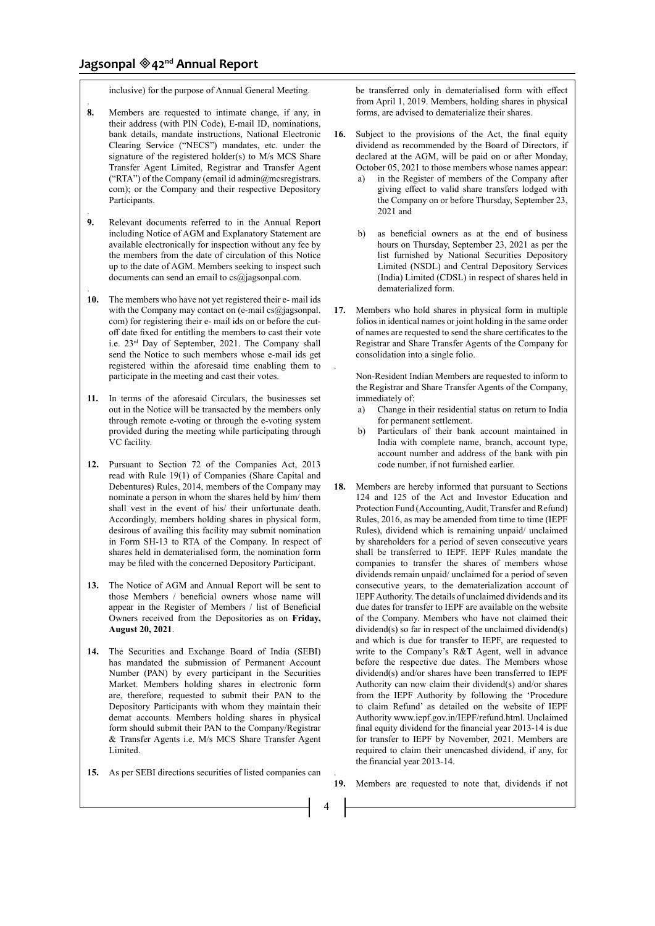.

.

.

inclusive) for the purpose of Annual General Meeting.

- **8.** Members are requested to intimate change, if any, in their address (with PIN Code), E-mail ID, nominations, bank details, mandate instructions, National Electronic Clearing Service ("NECS") mandates, etc. under the signature of the registered holder(s) to M/s MCS Share Transfer Agent Limited, Registrar and Transfer Agent ("RTA") of the Company (email id admin@mcsregistrars. com); or the Company and their respective Depository Participants.
- **9.** Relevant documents referred to in the Annual Report including Notice of AGM and Explanatory Statement are available electronically for inspection without any fee by the members from the date of circulation of this Notice up to the date of AGM. Members seeking to inspect such documents can send an email to cs@jagsonpal.com.
- **10.** The members who have not yet registered their e- mail ids with the Company may contact on (e-mail  $cs@$  jagsonpal. com) for registering their e- mail ids on or before the cutoff date fixed for entitling the members to cast their vote i.e. 23rd Day of September, 2021. The Company shall send the Notice to such members whose e-mail ids get registered within the aforesaid time enabling them to participate in the meeting and cast their votes.
- **11.** In terms of the aforesaid Circulars, the businesses set out in the Notice will be transacted by the members only through remote e-voting or through the e-voting system provided during the meeting while participating through VC facility.
- **12.** Pursuant to Section 72 of the Companies Act, 2013 read with Rule 19(1) of Companies (Share Capital and Debentures) Rules, 2014, members of the Company may nominate a person in whom the shares held by him/ them shall vest in the event of his/ their unfortunate death. Accordingly, members holding shares in physical form, desirous of availing this facility may submit nomination in Form SH-13 to RTA of the Company. In respect of shares held in dematerialised form, the nomination form may be filed with the concerned Depository Participant.
- **13.** The Notice of AGM and Annual Report will be sent to those Members / beneficial owners whose name will appear in the Register of Members / list of Beneficial Owners received from the Depositories as on **Friday, August 20, 2021**.
- **14.** The Securities and Exchange Board of India (SEBI) has mandated the submission of Permanent Account Number (PAN) by every participant in the Securities Market. Members holding shares in electronic form are, therefore, requested to submit their PAN to the Depository Participants with whom they maintain their demat accounts. Members holding shares in physical form should submit their PAN to the Company/Registrar & Transfer Agents i.e. M/s MCS Share Transfer Agent Limited.
- **15.** As per SEBI directions securities of listed companies can

be transferred only in dematerialised form with effect from April 1, 2019. Members, holding shares in physical forms, are advised to dematerialize their shares.

- **16.** Subject to the provisions of the Act, the final equity dividend as recommended by the Board of Directors, if declared at the AGM, will be paid on or after Monday, October 05, 2021 to those members whose names appear:
	- in the Register of members of the Company after giving effect to valid share transfers lodged with the Company on or before Thursday, September 23, 2021 and
	- b) as beneficial owners as at the end of business hours on Thursday, September 23, 2021 as per the list furnished by National Securities Depository Limited (NSDL) and Central Depository Services (India) Limited (CDSL) in respect of shares held in dematerialized form.
- **17.** Members who hold shares in physical form in multiple folios in identical names or joint holding in the same order of names are requested to send the share certificates to the Registrar and Share Transfer Agents of the Company for consolidation into a single folio.

Non-Resident Indian Members are requested to inform to the Registrar and Share Transfer Agents of the Company, immediately of:

- a) Change in their residential status on return to India for permanent settlement.
- b) Particulars of their bank account maintained in India with complete name, branch, account type, account number and address of the bank with pin code number, if not furnished earlier.
- **18.** Members are hereby informed that pursuant to Sections 124 and 125 of the Act and Investor Education and Protection Fund (Accounting, Audit, Transfer and Refund) Rules, 2016, as may be amended from time to time (IEPF Rules), dividend which is remaining unpaid/ unclaimed by shareholders for a period of seven consecutive years shall be transferred to IEPF. IEPF Rules mandate the companies to transfer the shares of members whose dividends remain unpaid/ unclaimed for a period of seven consecutive years, to the dematerialization account of IEPF Authority. The details of unclaimed dividends and its due dates for transfer to IEPF are available on the website of the Company. Members who have not claimed their dividend(s) so far in respect of the unclaimed dividend(s) and which is due for transfer to IEPF, are requested to write to the Company's R&T Agent, well in advance before the respective due dates. The Members whose dividend(s) and/or shares have been transferred to IEPF Authority can now claim their dividend(s) and/or shares from the IEPF Authority by following the 'Procedure to claim Refund' as detailed on the website of IEPF Authority www.iepf.gov.in/IEPF/refund.html. Unclaimed final equity dividend for the financial year 2013-14 is due for transfer to IEPF by November, 2021. Members are required to claim their unencashed dividend, if any, for the financial year 2013-14.
- **19.** Members are requested to note that, dividends if not

4

.

.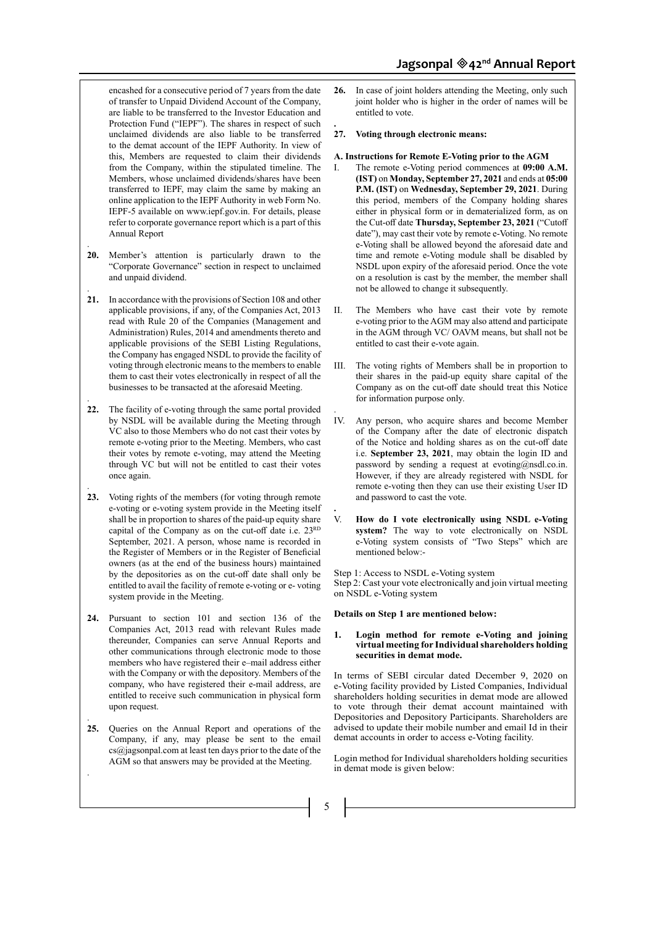encashed for a consecutive period of 7 years from the date of transfer to Unpaid Dividend Account of the Company, are liable to be transferred to the Investor Education and Protection Fund ("IEPF"). The shares in respect of such unclaimed dividends are also liable to be transferred to the demat account of the IEPF Authority. In view of this, Members are requested to claim their dividends from the Company, within the stipulated timeline. The Members, whose unclaimed dividends/shares have been transferred to IEPF, may claim the same by making an online application to the IEPF Authority in web Form No. IEPF-5 available on www.iepf.gov.in. For details, please refer to corporate governance report which is a part of this Annual Report

**20.** Member's attention is particularly drawn to the "Corporate Governance" section in respect to unclaimed and unpaid dividend.

.

.

.

.

.

- **21.** In accordance with the provisions of Section 108 and other applicable provisions, if any, of the Companies Act, 2013 read with Rule 20 of the Companies (Management and Administration) Rules, 2014 and amendments thereto and applicable provisions of the SEBI Listing Regulations, the Company has engaged NSDL to provide the facility of voting through electronic means to the members to enable them to cast their votes electronically in respect of all the businesses to be transacted at the aforesaid Meeting.
- . **22.** The facility of e-voting through the same portal provided by NSDL will be available during the Meeting through VC also to those Members who do not cast their votes by remote e-voting prior to the Meeting. Members, who cast their votes by remote e-voting, may attend the Meeting through VC but will not be entitled to cast their votes once again.
- **23.** Voting rights of the members (for voting through remote e-voting or e-voting system provide in the Meeting itself shall be in proportion to shares of the paid-up equity share capital of the Company as on the cut-off date i.e. 23RD September, 2021. A person, whose name is recorded in the Register of Members or in the Register of Beneficial owners (as at the end of the business hours) maintained by the depositories as on the cut-off date shall only be entitled to avail the facility of remote e-voting or e- voting system provide in the Meeting.
- **24.** Pursuant to section 101 and section 136 of the Companies Act, 2013 read with relevant Rules made thereunder, Companies can serve Annual Reports and other communications through electronic mode to those members who have registered their e–mail address either with the Company or with the depository. Members of the company, who have registered their e-mail address, are entitled to receive such communication in physical form upon request.
- **25.** Queries on the Annual Report and operations of the Company, if any, may please be sent to the email cs@jagsonpal.com at least ten days prior to the date of the AGM so that answers may be provided at the Meeting.
- **26.** In case of joint holders attending the Meeting, only such joint holder who is higher in the order of names will be entitled to vote.
- **27. Voting through electronic means:**

**.**

- **A. Instructions for Remote E-Voting prior to the AGM**
- I. The remote e-Voting period commences at **09:00 A.M. (IST)** on **Monday, September 27, 2021** and ends at **05:00 P.M. (IST)** on **Wednesday, September 29, 2021**. During this period, members of the Company holding shares either in physical form or in dematerialized form, as on the Cut-off date **Thursday, September 23, 2021** ("Cutoff date"), may cast their vote by remote e-Voting. No remote e-Voting shall be allowed beyond the aforesaid date and time and remote e-Voting module shall be disabled by NSDL upon expiry of the aforesaid period. Once the vote on a resolution is cast by the member, the member shall not be allowed to change it subsequently.
- II. The Members who have cast their vote by remote e-voting prior to the AGM may also attend and participate in the AGM through VC/ OAVM means, but shall not be entitled to cast their e-vote again.
- III. The voting rights of Members shall be in proportion to their shares in the paid-up equity share capital of the Company as on the cut-off date should treat this Notice for information purpose only.
- . IV. Any person, who acquire shares and become Member of the Company after the date of electronic dispatch of the Notice and holding shares as on the cut-off date i.e. **September 23, 2021**, may obtain the login ID and password by sending a request at evoting@nsdl.co.in. However, if they are already registered with NSDL for remote e-voting then they can use their existing User ID and password to cast the vote.
- **.** V. **How do I vote electronically using NSDL e-Voting system?** The way to vote electronically on NSDL e-Voting system consists of "Two Steps" which are mentioned below:-

Step 1: Access to NSDL e-Voting system Step 2: Cast your vote electronically and join virtual meeting on NSDL e-Voting system

#### **Details on Step 1 are mentioned below:**

**1. Login method for remote e-Voting and joining virtual meeting for Individual shareholders holding securities in demat mode.** 

In terms of SEBI circular dated December 9, 2020 on e-Voting facility provided by Listed Companies, Individual shareholders holding securities in demat mode are allowed to vote through their demat account maintained with Depositories and Depository Participants. Shareholders are advised to update their mobile number and email Id in their demat accounts in order to access e-Voting facility.

Login method for Individual shareholders holding securities in demat mode is given below: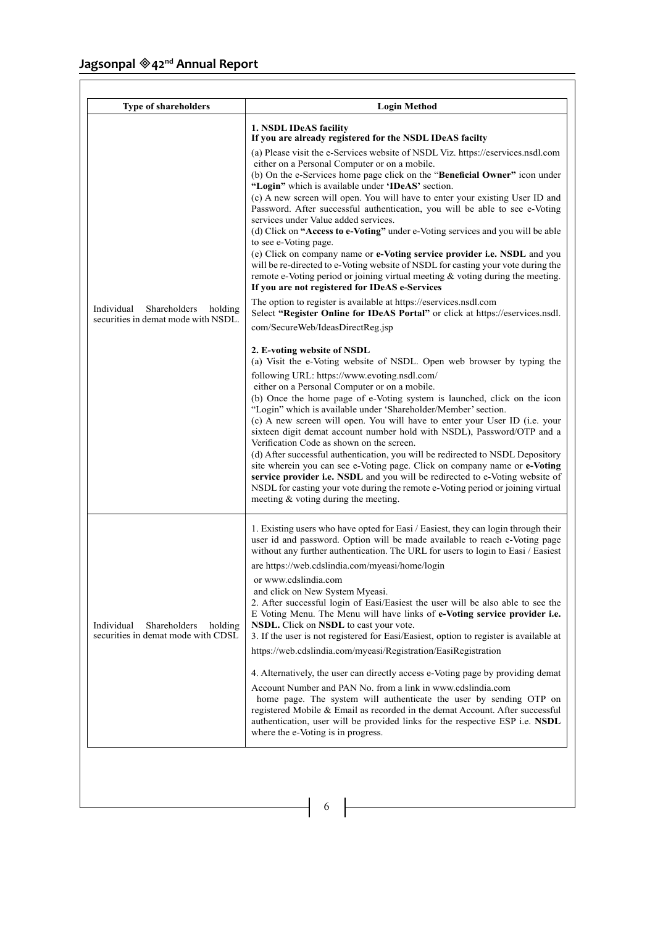| <b>Type of shareholders</b>                                                  | <b>Login Method</b>                                                                                                                                                                                                                                                                                                                                                                                                                                                                                                                                                                                                                                                                                                                                                                                                                                                                                                                                                                                                                                                                                                                                                                                                                                                                                                                                                                                                                                                                                                                                                                                                                                                                                                                                                                                                                                                                                                                                                                                                                                                                                                 |
|------------------------------------------------------------------------------|---------------------------------------------------------------------------------------------------------------------------------------------------------------------------------------------------------------------------------------------------------------------------------------------------------------------------------------------------------------------------------------------------------------------------------------------------------------------------------------------------------------------------------------------------------------------------------------------------------------------------------------------------------------------------------------------------------------------------------------------------------------------------------------------------------------------------------------------------------------------------------------------------------------------------------------------------------------------------------------------------------------------------------------------------------------------------------------------------------------------------------------------------------------------------------------------------------------------------------------------------------------------------------------------------------------------------------------------------------------------------------------------------------------------------------------------------------------------------------------------------------------------------------------------------------------------------------------------------------------------------------------------------------------------------------------------------------------------------------------------------------------------------------------------------------------------------------------------------------------------------------------------------------------------------------------------------------------------------------------------------------------------------------------------------------------------------------------------------------------------|
| Individual<br>Shareholders<br>holding<br>securities in demat mode with NSDL. | 1. NSDL IDeAS facility<br>If you are already registered for the NSDL IDeAS facilty<br>(a) Please visit the e-Services website of NSDL Viz. https://eservices.nsdl.com<br>either on a Personal Computer or on a mobile.<br>(b) On the e-Services home page click on the "Beneficial Owner" icon under<br>"Login" which is available under 'IDeAS' section.<br>(c) A new screen will open. You will have to enter your existing User ID and<br>Password. After successful authentication, you will be able to see e-Voting<br>services under Value added services.<br>(d) Click on "Access to e-Voting" under e-Voting services and you will be able<br>to see e-Voting page.<br>(e) Click on company name or e-Voting service provider i.e. NSDL and you<br>will be re-directed to e-Voting website of NSDL for casting your vote during the<br>remote e-Voting period or joining virtual meeting $\&$ voting during the meeting.<br>If you are not registered for IDeAS e-Services<br>The option to register is available at https://eservices.nsdl.com<br>Select "Register Online for IDeAS Portal" or click at https://eservices.nsdl.<br>com/SecureWeb/IdeasDirectReg.jsp<br>2. E-voting website of NSDL<br>(a) Visit the e-Voting website of NSDL. Open web browser by typing the<br>following URL: https://www.evoting.nsdl.com/<br>either on a Personal Computer or on a mobile.<br>(b) Once the home page of e-Voting system is launched, click on the icon<br>"Login" which is available under 'Shareholder/Member' section.<br>(c) A new screen will open. You will have to enter your User ID (i.e. your<br>sixteen digit demat account number hold with NSDL), Password/OTP and a<br>Verification Code as shown on the screen.<br>(d) After successful authentication, you will be redirected to NSDL Depository<br>site wherein you can see e-Voting page. Click on company name or e-Voting<br>service provider i.e. NSDL and you will be redirected to e-Voting website of<br>NSDL for casting your vote during the remote e-Voting period or joining virtual<br>meeting & voting during the meeting. |
| Individual<br>Shareholders<br>holding<br>securities in demat mode with CDSL  | 1. Existing users who have opted for Easi / Easiest, they can login through their<br>user id and password. Option will be made available to reach e-Voting page<br>without any further authentication. The URL for users to login to Easi / Easiest<br>are https://web.cdslindia.com/myeasi/home/login<br>or www.cdslindia.com<br>and click on New System Myeasi.<br>2. After successful login of Easi/Easiest the user will be also able to see the<br>E Voting Menu. The Menu will have links of e-Voting service provider i.e.<br>NSDL. Click on NSDL to cast your vote.<br>3. If the user is not registered for Easi/Easiest, option to register is available at<br>https://web.cdslindia.com/myeasi/Registration/EasiRegistration<br>4. Alternatively, the user can directly access e-Voting page by providing demat<br>Account Number and PAN No. from a link in www.cdslindia.com<br>home page. The system will authenticate the user by sending OTP on<br>registered Mobile & Email as recorded in the demat Account. After successful<br>authentication, user will be provided links for the respective ESP i.e. NSDL<br>where the e-Voting is in progress.                                                                                                                                                                                                                                                                                                                                                                                                                                                                                                                                                                                                                                                                                                                                                                                                                                                                                                                                                |

 $\begin{array}{c|c|c|c|c|c} \hline \hspace{1.5cm} & \hspace{1.5cm} 6 & \hspace{1.5cm} \end{array}$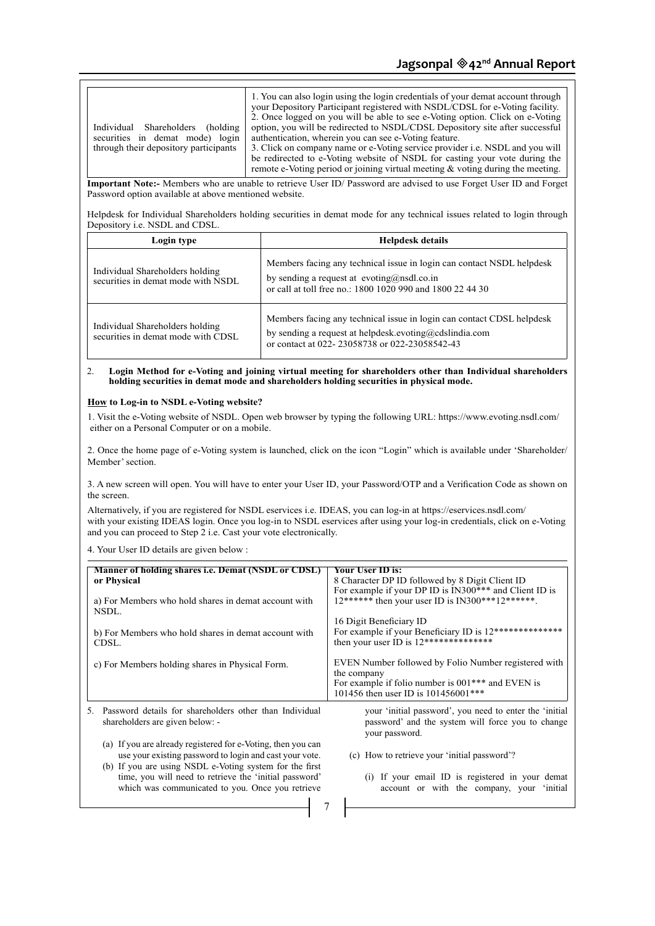| 1. You can also login using the login credentials of your demat account through<br>your Depository Participant registered with NSDL/CDSL for e-Voting facility.<br>2. Once logged on you will be able to see e-Voting option. Click on e-Voting<br>option, you will be redirected to NSDL/CDSL Depository site after successful<br>Individual Shareholders (holding<br>authentication, wherein you can see e-Voting feature.<br>securities in demat mode) login<br>3. Click on company name or e-Voting service provider <i>i.e.</i> NSDL and you will<br>through their depository participants<br>be redirected to e-Voting website of NSDL for casting your vote during the<br>remote e-Voting period or joining virtual meeting $\&$ voting during the meeting. |                                                                                                                                                                                             |  |  |  |  |
|--------------------------------------------------------------------------------------------------------------------------------------------------------------------------------------------------------------------------------------------------------------------------------------------------------------------------------------------------------------------------------------------------------------------------------------------------------------------------------------------------------------------------------------------------------------------------------------------------------------------------------------------------------------------------------------------------------------------------------------------------------------------|---------------------------------------------------------------------------------------------------------------------------------------------------------------------------------------------|--|--|--|--|
| Important Note:- Members who are unable to retrieve User ID/ Password are advised to use Forget User ID and Forget<br>Password option available at above mentioned website.<br>Helpdesk for Individual Shareholders holding securities in demat mode for any technical issues related to login through                                                                                                                                                                                                                                                                                                                                                                                                                                                             |                                                                                                                                                                                             |  |  |  |  |
| Depository i.e. NSDL and CDSL.                                                                                                                                                                                                                                                                                                                                                                                                                                                                                                                                                                                                                                                                                                                                     |                                                                                                                                                                                             |  |  |  |  |
| Login type                                                                                                                                                                                                                                                                                                                                                                                                                                                                                                                                                                                                                                                                                                                                                         | <b>Helpdesk details</b>                                                                                                                                                                     |  |  |  |  |
| Individual Shareholders holding<br>securities in demat mode with NSDL.                                                                                                                                                                                                                                                                                                                                                                                                                                                                                                                                                                                                                                                                                             | Members facing any technical issue in login can contact NSDL helpdesk<br>by sending a request at $evoting(\vec{a})$ nsdl.co.in<br>or call at toll free no.: 1800 1020 990 and 1800 22 44 30 |  |  |  |  |

#### 2. **Login Method for e-Voting and joining virtual meeting for shareholders other than Individual shareholders holding securities in demat mode and shareholders holding securities in physical mode.**

or contact at 022- 23058738 or 022-23058542-43

# **How to Log-in to NSDL e-Voting website?**

1. Visit the e-Voting website of NSDL. Open web browser by typing the following URL: https://www.evoting.nsdl.com/ either on a Personal Computer or on a mobile.

2. Once the home page of e-Voting system is launched, click on the icon "Login" which is available under 'Shareholder/ Member' section.

3. A new screen will open. You will have to enter your User ID, your Password/OTP and a Verification Code as shown on the screen.

Alternatively, if you are registered for NSDL eservices i.e. IDEAS, you can log-in at https://eservices.nsdl.com/ with your existing IDEAS login. Once you log-in to NSDL eservices after using your log-in credentials, click on e-Voting and you can proceed to Step 2 i.e. Cast your vote electronically.

4. Your User ID details are given below :

| Manner of holding shares <i>i.e.</i> Demat (NSDL or CDSL)<br>or Physical                                                                                                           | <b>Your User ID is:</b><br>8 Character DP ID followed by 8 Digit Client ID<br>For example if your DP ID is IN300*** and Client ID is                            |  |
|------------------------------------------------------------------------------------------------------------------------------------------------------------------------------------|-----------------------------------------------------------------------------------------------------------------------------------------------------------------|--|
| a) For Members who hold shares in demat account with<br>NSDL.                                                                                                                      | $12******$ then your user ID is IN300***12******.                                                                                                               |  |
| b) For Members who hold shares in demat account with<br>CDSL.                                                                                                                      | 16 Digit Beneficiary ID<br>For example if your Beneficiary ID is 12**************<br>then your user ID is $12****************$                                  |  |
| c) For Members holding shares in Physical Form.                                                                                                                                    | EVEN Number followed by Folio Number registered with<br>the company<br>For example if folio number is 001*** and EVEN is<br>101456 then user ID is 101456001*** |  |
| Password details for shareholders other than Individual<br>.5<br>shareholders are given below: -                                                                                   | your 'initial password', you need to enter the 'initial<br>password' and the system will force you to change<br>your password.                                  |  |
| (a) If you are already registered for e-Voting, then you can<br>use your existing password to login and cast your vote.<br>(b) If you are using NSDL e-Voting system for the first | (c) How to retrieve your 'initial password'?                                                                                                                    |  |
| time, you will need to retrieve the 'initial password'<br>which was communicated to you. Once you retrieve                                                                         | (i) If your email ID is registered in your demat<br>account or with the company, your 'initial                                                                  |  |
|                                                                                                                                                                                    |                                                                                                                                                                 |  |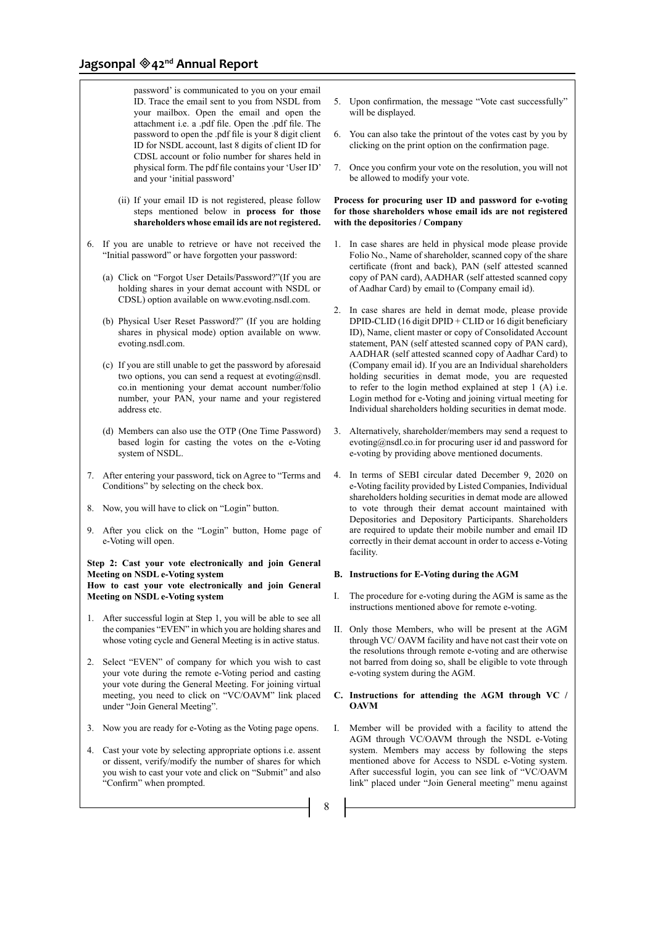password' is communicated to you on your email ID. Trace the email sent to you from NSDL from your mailbox. Open the email and open the attachment i.e. a .pdf file. Open the .pdf file. The password to open the .pdf file is your 8 digit client ID for NSDL account, last 8 digits of client ID for CDSL account or folio number for shares held in physical form. The pdf file contains your 'User ID' and your 'initial password'

- (ii) If your email ID is not registered, please follow steps mentioned below in **process for those shareholders whose email ids are not registered.**
- 6. If you are unable to retrieve or have not received the "Initial password" or have forgotten your password:
	- (a) Click on "Forgot User Details/Password?"(If you are holding shares in your demat account with NSDL or CDSL) option available on www.evoting.nsdl.com.
	- (b) Physical User Reset Password?" (If you are holding shares in physical mode) option available on www. evoting.nsdl.com.
	- (c) If you are still unable to get the password by aforesaid two options, you can send a request at evoting@nsdl. co.in mentioning your demat account number/folio number, your PAN, your name and your registered address etc.
	- (d) Members can also use the OTP (One Time Password) based login for casting the votes on the e-Voting system of NSDL.
- 7. After entering your password, tick on Agree to "Terms and Conditions" by selecting on the check box.
- 8. Now, you will have to click on "Login" button.
- 9. After you click on the "Login" button, Home page of e-Voting will open.

#### **Step 2: Cast your vote electronically and join General Meeting on NSDL e-Voting system How to cast your vote electronically and join General Meeting on NSDL e-Voting system**

- 1. After successful login at Step 1, you will be able to see all the companies "EVEN" in which you are holding shares and whose voting cycle and General Meeting is in active status.
- 2. Select "EVEN" of company for which you wish to cast your vote during the remote e-Voting period and casting your vote during the General Meeting. For joining virtual meeting, you need to click on "VC/OAVM" link placed under "Join General Meeting".
- 3. Now you are ready for e-Voting as the Voting page opens.
- 4. Cast your vote by selecting appropriate options i.e. assent or dissent, verify/modify the number of shares for which you wish to cast your vote and click on "Submit" and also "Confirm" when prompted.

8

- 5. Upon confirmation, the message "Vote cast successfully" will be displayed.
- 6. You can also take the printout of the votes cast by you by clicking on the print option on the confirmation page.
- 7. Once you confirm your vote on the resolution, you will not be allowed to modify your vote.

#### **Process for procuring user ID and password for e-voting for those shareholders whose email ids are not registered with the depositories / Company**

- 1. In case shares are held in physical mode please provide Folio No., Name of shareholder, scanned copy of the share certificate (front and back), PAN (self attested scanned copy of PAN card), AADHAR (self attested scanned copy of Aadhar Card) by email to (Company email id).
- 2. In case shares are held in demat mode, please provide DPID-CLID (16 digit DPID + CLID or 16 digit beneficiary ID), Name, client master or copy of Consolidated Account statement, PAN (self attested scanned copy of PAN card), AADHAR (self attested scanned copy of Aadhar Card) to (Company email id). If you are an Individual shareholders holding securities in demat mode, you are requested to refer to the login method explained at step 1 (A) i.e. Login method for e-Voting and joining virtual meeting for Individual shareholders holding securities in demat mode.
- 3. Alternatively, shareholder/members may send a request to evoting@nsdl.co.in for procuring user id and password for e-voting by providing above mentioned documents.
- 4. In terms of SEBI circular dated December 9, 2020 on e-Voting facility provided by Listed Companies, Individual shareholders holding securities in demat mode are allowed to vote through their demat account maintained with Depositories and Depository Participants. Shareholders are required to update their mobile number and email ID correctly in their demat account in order to access e-Voting facility.

#### **B. Instructions for E-Voting during the AGM**

- I. The procedure for e-voting during the AGM is same as the instructions mentioned above for remote e-voting.
- II. Only those Members, who will be present at the AGM through VC/ OAVM facility and have not cast their vote on the resolutions through remote e-voting and are otherwise not barred from doing so, shall be eligible to vote through e-voting system during the AGM.

# **C. Instructions for attending the AGM through VC / OAVM**

I. Member will be provided with a facility to attend the AGM through VC/OAVM through the NSDL e-Voting system. Members may access by following the steps mentioned above for Access to NSDL e-Voting system. After successful login, you can see link of "VC/OAVM link" placed under "Join General meeting" menu against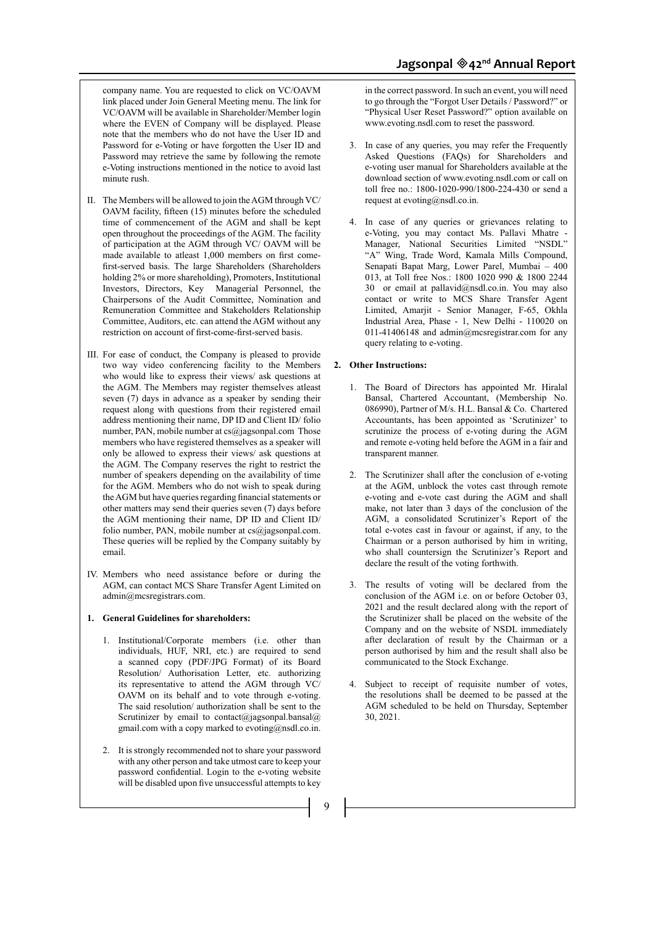company name. You are requested to click on VC/OAVM link placed under Join General Meeting menu. The link for VC/OAVM will be available in Shareholder/Member login where the EVEN of Company will be displayed. Please note that the members who do not have the User ID and Password for e-Voting or have forgotten the User ID and Password may retrieve the same by following the remote e-Voting instructions mentioned in the notice to avoid last minute rush.

- II. The Members will be allowed to join the AGM through VC/ OAVM facility, fifteen (15) minutes before the scheduled time of commencement of the AGM and shall be kept open throughout the proceedings of the AGM. The facility of participation at the AGM through VC/ OAVM will be made available to atleast 1,000 members on first comefirst-served basis. The large Shareholders (Shareholders holding 2% or more shareholding), Promoters, Institutional Investors, Directors, Key Managerial Personnel, the Chairpersons of the Audit Committee, Nomination and Remuneration Committee and Stakeholders Relationship Committee, Auditors, etc. can attend the AGM without any restriction on account of first-come-first-served basis.
- III. For ease of conduct, the Company is pleased to provide two way video conferencing facility to the Members who would like to express their views/ ask questions at the AGM. The Members may register themselves atleast seven (7) days in advance as a speaker by sending their request along with questions from their registered email address mentioning their name, DP ID and Client ID/ folio number, PAN, mobile number at cs@jagsonpal.com Those members who have registered themselves as a speaker will only be allowed to express their views/ ask questions at the AGM. The Company reserves the right to restrict the number of speakers depending on the availability of time for the AGM. Members who do not wish to speak during the AGM but have queries regarding financial statements or other matters may send their queries seven (7) days before the AGM mentioning their name, DP ID and Client ID/ folio number, PAN, mobile number at cs@jagsonpal.com. These queries will be replied by the Company suitably by email.
- IV. Members who need assistance before or during the AGM, can contact MCS Share Transfer Agent Limited on admin@mcsregistrars.com.

#### **1. General Guidelines for shareholders:**

- 1. Institutional/Corporate members (i.e. other than individuals, HUF, NRI, etc.) are required to send a scanned copy (PDF/JPG Format) of its Board Resolution/ Authorisation Letter, etc. authorizing its representative to attend the AGM through VC/ OAVM on its behalf and to vote through e-voting. The said resolution/ authorization shall be sent to the Scrutinizer by email to contact@jagsonpal.bansal@ gmail.com with a copy marked to evoting@nsdl.co.in.
- 2. It is strongly recommended not to share your password with any other person and take utmost care to keep your password confidential. Login to the e-voting website will be disabled upon five unsuccessful attempts to key

in the correct password. In such an event, you will need to go through the "Forgot User Details / Password?" or "Physical User Reset Password?" option available on www.evoting.nsdl.com to reset the password.

- 3. In case of any queries, you may refer the Frequently Asked Questions (FAQs) for Shareholders and e-voting user manual for Shareholders available at the download section of www.evoting.nsdl.com or call on toll free no.: 1800-1020-990/1800-224-430 or send a request at evoting@nsdl.co.in.
- 4. In case of any queries or grievances relating to e-Voting, you may contact Ms. Pallavi Mhatre - Manager, National Securities Limited "NSDL" "A" Wing, Trade Word, Kamala Mills Compound, Senapati Bapat Marg, Lower Parel, Mumbai – 400 013, at Toll free Nos.: 1800 1020 990 & 1800 2244 30 or email at pallavid@nsdl.co.in. You may also contact or write to MCS Share Transfer Agent Limited, Amarjit - Senior Manager, F-65, Okhla Industrial Area, Phase - 1, New Delhi - 110020 on 011-41406148 and admin@mcsregistrar.com for any query relating to e-voting.

# **2. Other Instructions:**

- 1. The Board of Directors has appointed Mr. Hiralal Bansal, Chartered Accountant, (Membership No. 086990), Partner of M/s. H.L. Bansal & Co. Chartered Accountants, has been appointed as 'Scrutinizer' to scrutinize the process of e-voting during the AGM and remote e-voting held before the AGM in a fair and transparent manner.
- 2. The Scrutinizer shall after the conclusion of e-voting at the AGM, unblock the votes cast through remote e-voting and e-vote cast during the AGM and shall make, not later than 3 days of the conclusion of the AGM, a consolidated Scrutinizer's Report of the total e-votes cast in favour or against, if any, to the Chairman or a person authorised by him in writing, who shall countersign the Scrutinizer's Report and declare the result of the voting forthwith.
- 3. The results of voting will be declared from the conclusion of the AGM i.e. on or before October 03, 2021 and the result declared along with the report of the Scrutinizer shall be placed on the website of the Company and on the website of NSDL immediately after declaration of result by the Chairman or a person authorised by him and the result shall also be communicated to the Stock Exchange.
- 4. Subject to receipt of requisite number of votes, the resolutions shall be deemed to be passed at the AGM scheduled to be held on Thursday, September 30, 2021.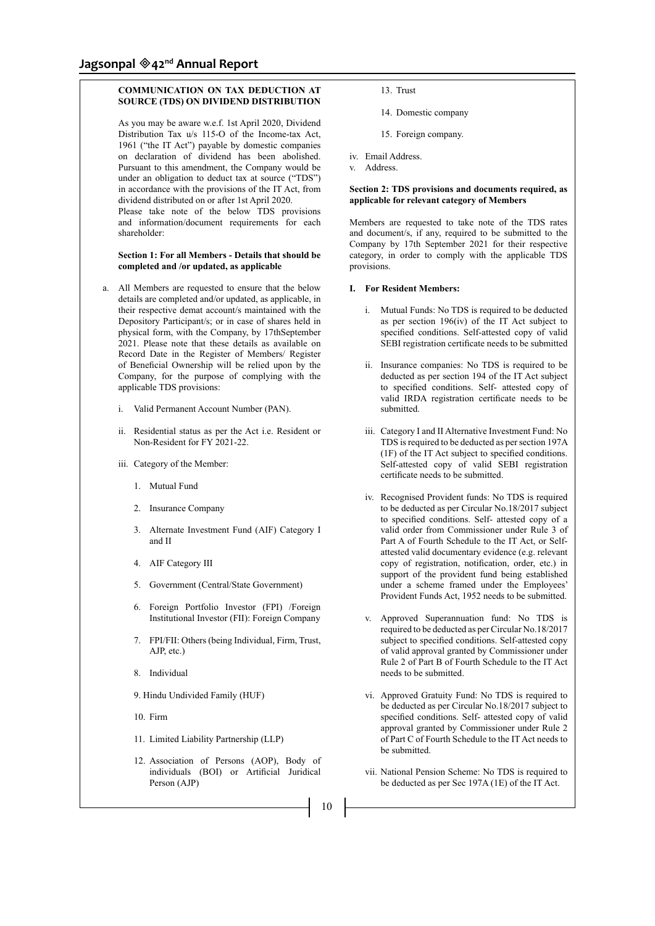# **COMMUNICATION ON TAX DEDUCTION AT SOURCE (TDS) ON DIVIDEND DISTRIBUTION**

 As you may be aware w.e.f. 1st April 2020, Dividend Distribution Tax u/s 115-O of the Income-tax Act, 1961 ("the IT Act") payable by domestic companies on declaration of dividend has been abolished. Pursuant to this amendment, the Company would be under an obligation to deduct tax at source ("TDS") in accordance with the provisions of the IT Act, from dividend distributed on or after 1st April 2020.

 Please take note of the below TDS provisions and information/document requirements for each shareholder:

#### **Section 1: For all Members - Details that should be completed and /or updated, as applicable**

- a. All Members are requested to ensure that the below details are completed and/or updated, as applicable, in their respective demat account/s maintained with the Depository Participant/s; or in case of shares held in physical form, with the Company, by 17thSeptember 2021. Please note that these details as available on Record Date in the Register of Members/ Register of Beneficial Ownership will be relied upon by the Company, for the purpose of complying with the applicable TDS provisions:
	- i. Valid Permanent Account Number (PAN).
	- ii. Residential status as per the Act i.e. Resident or Non-Resident for FY 2021-22.
	- iii. Category of the Member:
		- 1. Mutual Fund
		- 2. Insurance Company
		- 3. Alternate Investment Fund (AIF) Category I and II
		- 4. AIF Category III
		- 5. Government (Central/State Government)
		- 6. Foreign Portfolio Investor (FPI) /Foreign Institutional Investor (FII): Foreign Company
		- 7. FPI/FII: Others (being Individual, Firm, Trust, AJP, etc.)
		- 8. Individual
		- 9. Hindu Undivided Family (HUF)
		- 10. Firm
		- 11. Limited Liability Partnership (LLP)
		- 12. Association of Persons (AOP), Body of individuals (BOI) or Artificial Juridical Person (AJP)
- 13. Trust
- 14. Domestic company
- 15. Foreign company.
- iv. Email Address.
- v. Address.

# **Section 2: TDS provisions and documents required, as applicable for relevant category of Members**

Members are requested to take note of the TDS rates and document/s, if any, required to be submitted to the Company by 17th September 2021 for their respective category, in order to comply with the applicable TDS provisions.

#### **I. For Resident Members:**

- i. Mutual Funds: No TDS is required to be deducted as per section 196(iv) of the IT Act subject to specified conditions. Self-attested copy of valid SEBI registration certificate needs to be submitted
- ii. Insurance companies: No TDS is required to be deducted as per section 194 of the IT Act subject to specified conditions. Self- attested copy of valid IRDA registration certificate needs to be submitted.
- iii. Category I and II Alternative Investment Fund: No TDS is required to be deducted as per section 197A (1F) of the IT Act subject to specified conditions. Self-attested copy of valid SEBI registration certificate needs to be submitted.
- iv. Recognised Provident funds: No TDS is required to be deducted as per Circular No.18/2017 subject to specified conditions. Self- attested copy of a valid order from Commissioner under Rule 3 of Part A of Fourth Schedule to the IT Act, or Selfattested valid documentary evidence (e.g. relevant copy of registration, notification, order, etc.) in support of the provident fund being established under a scheme framed under the Employees' Provident Funds Act, 1952 needs to be submitted.
- v. Approved Superannuation fund: No TDS is required to be deducted as per Circular No.18/2017 subject to specified conditions. Self-attested copy of valid approval granted by Commissioner under Rule 2 of Part B of Fourth Schedule to the IT Act needs to be submitted.
- vi. Approved Gratuity Fund: No TDS is required to be deducted as per Circular No.18/2017 subject to specified conditions. Self- attested copy of valid approval granted by Commissioner under Rule 2 of Part C of Fourth Schedule to the IT Act needs to be submitted.
- vii. National Pension Scheme: No TDS is required to be deducted as per Sec 197A (1E) of the IT Act.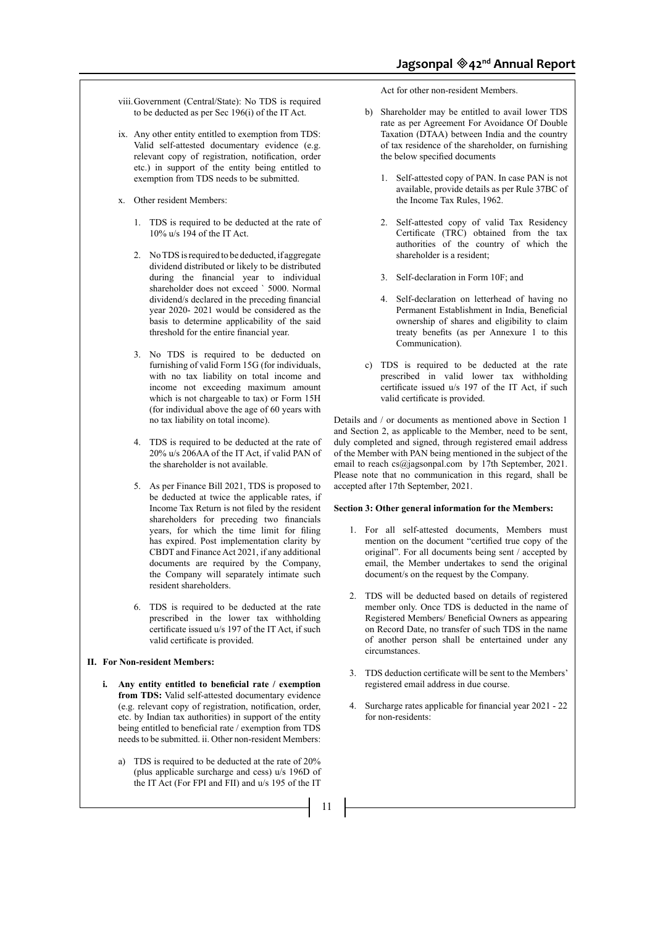- viii.Government (Central/State): No TDS is required to be deducted as per Sec 196(i) of the IT Act.
- ix. Any other entity entitled to exemption from TDS: Valid self-attested documentary evidence (e.g. relevant copy of registration, notification, order etc.) in support of the entity being entitled to exemption from TDS needs to be submitted.
- x. Other resident Members:
	- 1. TDS is required to be deducted at the rate of 10% u/s 194 of the IT Act.
	- 2. No TDS is required to be deducted, if aggregate dividend distributed or likely to be distributed during the financial year to individual shareholder does not exceed ` 5000. Normal dividend/s declared in the preceding financial year 2020- 2021 would be considered as the basis to determine applicability of the said threshold for the entire financial year.
	- 3. No TDS is required to be deducted on furnishing of valid Form 15G (for individuals, with no tax liability on total income and income not exceeding maximum amount which is not chargeable to tax) or Form 15H (for individual above the age of 60 years with no tax liability on total income).
	- 4. TDS is required to be deducted at the rate of 20% u/s 206AA of the IT Act, if valid PAN of the shareholder is not available.
	- 5. As per Finance Bill 2021, TDS is proposed to be deducted at twice the applicable rates, if Income Tax Return is not filed by the resident shareholders for preceding two financials years, for which the time limit for filing has expired. Post implementation clarity by CBDT and Finance Act 2021, if any additional documents are required by the Company, the Company will separately intimate such resident shareholders.
	- 6. TDS is required to be deducted at the rate prescribed in the lower tax withholding certificate issued u/s 197 of the IT Act, if such valid certificate is provided.

#### **II. For Non-resident Members:**

- **i. Any entity entitled to beneficial rate / exemption from TDS:** Valid self-attested documentary evidence (e.g. relevant copy of registration, notification, order, etc. by Indian tax authorities) in support of the entity being entitled to beneficial rate / exemption from TDS needs to be submitted. ii. Other non-resident Members:
	- a) TDS is required to be deducted at the rate of 20% (plus applicable surcharge and cess) u/s 196D of the IT Act (For FPI and FII) and u/s 195 of the IT

Act for other non-resident Members.

- b) Shareholder may be entitled to avail lower TDS rate as per Agreement For Avoidance Of Double Taxation (DTAA) between India and the country of tax residence of the shareholder, on furnishing the below specified documents
	- 1. Self-attested copy of PAN. In case PAN is not available, provide details as per Rule 37BC of the Income Tax Rules, 1962.
	- 2. Self-attested copy of valid Tax Residency Certificate (TRC) obtained from the tax authorities of the country of which the shareholder is a resident;
	- 3. Self-declaration in Form 10F; and
	- 4. Self-declaration on letterhead of having no Permanent Establishment in India, Beneficial ownership of shares and eligibility to claim treaty benefits (as per Annexure 1 to this Communication).
- c) TDS is required to be deducted at the rate prescribed in valid lower tax withholding certificate issued u/s 197 of the IT Act, if such valid certificate is provided.

Details and / or documents as mentioned above in Section 1 and Section 2, as applicable to the Member, need to be sent, duly completed and signed, through registered email address of the Member with PAN being mentioned in the subject of the email to reach cs@jagsonpal.com by 17th September, 2021. Please note that no communication in this regard, shall be accepted after 17th September, 2021.

#### **Section 3: Other general information for the Members:**

- 1. For all self-attested documents, Members must mention on the document "certified true copy of the original". For all documents being sent / accepted by email, the Member undertakes to send the original document/s on the request by the Company.
- 2. TDS will be deducted based on details of registered member only. Once TDS is deducted in the name of Registered Members/ Beneficial Owners as appearing on Record Date, no transfer of such TDS in the name of another person shall be entertained under any circumstances.
- 3. TDS deduction certificate will be sent to the Members' registered email address in due course.
- 4. Surcharge rates applicable for financial year 2021 22 for non-residents: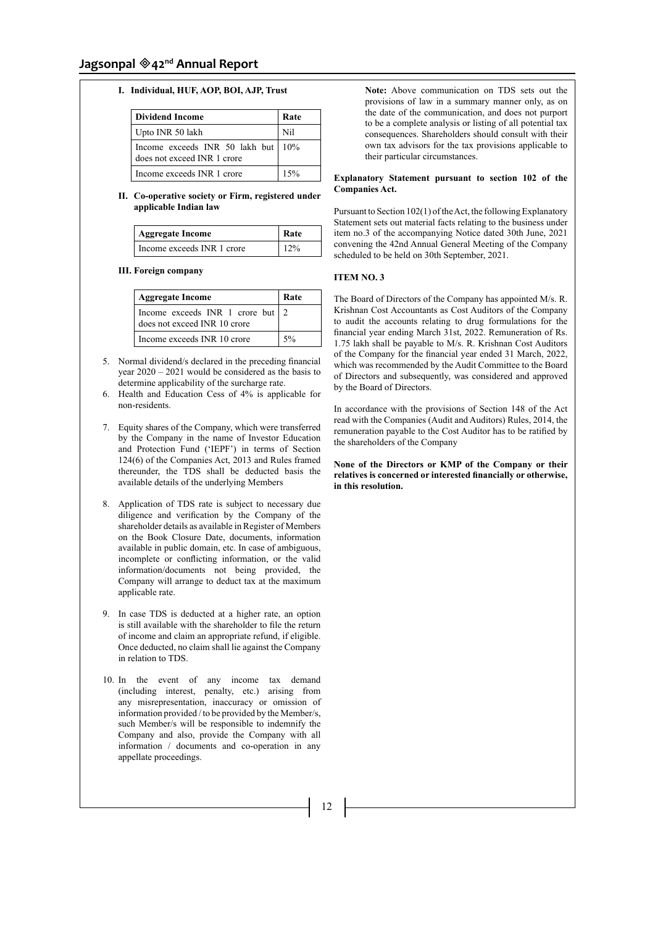# **Jagsonpal 42nd Annual Report**

# **I. Individual, HUF, AOP, BOI, AJP, Trust**

| <b>Dividend Income</b>                                              | Rate |
|---------------------------------------------------------------------|------|
| Upto INR 50 lakh                                                    | Nil  |
| Income exceeds INR 50 lakh but   10%<br>does not exceed INR 1 crore |      |
| Income exceeds INR 1 crore                                          | 15%  |

#### **II. Co-operative society or Firm, registered under applicable Indian law**

| <b>Aggregate Income</b>    | Rate |
|----------------------------|------|
| Income exceeds INR 1 crore | 12%  |

#### **III. Foreign company**

| <b>Aggregate Income</b>                                             | Rate |
|---------------------------------------------------------------------|------|
| Income exceeds INR 1 crore but $ 2$<br>does not exceed INR 10 crore |      |
| Income exceeds INR 10 crore                                         | 5%   |

- 5. Normal dividend/s declared in the preceding financial year 2020 – 2021 would be considered as the basis to determine applicability of the surcharge rate.
- 6. Health and Education Cess of 4% is applicable for non-residents.
- 7. Equity shares of the Company, which were transferred by the Company in the name of Investor Education and Protection Fund ('IEPF') in terms of Section 124(6) of the Companies Act, 2013 and Rules framed thereunder, the TDS shall be deducted basis the available details of the underlying Members
- 8. Application of TDS rate is subject to necessary due diligence and verification by the Company of the shareholder details as available in Register of Members on the Book Closure Date, documents, information available in public domain, etc. In case of ambiguous, incomplete or conflicting information, or the valid information/documents not being provided, the Company will arrange to deduct tax at the maximum applicable rate.
- 9. In case TDS is deducted at a higher rate, an option is still available with the shareholder to file the return of income and claim an appropriate refund, if eligible. Once deducted, no claim shall lie against the Company in relation to TDS.
- 10. In the event of any income tax demand (including interest, penalty, etc.) arising from any misrepresentation, inaccuracy or omission of information provided / to be provided by the Member/s, such Member/s will be responsible to indemnify the Company and also, provide the Company with all information / documents and co-operation in any appellate proceedings.

 **Note:** Above communication on TDS sets out the provisions of law in a summary manner only, as on the date of the communication, and does not purport to be a complete analysis or listing of all potential tax consequences. Shareholders should consult with their own tax advisors for the tax provisions applicable to their particular circumstances.

#### **Explanatory Statement pursuant to section 102 of the Companies Act.**

Pursuant to Section 102(1) of the Act, the following Explanatory Statement sets out material facts relating to the business under item no.3 of the accompanying Notice dated 30th June, 2021 convening the 42nd Annual General Meeting of the Company scheduled to be held on 30th September, 2021.

#### **ITEM NO. 3**

The Board of Directors of the Company has appointed M/s. R. Krishnan Cost Accountants as Cost Auditors of the Company to audit the accounts relating to drug formulations for the financial year ending March 31st, 2022. Remuneration of Rs. 1.75 lakh shall be payable to M/s. R. Krishnan Cost Auditors of the Company for the financial year ended 31 March, 2022, which was recommended by the Audit Committee to the Board of Directors and subsequently, was considered and approved by the Board of Directors.

In accordance with the provisions of Section 148 of the Act read with the Companies (Audit and Auditors) Rules, 2014, the remuneration payable to the Cost Auditor has to be ratified by the shareholders of the Company

#### **None of the Directors or KMP of the Company or their relatives is concerned or interested financially or otherwise, in this resolution.**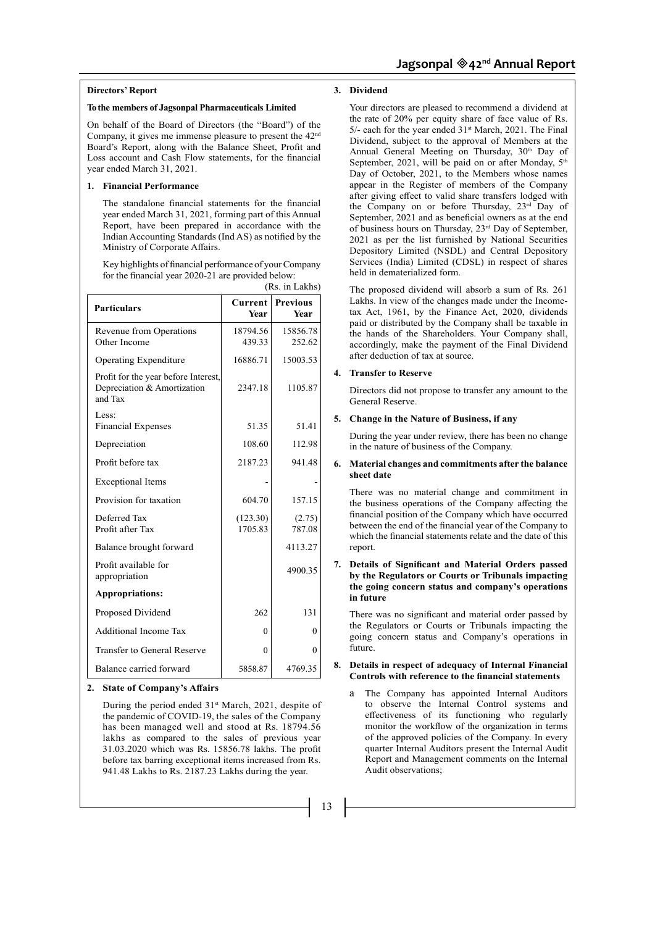#### **Directors' Report**

#### **To the members of Jagsonpal Pharmaceuticals Limited**

On behalf of the Board of Directors (the "Board") of the Company, it gives me immense pleasure to present the  $42<sup>nd</sup>$ Board's Report, along with the Balance Sheet, Profit and Loss account and Cash Flow statements, for the financial year ended March 31, 2021.

#### **1. Financial Performance**

The standalone financial statements for the financial year ended March 31, 2021, forming part of this Annual Report, have been prepared in accordance with the Indian Accounting Standards (Ind AS) as notified by the Ministry of Corporate Affairs.

Key highlights of financial performance of your Company for the financial year 2020-21 are provided below: (Rs. in Lakhs)

| <b>Particulars</b>                                                             | Current<br>Year     | <b>Previous</b><br><b>Year</b> |
|--------------------------------------------------------------------------------|---------------------|--------------------------------|
| Revenue from Operations<br>Other Income                                        | 18794.56<br>439.33  | 15856.78<br>252.62             |
| Operating Expenditure                                                          | 16886.71            | 15003.53                       |
| Profit for the year before Interest,<br>Depreciation & Amortization<br>and Tax | 2347.18             | 1105.87                        |
| Less:<br><b>Financial Expenses</b>                                             | 51.35               | 51.41                          |
| Depreciation                                                                   | 108.60              | 112.98                         |
| Profit before tax                                                              | 2187.23             | 941.48                         |
| <b>Exceptional Items</b>                                                       |                     |                                |
| Provision for taxation                                                         | 604.70              | 157.15                         |
| Deferred Tax<br>Profit after Tax                                               | (123.30)<br>1705.83 | (2.75)<br>787.08               |
| Balance brought forward                                                        |                     | 4113.27                        |
| Profit available for<br>appropriation                                          |                     | 4900.35                        |
| <b>Appropriations:</b>                                                         |                     |                                |
| Proposed Dividend                                                              | 262                 | 131                            |
| <b>Additional Income Tax</b>                                                   | $\theta$            | $\theta$                       |
| Transfer to General Reserve                                                    | $\theta$            | 0                              |
| Balance carried forward                                                        | 5858.87             | 4769.35                        |

#### **2. State of Company's Affairs**

During the period ended  $31<sup>st</sup>$  March, 2021, despite of the pandemic of COVID-19, the sales of the Company has been managed well and stood at Rs. 18794.56 lakhs as compared to the sales of previous year 31.03.2020 which was Rs. 15856.78 lakhs. The profit before tax barring exceptional items increased from Rs. 941.48 Lakhs to Rs. 2187.23 Lakhs during the year.

# **3. Dividend**

Your directors are pleased to recommend a dividend at the rate of 20% per equity share of face value of Rs. 5/- each for the year ended 31st March, 2021. The Final Dividend, subject to the approval of Members at the Annual General Meeting on Thursday, 30<sup>th</sup> Day of September, 2021, will be paid on or after Monday, 5<sup>th</sup> Day of October, 2021, to the Members whose names appear in the Register of members of the Company after giving effect to valid share transfers lodged with the Company on or before Thursday, 23rd Day of September, 2021 and as beneficial owners as at the end of business hours on Thursday, 23rd Day of September, 2021 as per the list furnished by National Securities Depository Limited (NSDL) and Central Depository Services (India) Limited (CDSL) in respect of shares held in dematerialized form.

The proposed dividend will absorb a sum of Rs. 261 Lakhs. In view of the changes made under the Incometax Act, 1961, by the Finance Act, 2020, dividends paid or distributed by the Company shall be taxable in the hands of the Shareholders. Your Company shall, accordingly, make the payment of the Final Dividend after deduction of tax at source.

#### **4. Transfer to Reserve**

Directors did not propose to transfer any amount to the General Reserve.

#### **5. Change in the Nature of Business, if any**

During the year under review, there has been no change in the nature of business of the Company.

#### **6. Material changes and commitments after the balance sheet date**

There was no material change and commitment in the business operations of the Company affecting the financial position of the Company which have occurred between the end of the financial year of the Company to which the financial statements relate and the date of this report.

#### **7. Details of Significant and Material Orders passed by the Regulators or Courts or Tribunals impacting the going concern status and company's operations in future**

There was no significant and material order passed by the Regulators or Courts or Tribunals impacting the going concern status and Company's operations in future.

# **8. Details in respect of adequacy of Internal Financial Controls with reference to the financial statements**

a The Company has appointed Internal Auditors to observe the Internal Control systems and effectiveness of its functioning who regularly monitor the workflow of the organization in terms of the approved policies of the Company. In every quarter Internal Auditors present the Internal Audit Report and Management comments on the Internal Audit observations;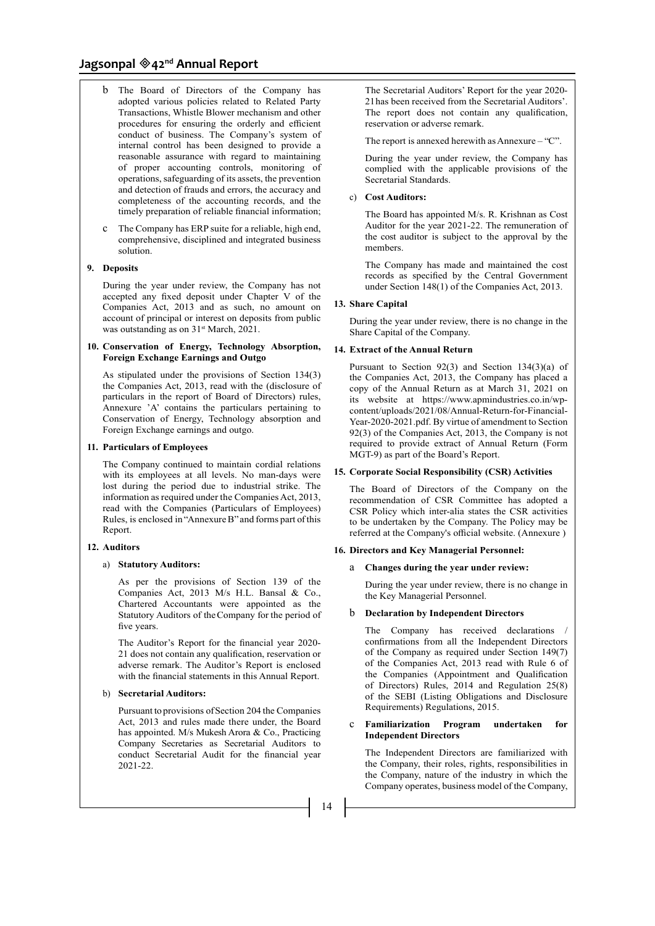- b The Board of Directors of the Company has adopted various policies related to Related Party Transactions, Whistle Blower mechanism and other procedures for ensuring the orderly and efficient conduct of business. The Company's system of internal control has been designed to provide a reasonable assurance with regard to maintaining of proper accounting controls, monitoring of operations, safeguarding of its assets, the prevention and detection of frauds and errors, the accuracy and completeness of the accounting records, and the timely preparation of reliable financial information;
- c The Company has ERP suite for a reliable, high end, comprehensive, disciplined and integrated business solution.

# **9. Deposits**

During the year under review, the Company has not accepted any fixed deposit under Chapter V of the Companies Act, 2013 and as such, no amount on account of principal or interest on deposits from public was outstanding as on  $31<sup>st</sup>$  March, 2021.

#### **10. Conservation of Energy, Technology Absorption, Foreign Exchange Earnings and Outgo**

As stipulated under the provisions of Section 134(3) the Companies Act, 2013, read with the (disclosure of particulars in the report of Board of Directors) rules, Annexure 'A' contains the particulars pertaining to Conservation of Energy, Technology absorption and Foreign Exchange earnings and outgo.

#### **11. Particulars of Employees**

The Company continued to maintain cordial relations with its employees at all levels. No man-days were lost during the period due to industrial strike. The information as required under the Companies Act, 2013, read with the Companies (Particulars of Employees) Rules, is enclosed in "Annexure B" and forms part of this Report.

#### **12. Auditors**

#### a) **Statutory Auditors:**

As per the provisions of Section 139 of the Companies Act, 2013 M/s H.L. Bansal & Co., Chartered Accountants were appointed as the Statutory Auditors of the Company for the period of five years.

The Auditor's Report for the financial year 2020- 21 does not contain any qualification, reservation or adverse remark. The Auditor's Report is enclosed with the financial statements in this Annual Report.

#### b) **Secretarial Auditors:**

Pursuant to provisions of Section 204 the Companies Act, 2013 and rules made there under, the Board has appointed. M/s Mukesh Arora & Co., Practicing Company Secretaries as Secretarial Auditors to conduct Secretarial Audit for the financial year 2021-22.

The Secretarial Auditors' Report for the year 2020- 21 has been received from the Secretarial Auditors'. The report does not contain any qualification, reservation or adverse remark.

The report is annexed herewith as Annexure – "C".

During the year under review, the Company has complied with the applicable provisions of the Secretarial Standards.

#### c) **Cost Auditors:**

The Board has appointed M/s. R. Krishnan as Cost Auditor for the year 2021-22. The remuneration of the cost auditor is subject to the approval by the members.

The Company has made and maintained the cost records as specified by the Central Government under Section 148(1) of the Companies Act, 2013.

#### **13. Share Capital**

During the year under review, there is no change in the Share Capital of the Company.

#### **14. Extract of the Annual Return**

Pursuant to Section 92(3) and Section 134(3)(a) of the Companies Act, 2013, the Company has placed a copy of the Annual Return as at March 31, 2021 on its website at https://www.apmindustries.co.in/wpcontent/uploads/2021/08/Annual-Return-for-Financial-Year-2020-2021.pdf. By virtue of amendment to Section 92(3) of the Companies Act, 2013, the Company is not required to provide extract of Annual Return (Form MGT-9) as part of the Board's Report.

#### **15. Corporate Social Responsibility (CSR) Activities**

The Board of Directors of the Company on the recommendation of CSR Committee has adopted a CSR Policy which inter-alia states the CSR activities to be undertaken by the Company. The Policy may be referred at the Company's official website. (Annexure )

# **16. Directors and Key Managerial Personnel:**

#### a **Changes during the year under review:**

During the year under review, there is no change in the Key Managerial Personnel.

#### b **Declaration by Independent Directors**

The Company has received declarations confirmations from all the Independent Directors of the Company as required under Section 149(7) of the Companies Act, 2013 read with Rule 6 of the Companies (Appointment and Qualification of Directors) Rules, 2014 and Regulation 25(8) of the SEBI (Listing Obligations and Disclosure Requirements) Regulations, 2015.

#### c **Familiarization Program undertaken for Independent Directors**

The Independent Directors are familiarized with the Company, their roles, rights, responsibilities in the Company, nature of the industry in which the Company operates, business model of the Company,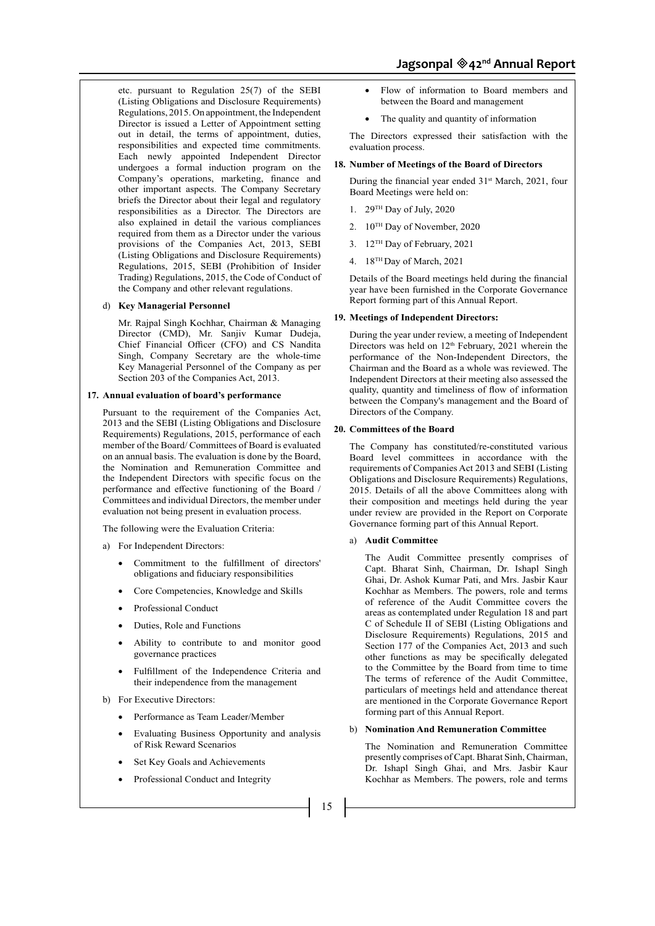etc. pursuant to Regulation 25(7) of the SEBI (Listing Obligations and Disclosure Requirements) Regulations, 2015. On appointment, the Independent Director is issued a Letter of Appointment setting out in detail, the terms of appointment, duties, responsibilities and expected time commitments. Each newly appointed Independent Director undergoes a formal induction program on the Company's operations, marketing, finance and other important aspects. The Company Secretary briefs the Director about their legal and regulatory responsibilities as a Director. The Directors are also explained in detail the various compliances required from them as a Director under the various provisions of the Companies Act, 2013, SEBI (Listing Obligations and Disclosure Requirements) Regulations, 2015, SEBI (Prohibition of Insider Trading) Regulations, 2015, the Code of Conduct of the Company and other relevant regulations.

#### d) **Key Managerial Personnel**

 Mr. Rajpal Singh Kochhar, Chairman & Managing Director (CMD), Mr. Sanjiv Kumar Dudeja, Chief Financial Officer (CFO) and CS Nandita Singh, Company Secretary are the whole-time Key Managerial Personnel of the Company as per Section 203 of the Companies Act, 2013.

# **17. Annual evaluation of board's performance**

Pursuant to the requirement of the Companies Act, 2013 and the SEBI (Listing Obligations and Disclosure Requirements) Regulations, 2015, performance of each member of the Board/ Committees of Board is evaluated on an annual basis. The evaluation is done by the Board, the Nomination and Remuneration Committee and the Independent Directors with specific focus on the performance and effective functioning of the Board / Committees and individual Directors, the member under evaluation not being present in evaluation process.

The following were the Evaluation Criteria:

- a) For Independent Directors:
	- Commitment to the fulfillment of directors' obligations and fiduciary responsibilities
	- Core Competencies, Knowledge and Skills
	- Professional Conduct
	- Duties, Role and Functions
	- Ability to contribute to and monitor good governance practices
	- Fulfillment of the Independence Criteria and their independence from the management
- b) For Executive Directors:
	- Performance as Team Leader/Member
	- Evaluating Business Opportunity and analysis of Risk Reward Scenarios
	- Set Key Goals and Achievements
	- Professional Conduct and Integrity

Flow of information to Board members and between the Board and management

• The quality and quantity of information

The Directors expressed their satisfaction with the evaluation process.

#### **18. Number of Meetings of the Board of Directors**

During the financial year ended 31<sup>st</sup> March, 2021, four Board Meetings were held on:

- 1. 29TH Day of July, 2020
- 2. 10TH Day of November, 2020
- 3. 12TH Day of February, 2021
- 4. 18TH Day of March, 2021

Details of the Board meetings held during the financial year have been furnished in the Corporate Governance Report forming part of this Annual Report.

#### **19. Meetings of Independent Directors:**

During the year under review, a meeting of Independent Directors was held on  $12<sup>th</sup>$  February, 2021 wherein the performance of the Non-Independent Directors, the Chairman and the Board as a whole was reviewed. The Independent Directors at their meeting also assessed the quality, quantity and timeliness of flow of information between the Company's management and the Board of Directors of the Company.

# **20. Committees of the Board**

The Company has constituted/re-constituted various Board level committees in accordance with the requirements of Companies Act 2013 and SEBI (Listing Obligations and Disclosure Requirements) Regulations, 2015. Details of all the above Committees along with their composition and meetings held during the year under review are provided in the Report on Corporate Governance forming part of this Annual Report.

#### a) **Audit Committee**

The Audit Committee presently comprises of Capt. Bharat Sinh, Chairman, Dr. Ishapl Singh Ghai, Dr. Ashok Kumar Pati, and Mrs. Jasbir Kaur Kochhar as Members. The powers, role and terms of reference of the Audit Committee covers the areas as contemplated under Regulation 18 and part C of Schedule II of SEBI (Listing Obligations and Disclosure Requirements) Regulations, 2015 and Section 177 of the Companies Act, 2013 and such other functions as may be specifically delegated to the Committee by the Board from time to time The terms of reference of the Audit Committee, particulars of meetings held and attendance thereat are mentioned in the Corporate Governance Report forming part of this Annual Report.

#### b) **Nomination And Remuneration Committee**

The Nomination and Remuneration Committee presently comprises of Capt. Bharat Sinh, Chairman, Dr. Ishapl Singh Ghai, and Mrs. Jasbir Kaur Kochhar as Members. The powers, role and terms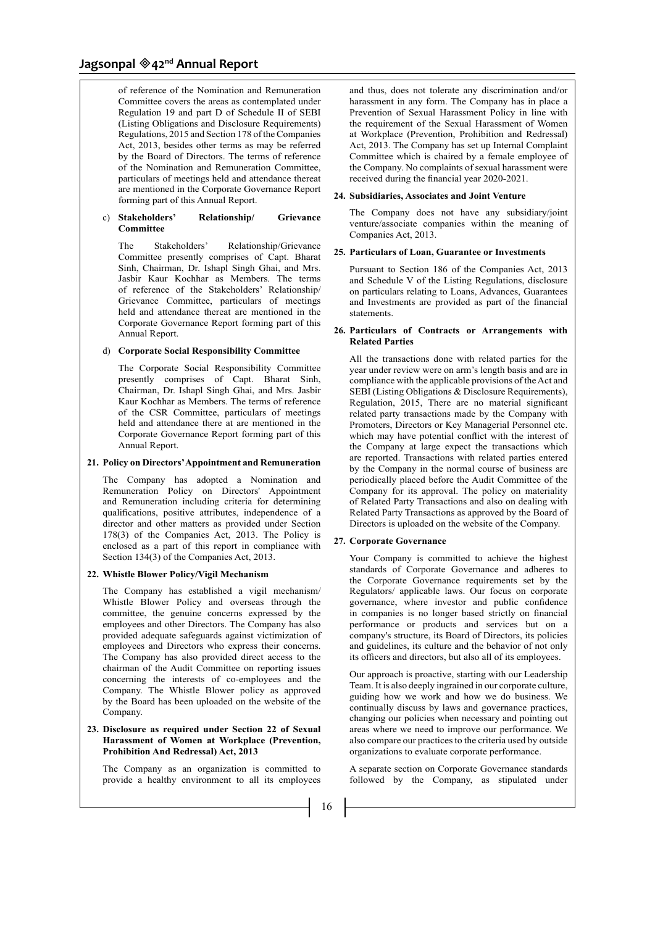of reference of the Nomination and Remuneration Committee covers the areas as contemplated under Regulation 19 and part D of Schedule II of SEBI (Listing Obligations and Disclosure Requirements) Regulations, 2015 and Section 178 of the Companies Act, 2013, besides other terms as may be referred by the Board of Directors. The terms of reference of the Nomination and Remuneration Committee, particulars of meetings held and attendance thereat are mentioned in the Corporate Governance Report forming part of this Annual Report.

#### c) **Stakeholders' Relationship/ Grievance Committee**

The Stakeholders' Relationship/Grievance Committee presently comprises of Capt. Bharat Sinh, Chairman, Dr. Ishapl Singh Ghai, and Mrs. Jasbir Kaur Kochhar as Members. The terms of reference of the Stakeholders' Relationship/ Grievance Committee, particulars of meetings held and attendance thereat are mentioned in the Corporate Governance Report forming part of this Annual Report.

#### d) **Corporate Social Responsibility Committee**

The Corporate Social Responsibility Committee presently comprises of Capt. Bharat Sinh, Chairman, Dr. Ishapl Singh Ghai, and Mrs. Jasbir Kaur Kochhar as Members. The terms of reference of the CSR Committee, particulars of meetings held and attendance there at are mentioned in the Corporate Governance Report forming part of this Annual Report.

#### **21. Policy on Directors' Appointment and Remuneration**

The Company has adopted a Nomination and Remuneration Policy on Directors' Appointment and Remuneration including criteria for determining qualifications, positive attributes, independence of a director and other matters as provided under Section 178(3) of the Companies Act, 2013. The Policy is enclosed as a part of this report in compliance with Section 134(3) of the Companies Act, 2013.

# **22. Whistle Blower Policy/Vigil Mechanism**

The Company has established a vigil mechanism/ Whistle Blower Policy and overseas through the committee, the genuine concerns expressed by the employees and other Directors. The Company has also provided adequate safeguards against victimization of employees and Directors who express their concerns. The Company has also provided direct access to the chairman of the Audit Committee on reporting issues concerning the interests of co-employees and the Company. The Whistle Blower policy as approved by the Board has been uploaded on the website of the Company.

#### **23. Disclosure as required under Section 22 of Sexual Harassment of Women at Workplace (Prevention, Prohibition And Redressal) Act, 2013**

The Company as an organization is committed to provide a healthy environment to all its employees and thus, does not tolerate any discrimination and/or harassment in any form. The Company has in place a Prevention of Sexual Harassment Policy in line with the requirement of the Sexual Harassment of Women at Workplace (Prevention, Prohibition and Redressal) Act, 2013. The Company has set up Internal Complaint Committee which is chaired by a female employee of the Company. No complaints of sexual harassment were received during the financial year 2020-2021.

#### **24. Subsidiaries, Associates and Joint Venture**

The Company does not have any subsidiary/joint venture/associate companies within the meaning of Companies Act, 2013.

#### **25. Particulars of Loan, Guarantee or Investments**

Pursuant to Section 186 of the Companies Act, 2013 and Schedule V of the Listing Regulations, disclosure on particulars relating to Loans, Advances, Guarantees and Investments are provided as part of the financial statements.

#### **26. Particulars of Contracts or Arrangements with Related Parties**

All the transactions done with related parties for the year under review were on arm's length basis and are in compliance with the applicable provisions of the Act and SEBI (Listing Obligations & Disclosure Requirements), Regulation, 2015, There are no material significant related party transactions made by the Company with Promoters, Directors or Key Managerial Personnel etc. which may have potential conflict with the interest of the Company at large expect the transactions which are reported. Transactions with related parties entered by the Company in the normal course of business are periodically placed before the Audit Committee of the Company for its approval. The policy on materiality of Related Party Transactions and also on dealing with Related Party Transactions as approved by the Board of Directors is uploaded on the website of the Company.

#### **27. Corporate Governance**

Your Company is committed to achieve the highest standards of Corporate Governance and adheres to the Corporate Governance requirements set by the Regulators/ applicable laws. Our focus on corporate governance, where investor and public confidence in companies is no longer based strictly on financial performance or products and services but on a company's structure, its Board of Directors, its policies and guidelines, its culture and the behavior of not only its officers and directors, but also all of its employees.

Our approach is proactive, starting with our Leadership Team. It is also deeply ingrained in our corporate culture, guiding how we work and how we do business. We continually discuss by laws and governance practices, changing our policies when necessary and pointing out areas where we need to improve our performance. We also compare our practices to the criteria used by outside organizations to evaluate corporate performance.

A separate section on Corporate Governance standards followed by the Company, as stipulated under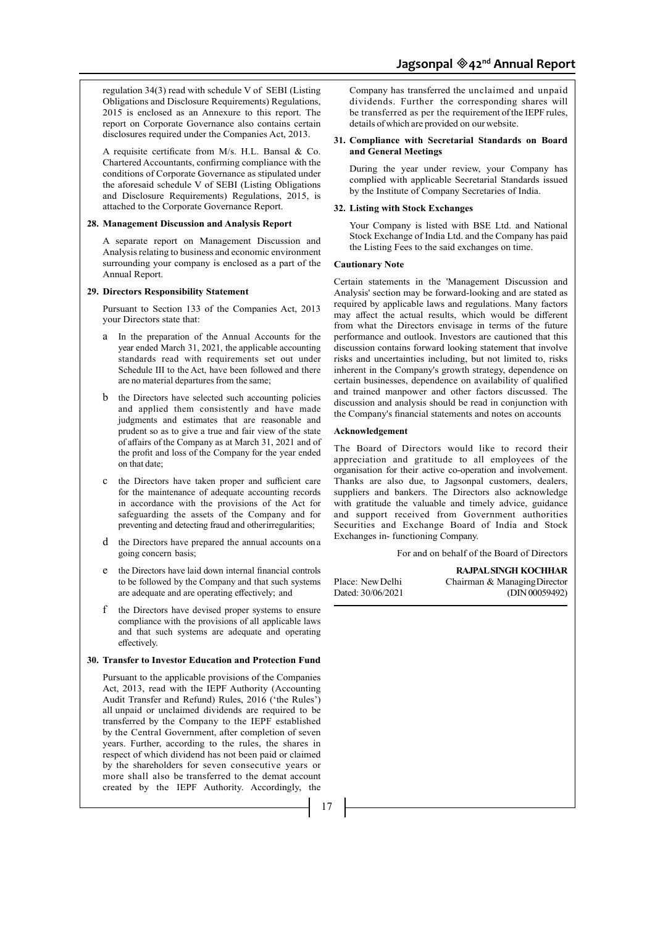regulation 34(3) read with schedule V of SEBI (Listing Obligations and Disclosure Requirements) Regulations, 2015 is enclosed as an Annexure to this report. The report on Corporate Governance also contains certain disclosures required under the Companies Act, 2013.

A requisite certificate from M/s. H.L. Bansal & Co. Chartered Accountants, confirming compliance with the conditions of Corporate Governance as stipulated under the aforesaid schedule V of SEBI (Listing Obligations and Disclosure Requirements) Regulations, 2015, is attached to the Corporate Governance Report.

#### **28. Management Discussion and Analysis Report**

A separate report on Management Discussion and Analysis relating to business and economic environment surrounding your company is enclosed as a part of the Annual Report.

#### **29. Directors Responsibility Statement**

Pursuant to Section 133 of the Companies Act, 2013 your Directors state that:

- a In the preparation of the Annual Accounts for the year ended March 31, 2021, the applicable accounting standards read with requirements set out under Schedule III to the Act, have been followed and there are no material departures from the same;
- b the Directors have selected such accounting policies and applied them consistently and have made judgments and estimates that are reasonable and prudent so as to give a true and fair view of the state of affairs of the Company as at March 31, 2021 and of the profit and loss of the Company for the year ended on that date;
- c the Directors have taken proper and sufficient care for the maintenance of adequate accounting records in accordance with the provisions of the Act for safeguarding the assets of the Company and for preventing and detecting fraud and other irregularities;
- d the Directors have prepared the annual accounts on a going concern basis;
- e the Directors have laid down internal financial controls to be followed by the Company and that such systems are adequate and are operating effectively; and
- f the Directors have devised proper systems to ensure compliance with the provisions of all applicable laws and that such systems are adequate and operating effectively.

#### **30. Transfer to Investor Education and Protection Fund**

Pursuant to the applicable provisions of the Companies Act, 2013, read with the IEPF Authority (Accounting Audit Transfer and Refund) Rules, 2016 ('the Rules') all unpaid or unclaimed dividends are required to be transferred by the Company to the IEPF established by the Central Government, after completion of seven years. Further, according to the rules, the shares in respect of which dividend has not been paid or claimed by the shareholders for seven consecutive years or more shall also be transferred to the demat account created by the IEPF Authority. Accordingly, the

Company has transferred the unclaimed and unpaid dividends. Further the corresponding shares will be transferred as per the requirement of the IEPF rules, details of which are provided on our website.

# **31. Compliance with Secretarial Standards on Board and General Meetings**

During the year under review, your Company has complied with applicable Secretarial Standards issued by the Institute of Company Secretaries of India.

#### **32. Listing with Stock Exchanges**

Your Company is listed with BSE Ltd. and National Stock Exchange of India Ltd. and the Company has paid the Listing Fees to the said exchanges on time.

#### **Cautionary Note**

Certain statements in the 'Management Discussion and Analysis' section may be forward-looking and are stated as required by applicable laws and regulations. Many factors may affect the actual results, which would be different from what the Directors envisage in terms of the future performance and outlook. Investors are cautioned that this discussion contains forward looking statement that involve risks and uncertainties including, but not limited to, risks inherent in the Company's growth strategy, dependence on certain businesses, dependence on availability of qualified and trained manpower and other factors discussed. The discussion and analysis should be read in conjunction with the Company's financial statements and notes on accounts

#### **Acknowledgement**

The Board of Directors would like to record their appreciation and gratitude to all employees of the organisation for their active co-operation and involvement. Thanks are also due, to Jagsonpal customers, dealers, suppliers and bankers. The Directors also acknowledge with gratitude the valuable and timely advice, guidance and support received from Government authorities Securities and Exchange Board of India and Stock Exchanges in- functioning Company.

For and on behalf of the Board of Directors

**RAJPAL SINGH KOCHHAR**

Place: New Delhi Chairman & Managing Director Dated: 30/06/2021 (DIN 00059492)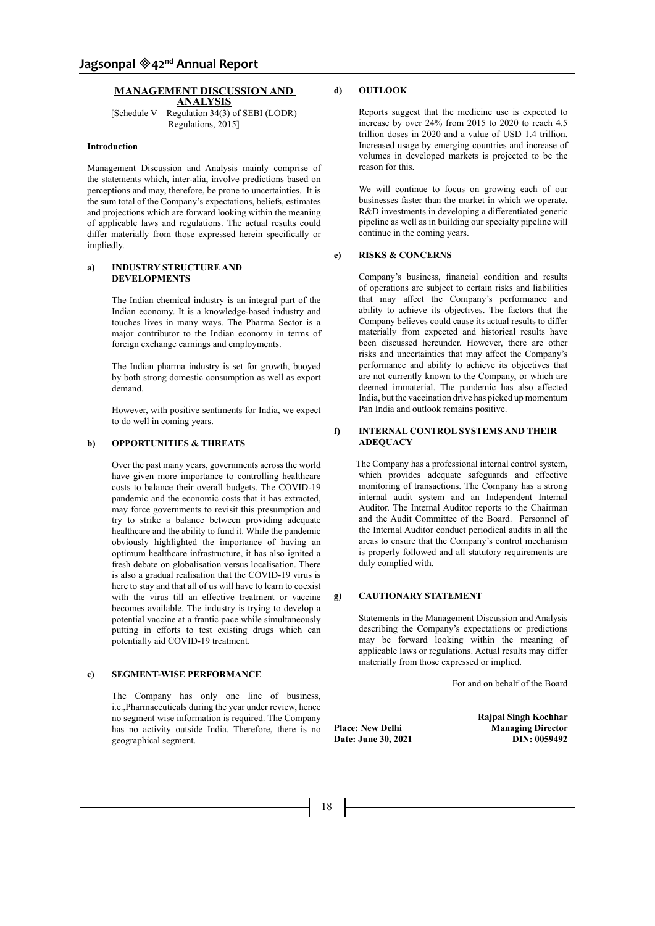# **MANAGEMENT DISCUSSION AND ANALYSIS**

[Schedule V – Regulation  $34(3)$  of SEBI (LODR) Regulations, 2015]

#### **Introduction**

Management Discussion and Analysis mainly comprise of the statements which, inter-alia, involve predictions based on perceptions and may, therefore, be prone to uncertainties. It is the sum total of the Company's expectations, beliefs, estimates and projections which are forward looking within the meaning of applicable laws and regulations. The actual results could differ materially from those expressed herein specifically or impliedly.

### **a) INDUSTRY STRUCTURE AND DEVELOPMENTS**

The Indian chemical industry is an integral part of the Indian economy. It is a knowledge-based industry and touches lives in many ways. The Pharma Sector is a major contributor to the Indian economy in terms of foreign exchange earnings and employments.

The Indian pharma industry is set for growth, buoyed by both strong domestic consumption as well as export demand.

However, with positive sentiments for India, we expect to do well in coming years.

# **b) OPPORTUNITIES & THREATS**

Over the past many years, governments across the world have given more importance to controlling healthcare costs to balance their overall budgets. The COVID-19 pandemic and the economic costs that it has extracted, may force governments to revisit this presumption and try to strike a balance between providing adequate healthcare and the ability to fund it. While the pandemic obviously highlighted the importance of having an optimum healthcare infrastructure, it has also ignited a fresh debate on globalisation versus localisation. There is also a gradual realisation that the COVID-19 virus is here to stay and that all of us will have to learn to coexist with the virus till an effective treatment or vaccine becomes available. The industry is trying to develop a potential vaccine at a frantic pace while simultaneously putting in efforts to test existing drugs which can potentially aid COVID-19 treatment.

#### **c) SEGMENT-WISE PERFORMANCE**

The Company has only one line of business, i.e.,Pharmaceuticals during the year under review, hence no segment wise information is required. The Company has no activity outside India. Therefore, there is no geographical segment.

# **d) OUTLOOK**

Reports suggest that the medicine use is expected to increase by over 24% from 2015 to 2020 to reach 4.5 trillion doses in 2020 and a value of USD 1.4 trillion. Increased usage by emerging countries and increase of volumes in developed markets is projected to be the reason for this.

We will continue to focus on growing each of our businesses faster than the market in which we operate. R&D investments in developing a differentiated generic pipeline as well as in building our specialty pipeline will continue in the coming years.

#### **e) RISKS & CONCERNS**

Company's business, financial condition and results of operations are subject to certain risks and liabilities that may affect the Company's performance and ability to achieve its objectives. The factors that the Company believes could cause its actual results to differ materially from expected and historical results have been discussed hereunder. However, there are other risks and uncertainties that may affect the Company's performance and ability to achieve its objectives that are not currently known to the Company, or which are deemed immaterial. The pandemic has also affected India, but the vaccination drive has picked up momentum Pan India and outlook remains positive.

#### **f) INTERNAL CONTROL SYSTEMS AND THEIR ADEQUACY**

 The Company has a professional internal control system, which provides adequate safeguards and effective monitoring of transactions. The Company has a strong internal audit system and an Independent Internal Auditor. The Internal Auditor reports to the Chairman and the Audit Committee of the Board. Personnel of the Internal Auditor conduct periodical audits in all the areas to ensure that the Company's control mechanism is properly followed and all statutory requirements are duly complied with.

# **g) CAUTIONARY STATEMENT**

Statements in the Management Discussion and Analysis describing the Company's expectations or predictions may be forward looking within the meaning of applicable laws or regulations. Actual results may differ materially from those expressed or implied.

For and on behalf of the Board

**Date: June 30, 2021** 

**Rajpal Singh Kochhar Place: New Delhi Managing Director**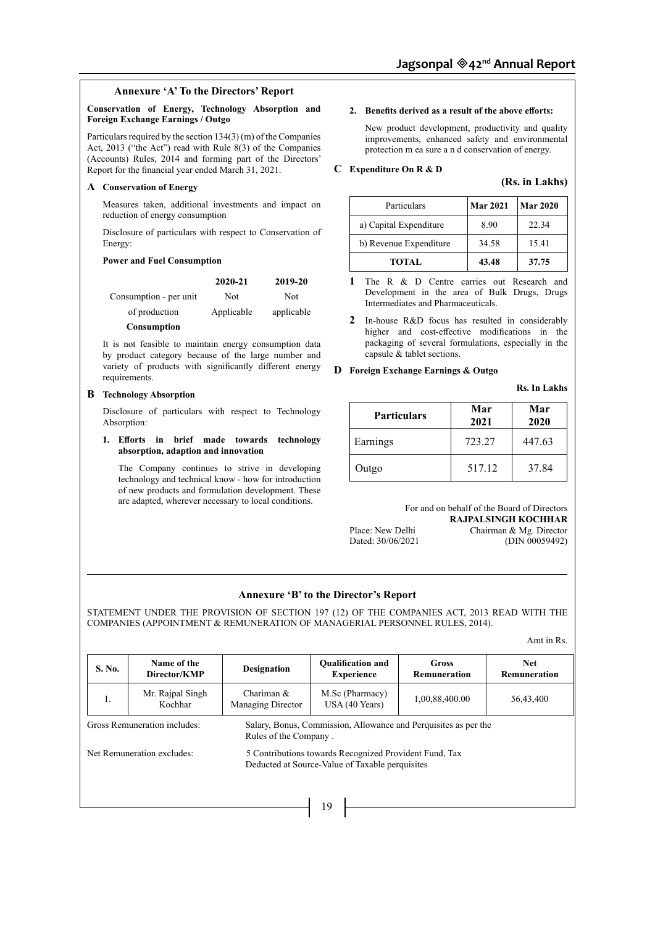# **Annexure 'A' To the Directors' Report**

# **Conservation of Energy, Technology Absorption and Foreign Exchange Earnings / Outgo**

Particulars required by the section 134(3) (m) of the Companies Act, 2013 ("the Act") read with Rule 8(3) of the Companies (Accounts) Rules, 2014 and forming part of the Directors' Report for the financial year ended March 31, 2021.

#### **A Conservation of Energy**

Measures taken, additional investments and impact on reduction of energy consumption

Disclosure of particulars with respect to Conservation of Energy:

#### **Power and Fuel Consumption**

|                        | 2020-21    | 2019-20    |
|------------------------|------------|------------|
| Consumption - per unit | Not        | Not        |
| of production          | Applicable | applicable |
| Consumption            |            |            |

It is not feasible to maintain energy consumption data by product category because of the large number and variety of products with significantly different energy requirements.

### **B Technology Absorption**

Disclosure of particulars with respect to Technology Absorption:

**1. Efforts in brief made towards technology absorption, adaption and innovation**

The Company continues to strive in developing technology and technical know - how for introduction of new products and formulation development. These are adapted, wherever necessary to local conditions.

#### **2. Benefits derived as a result of the above efforts:**

New product development, productivity and quality improvements, enhanced safety and environmental protection m ea sure a n d conservation of energy.

#### **C Expenditure On R & D**

#### **(Rs. in Lakhs)**

| Particulars            | <b>Mar 2021</b> | Mar 2020 |
|------------------------|-----------------|----------|
| a) Capital Expenditure | 8.90            | 22.34    |
| b) Revenue Expenditure | 34.58           | 15.41    |
| <b>TOTAL</b>           | 43.48           | 37.75    |

**1** The R & D Centre carries out Research and Development in the area of Bulk Drugs, Drugs Intermediates and Pharmaceuticals.

**2** In-house R&D focus has resulted in considerably higher and cost-effective modifications in the packaging of several formulations, especially in the capsule & tablet sections.

# **D Foreign Exchange Earnings & Outgo**

**Rs. In Lakhs**

| <b>Particulars</b> | Mar<br>2021 | Mar<br>2020 |
|--------------------|-------------|-------------|
| Earnings           | 723.27      | 447.63      |
| Outgo              | 517.12      | 37.84       |

For and on behalf of the Board of Directors

Dated: 30/06/2021

**RAJPALSINGH KOCHHAR** Place: New Delhi Chairman & Mg. Director<br>Dated: 30/06/2021 (DIN 00059492)

# **Annexure 'B' to the Director's Report**

STATEMENT UNDER THE PROVISION OF SECTION 197 (12) OF THE COMPANIES ACT, 2013 READ WITH THE COMPANIES (APPOINTMENT & REMUNERATION OF MANAGERIAL PERSONNEL RULES, 2014).

Amt in Rs.

| S. No.                       | Name of the<br>Director/KMP | <b>Designation</b>                                                                                        | <b>Oualification and</b><br><b>Experience</b>                   | <b>Gross</b><br>Remuneration | <b>Net</b><br>Remuneration |  |
|------------------------------|-----------------------------|-----------------------------------------------------------------------------------------------------------|-----------------------------------------------------------------|------------------------------|----------------------------|--|
| 1.                           | Mr. Rajpal Singh<br>Kochhar | Chariman $&$<br>Managing Director                                                                         | M.Sc (Pharmacy)<br>USA(40 Years)                                | 1,00,88,400.00               | 56,43,400                  |  |
| Gross Remuneration includes: |                             | Rules of the Company.                                                                                     | Salary, Bonus, Commission, Allowance and Perquisites as per the |                              |                            |  |
| Net Remuneration excludes:   |                             | 5 Contributions towards Recognized Provident Fund, Tax<br>Deducted at Source-Value of Taxable perquisites |                                                                 |                              |                            |  |
|                              |                             |                                                                                                           |                                                                 |                              |                            |  |
|                              |                             |                                                                                                           | 19                                                              |                              |                            |  |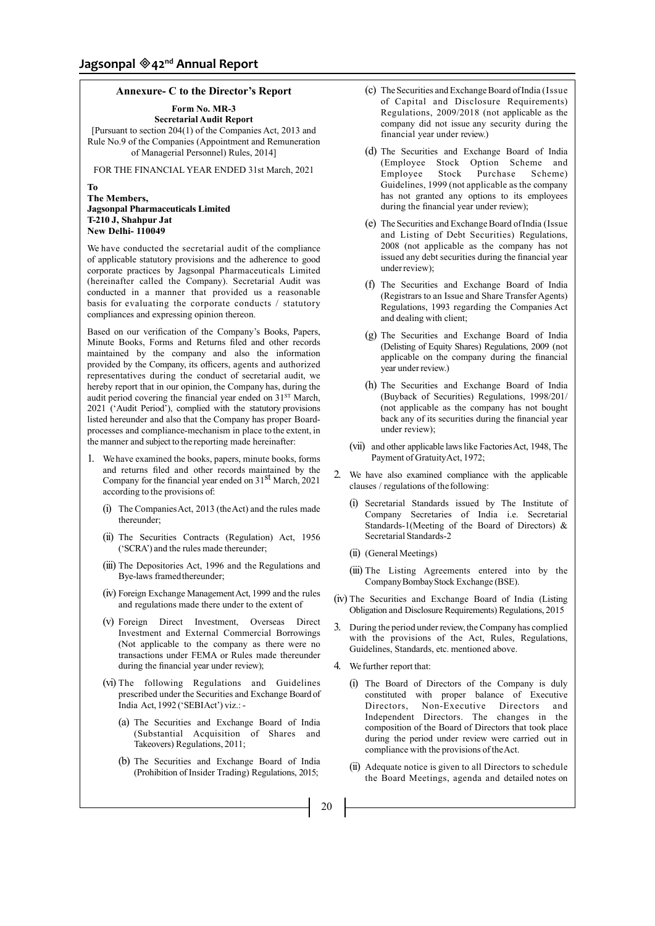# **Annexure- C to the Director's Report**

**Form No. MR-3**

**Secretarial Audit Report**  [Pursuant to section 204(1) of the Companies Act, 2013 and Rule No.9 of the Companies (Appointment and Remuneration of Managerial Personnel) Rules, 2014]

FOR THE FINANCIAL YEAR ENDED 31st March, 2021

**To**

# **The Members, Jagsonpal Pharmaceuticals Limited T-210 J, Shahpur Jat New Delhi- 110049**

We have conducted the secretarial audit of the compliance of applicable statutory provisions and the adherence to good corporate practices by Jagsonpal Pharmaceuticals Limited (hereinafter called the Company). Secretarial Audit was conducted in a manner that provided us a reasonable basis for evaluating the corporate conducts / statutory compliances and expressing opinion thereon.

Based on our verification of the Company's Books, Papers, Minute Books, Forms and Returns filed and other records maintained by the company and also the information provided by the Company, its officers, agents and authorized representatives during the conduct of secretarial audit, we hereby report that in our opinion, the Company has, during the audit period covering the financial year ended on 31<sup>ST</sup> March, 2021 ('Audit Period'), complied with the statutory provisions listed hereunder and also that the Company has proper Boardprocesses and compliance-mechanism in place to the extent, in the manner and subject to the reporting made hereinafter:

- 1. We have examined the books, papers, minute books, forms and returns filed and other records maintained by the Company for the financial year ended on  $31<sup>st</sup>$  March, 2021 according to the provisions of:
	- (i) The Companies Act, 2013 (the Act) and the rules made thereunder;
	- (ii) The Securities Contracts (Regulation) Act, 1956 ('SCRA') and the rules made thereunder;
	- (iii) The Depositories Act, 1996 and the Regulations and Bye-laws framed thereunder;
	- (iv) Foreign Exchange Management Act, 1999 and the rules and regulations made there under to the extent of
	- (v) Foreign Direct Investment, Overseas Direct Investment and External Commercial Borrowings (Not applicable to the company as there were no transactions under FEMA or Rules made thereunder during the financial year under review);
	- (vi) The following Regulations and Guidelines prescribed under the Securities and Exchange Board of India Act, 1992 ('SEBIAct') viz.: -
		- (a) The Securities and Exchange Board of India (Substantial Acquisition of Shares and Takeovers) Regulations, 2011;
		- (b) The Securities and Exchange Board of India (Prohibition of Insider Trading) Regulations, 2015;
- (c) The Securities and Exchange Board of India (Issue of Capital and Disclosure Requirements) Regulations, 2009/2018 (not applicable as the company did not issue any security during the financial year under review.)
- (d) The Securities and Exchange Board of India (Employee Stock Option Scheme and Employee Stock Purchase Scheme) Guidelines, 1999 (not applicable as the company has not granted any options to its employees during the financial year under review);
- (e) The Securities and Exchange Board of India (Issue and Listing of Debt Securities) Regulations, 2008 (not applicable as the company has not issued any debt securities during the financial year under review);
- (f) The Securities and Exchange Board of India (Registrars to an Issue and Share Transfer Agents) Regulations, 1993 regarding the Companies Act and dealing with client;
- (g) The Securities and Exchange Board of India (Delisting of Equity Shares) Regulations, 2009 (not applicable on the company during the financial year under review.)
- (h) The Securities and Exchange Board of India (Buyback of Securities) Regulations, 1998/201/ (not applicable as the company has not bought back any of its securities during the financial year under review);
- (vii) and other applicable laws like Factories Act, 1948, The Payment of Gratuity Act, 1972;
- 2. We have also examined compliance with the applicable clauses / regulations of the following:
	- (i) Secretarial Standards issued by The Institute of Company Secretaries of India i.e. Secretarial Standards-1(Meeting of the Board of Directors) & Secretarial Standards-2
	- (ii) (General Meetings)
	- (iii) The Listing Agreements entered into by the Company Bombay Stock Exchange (BSE).
- (iv) The Securities and Exchange Board of India (Listing Obligation and Disclosure Requirements) Regulations, 2015
- 3. During the period under review, the Company has complied with the provisions of the Act, Rules, Regulations, Guidelines, Standards, etc. mentioned above.
- 4. We further report that:
	- (i) The Board of Directors of the Company is duly constituted with proper balance of Executive Directors, Non-Executive Directors and Independent Directors. The changes in the composition of the Board of Directors that took place during the period under review were carried out in compliance with the provisions of the Act.
	- (ii) Adequate notice is given to all Directors to schedule the Board Meetings, agenda and detailed notes on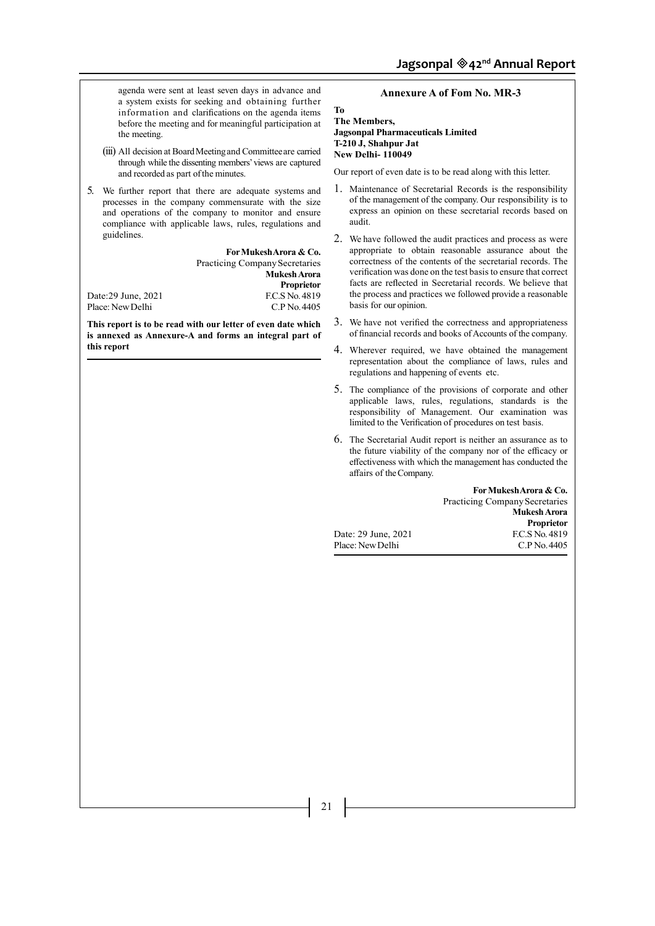agenda were sent at least seven days in advance and a system exists for seeking and obtaining further information and clarifications on the agenda items before the meeting and for meaningful participation at the meeting.

- (iii) All decision at Board Meeting and Committee are carried through while the dissenting members' views are captured and recorded as part of the minutes.
- 5. We further report that there are adequate systems and processes in the company commensurate with the size and operations of the company to monitor and ensure compliance with applicable laws, rules, regulations and guidelines.

**For Mukesh Arora & Co.** Practicing Company Secretaries **Mukesh Arora Proprietor**<br>**F.C.S** No. 4819 Date:29 June, 2021 F.C.S No. 4819<br>Place: New Delhi C.P No. 4405

**This report is to be read with our letter of even date which is annexed as Annexure-A and forms an integral part of this report**

Place: New Delhi

# **Annexure A of Fom No. MR-3**

**To The Members, Jagsonpal Pharmaceuticals Limited T-210 J, Shahpur Jat New Delhi- 110049**

Our report of even date is to be read along with this letter.

- 1. Maintenance of Secretarial Records is the responsibility of the management of the company. Our responsibility is to express an opinion on these secretarial records based on audit.
- 2. We have followed the audit practices and process as were appropriate to obtain reasonable assurance about the correctness of the contents of the secretarial records. The verification was done on the test basis to ensure that correct facts are reflected in Secretarial records. We believe that the process and practices we followed provide a reasonable basis for our opinion.
- 3. We have not verified the correctness and appropriateness of financial records and books of Accounts of the company.
- 4. Wherever required, we have obtained the management representation about the compliance of laws, rules and regulations and happening of events etc.
- 5. The compliance of the provisions of corporate and other applicable laws, rules, regulations, standards is the responsibility of Management. Our examination was limited to the Verification of procedures on test basis.
- 6. The Secretarial Audit report is neither an assurance as to the future viability of the company nor of the efficacy or effectiveness with which the management has conducted the affairs of the Company.

Date: 29 June, 2021

**For Mukesh Arora & Co.** Practicing Company Secretaries **Mukesh Arora Proprietor**<br>**F.C.S** No. 4819 Place: New Delhi C.P No. 4405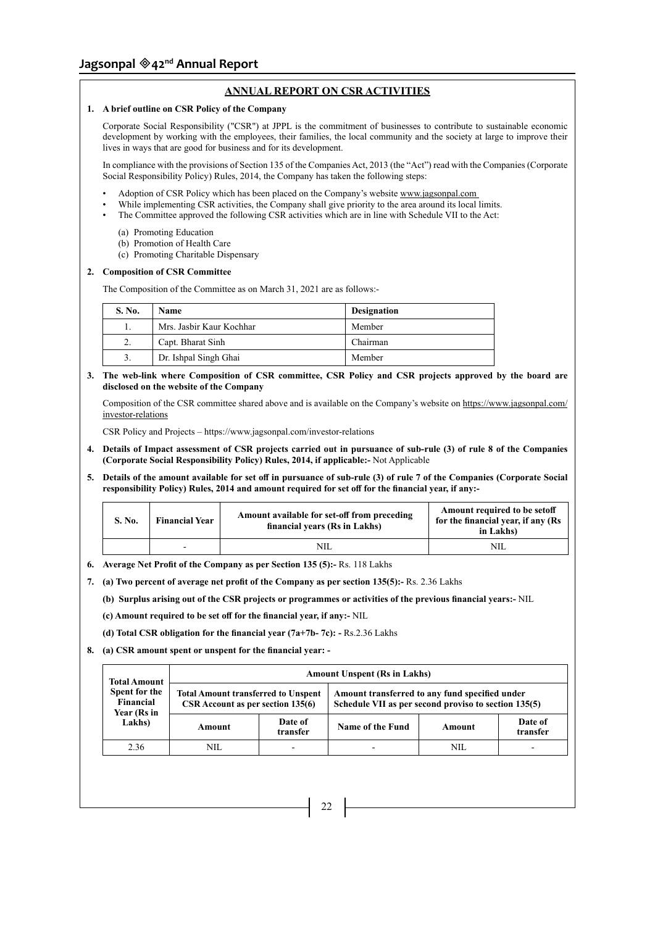# **ANNUAL REPORT ON CSR ACTIVITIES**

# **1. A brief outline on CSR Policy of the Company**

Corporate Social Responsibility ("CSR") at JPPL is the commitment of businesses to contribute to sustainable economic development by working with the employees, their families, the local community and the society at large to improve their lives in ways that are good for business and for its development.

In compliance with the provisions of Section 135 of the Companies Act, 2013 (the "Act") read with the Companies (Corporate Social Responsibility Policy) Rules, 2014, the Company has taken the following steps:

- Adoption of CSR Policy which has been placed on the Company's website www.jagsonpal.com
- While implementing CSR activities, the Company shall give priority to the area around its local limits.
- The Committee approved the following CSR activities which are in line with Schedule VII to the Act:
	- (a) Promoting Education
	- (b) Promotion of Health Care
	- (c) Promoting Charitable Dispensary

# **2. Composition of CSR Committee**

The Composition of the Committee as on March 31, 2021 are as follows:-

| S. No. | <b>Name</b>              | <b>Designation</b> |
|--------|--------------------------|--------------------|
| Ī.     | Mrs. Jashir Kaur Kochhar | Member             |
| 2.     | Capt. Bharat Sinh        | Chairman           |
| 3.     | Dr. Ishpal Singh Ghai    | Member             |

**3. The web-link where Composition of CSR committee, CSR Policy and CSR projects approved by the board are disclosed on the website of the Company**

Composition of the CSR committee shared above and is available on the Company's website on https://www.jagsonpal.com/ investor-relations

CSR Policy and Projects – https://www.jagsonpal.com/investor-relations

- **4. Details of Impact assessment of CSR projects carried out in pursuance of sub-rule (3) of rule 8 of the Companies (Corporate Social Responsibility Policy) Rules, 2014, if applicable:-** Not Applicable
- **5. Details of the amount available for set off in pursuance of sub-rule (3) of rule 7 of the Companies (Corporate Social responsibility Policy) Rules, 2014 and amount required for set off for the financial year, if any:-**

| S. No. | <b>Financial Year</b> | Amount available for set-off from preceding<br>financial years (Rs in Lakhs) | Amount required to be setoff<br>for the financial year, if any (Rs<br>in Lakhs) |
|--------|-----------------------|------------------------------------------------------------------------------|---------------------------------------------------------------------------------|
|        |                       | NIL.                                                                         | NIL.                                                                            |

- **6. Average Net Profit of the Company as per Section 135 (5):-** Rs. 118 Lakhs
- **7. (a) Two percent of average net profit of the Company as per section 135(5):-** Rs. 2.36 Lakhs

**(b) Surplus arising out of the CSR projects or programmes or activities of the previous financial years:-** NIL

- **(c) Amount required to be set off for the financial year, if any:-** NIL
- **(d) Total CSR obligation for the financial year (7a+7b- 7c):** Rs.2.36 Lakhs
- **8. (a) CSR amount spent or unspent for the financial year: -**

| <b>Total Amount</b>                       | <b>Amount Unspent (Rs in Lakhs)</b>                                                    |                     |                                                                                                        |        |                          |  |  |  |
|-------------------------------------------|----------------------------------------------------------------------------------------|---------------------|--------------------------------------------------------------------------------------------------------|--------|--------------------------|--|--|--|
| Spent for the<br>Financial<br>Year (Rs in | <b>Total Amount transferred to Unspent</b><br><b>CSR</b> Account as per section 135(6) |                     | Amount transferred to any fund specified under<br>Schedule VII as per second proviso to section 135(5) |        |                          |  |  |  |
| Lakhs)                                    | Amount                                                                                 | Date of<br>transfer | Name of the Fund                                                                                       | Amount | Date of<br>transfer      |  |  |  |
| 2.36                                      | NIL.                                                                                   | -                   |                                                                                                        | NIL.   | $\overline{\phantom{0}}$ |  |  |  |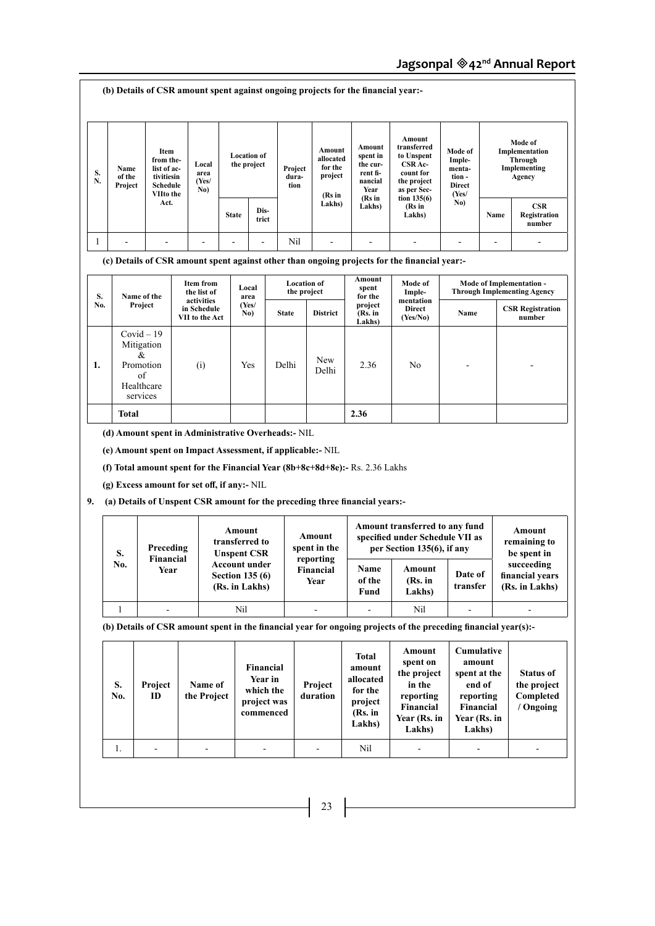| S.<br>N.  | Name<br>of the<br>Project | Item<br>from the-<br>list of ac-<br>tivitiesin<br><b>Schedule</b><br>VIIto the<br>Act. | Local<br>area<br>(Yes/<br>No)                                |                                                                                        | <b>Location of</b><br>the project                             | Project<br>dura-<br>tion                          | Amount<br>allocated<br>for the<br>project<br>(Rs in<br>Lakhs) | Amount<br>spent in<br>the cur-<br>rent fi-<br>nancial<br>Year<br>(Rs in<br>Lakhs)    | Amount<br>transferred<br>to Unspent<br>CSR Ac-<br>count for<br>the project<br>as per Sec-<br>tion $135(6)$<br>(Rs in                                                                                               | Mode of<br>Imple-<br>menta-<br>tion -<br><b>Direct</b><br>(Yes/<br>No)                             |                | Mode of<br>Implementation<br>Through<br>Implementing<br>Agency<br>CSR                            |
|-----------|---------------------------|----------------------------------------------------------------------------------------|--------------------------------------------------------------|----------------------------------------------------------------------------------------|---------------------------------------------------------------|---------------------------------------------------|---------------------------------------------------------------|--------------------------------------------------------------------------------------|--------------------------------------------------------------------------------------------------------------------------------------------------------------------------------------------------------------------|----------------------------------------------------------------------------------------------------|----------------|--------------------------------------------------------------------------------------------------|
|           |                           |                                                                                        |                                                              | <b>State</b>                                                                           | Dis-<br>trict                                                 |                                                   |                                                               |                                                                                      | Lakhs)                                                                                                                                                                                                             |                                                                                                    | Name           | Registration<br>number                                                                           |
| 1         | ÷,                        |                                                                                        |                                                              |                                                                                        |                                                               | Nil                                               |                                                               |                                                                                      | (c) Details of CSR amount spent against other than ongoing projects for the financial year:-                                                                                                                       | $\blacksquare$                                                                                     | $\blacksquare$ |                                                                                                  |
| S.<br>No. |                           | Name of the<br>Project                                                                 | <b>Item from</b><br>the list of<br>activities<br>in Schedule |                                                                                        | Local<br>area<br>(Yes/<br>No)                                 | <b>Location of</b><br>the project<br><b>State</b> | <b>District</b>                                               | Amount<br>spent<br>for the<br>project<br>(Rs. in                                     | Mode of<br>Imple-<br>mentation<br><b>Direct</b>                                                                                                                                                                    | Name                                                                                               |                | <b>Mode of Implementation -</b><br><b>Through Implementing Agency</b><br><b>CSR Registration</b> |
| 1.        |                           | $Covid - 19$<br>Mitigation<br>&<br>Promotion<br>of<br>Healthcare                       | VII to the Act<br>(i)                                        |                                                                                        | Yes                                                           | Delhi                                             | New<br>Delhi                                                  | Lakhs)<br>2.36                                                                       | (Yes/No)<br>No                                                                                                                                                                                                     |                                                                                                    |                | number                                                                                           |
|           |                           | services                                                                               |                                                              |                                                                                        |                                                               |                                                   |                                                               |                                                                                      |                                                                                                                                                                                                                    |                                                                                                    |                |                                                                                                  |
|           | Total                     | (d) Amount spent in Administrative Overheads: NIL                                      |                                                              |                                                                                        |                                                               |                                                   | (e) Amount spent on Impact Assessment, if applicable:- NIL    | 2.36<br>(f) Total amount spent for the Financial Year (8b+8c+8d+8e):- Rs. 2.36 Lakhs |                                                                                                                                                                                                                    |                                                                                                    |                |                                                                                                  |
| 9.        |                           | (g) Excess amount for set off, if any:- NIL<br>Preceding                               |                                                              | Amount<br>transferred to                                                               |                                                               |                                                   | Amount<br>spent in the                                        | (a) Details of Unspent CSR amount for the preceding three financial years:-          | Amount transferred to any fund<br>specified under Schedule VII as<br>per Section 135(6), if any                                                                                                                    |                                                                                                    |                | Amount<br>remaining to                                                                           |
|           | S.<br>No.                 | <b>Financial</b><br>Year                                                               |                                                              | <b>Unspent CSR</b><br><b>Account under</b><br><b>Section 135 (6)</b><br>(Rs. in Lakhs) |                                                               |                                                   | reporting<br><b>Financial</b><br>Year                         | Name<br>of the<br>Fund                                                               | Amount<br>(Rs. in<br>Lakhs)                                                                                                                                                                                        | Date of<br>transfer                                                                                |                | be spent in<br>succeeding<br>financial years<br>(Rs. in Lakhs)                                   |
|           | $\mathbf{1}$              |                                                                                        |                                                              | Nil                                                                                    |                                                               |                                                   | ٠                                                             |                                                                                      | Nil                                                                                                                                                                                                                |                                                                                                    |                |                                                                                                  |
|           | S.<br>No.                 | Project<br>ID                                                                          | Name of<br>the Project                                       |                                                                                        | Financial<br>Year in<br>which the<br>project was<br>commenced |                                                   | Project<br>duration                                           | <b>Total</b><br>amount<br>allocated<br>for the<br>project<br>(Rs. in<br>Lakhs)       | (b) Details of CSR amount spent in the financial year for ongoing projects of the preceding financial year(s):-<br>Amount<br>spent on<br>the project<br>in the<br>reporting<br>Financial<br>Year (Rs. in<br>Lakhs) | Cumulative<br>amount<br>spent at the<br>end of<br>reporting<br>Financial<br>Year (Rs. in<br>Lakhs) |                | <b>Status of</b><br>the project<br>Completed<br>/ Ongoing                                        |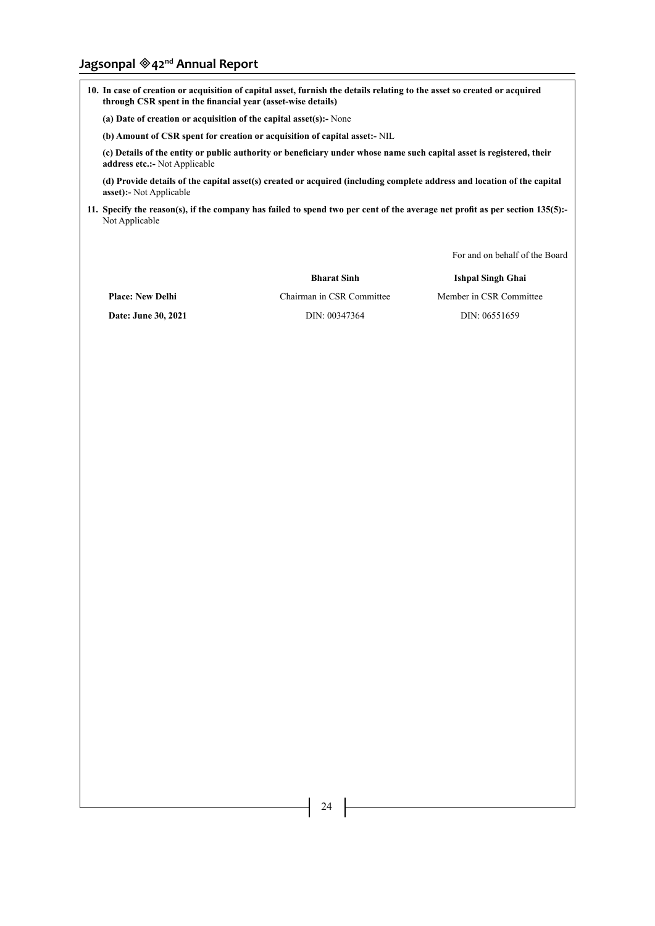# **Jagsonpal 42nd Annual Report**

**10. In case of creation or acquisition of capital asset, furnish the details relating to the asset so created or acquired through CSR spent in the financial year (asset-wise details)**

**(a) Date of creation or acquisition of the capital asset(s):-** None

**(b) Amount of CSR spent for creation or acquisition of capital asset:-** NIL

**(c) Details of the entity or public authority or beneficiary under whose name such capital asset is registered, their address etc.:-** Not Applicable

**(d) Provide details of the capital asset(s) created or acquired (including complete address and location of the capital asset):-** Not Applicable

**11. Specify the reason(s), if the company has failed to spend two per cent of the average net profit as per section 135(5):-** Not Applicable

For and on behalf of the Board

**Bharat Sinh Ishpal Singh Ghai**

**Place: New Delhi** Chairman in CSR Committee Member in CSR Committee **Date: June 30, 2021 DIN: 00347364 DIN: 00351659 DIN: 00551659**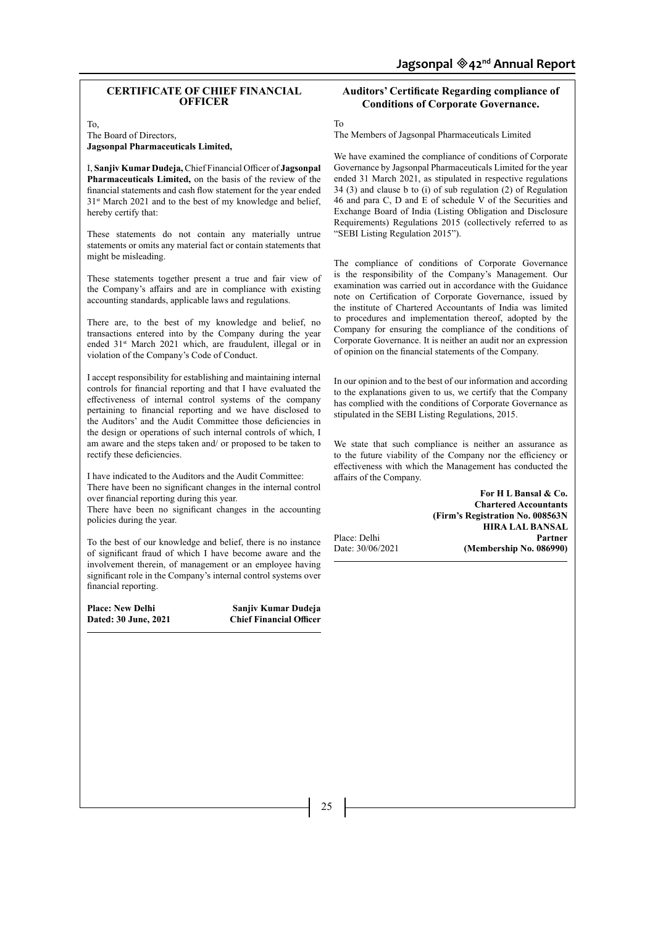#### **CERTIFICATE OF CHIEF FINANCIAL OFFICER**

To,

The Board of Directors, **Jagsonpal Pharmaceuticals Limited,**

I, **Sanjiv Kumar Dudeja,** Chief Financial Officer of **Jagsonpal Pharmaceuticals Limited,** on the basis of the review of the financial statements and cash flow statement for the year ended 31st March 2021 and to the best of my knowledge and belief, hereby certify that:

These statements do not contain any materially untrue statements or omits any material fact or contain statements that might be misleading.

These statements together present a true and fair view of the Company's affairs and are in compliance with existing accounting standards, applicable laws and regulations.

There are, to the best of my knowledge and belief, no transactions entered into by the Company during the year ended 31<sup>st</sup> March 2021 which, are fraudulent, illegal or in violation of the Company's Code of Conduct.

I accept responsibility for establishing and maintaining internal controls for financial reporting and that I have evaluated the effectiveness of internal control systems of the company pertaining to financial reporting and we have disclosed to the Auditors' and the Audit Committee those deficiencies in the design or operations of such internal controls of which, I am aware and the steps taken and/ or proposed to be taken to rectify these deficiencies.

I have indicated to the Auditors and the Audit Committee: There have been no significant changes in the internal control over financial reporting during this year.

There have been no significant changes in the accounting policies during the year.

To the best of our knowledge and belief, there is no instance of significant fraud of which I have become aware and the involvement therein, of management or an employee having significant role in the Company's internal control systems over financial reporting.

Place: New Delhi **Sanjiv Kumar Dudeja**<br>
Dated: 30 June, 2021 **Chief Financial Officer Dated: 30 June, 2021** 

# **Auditors' Certificate Regarding compliance of Conditions of Corporate Governance.**

To

The Members of Jagsonpal Pharmaceuticals Limited

We have examined the compliance of conditions of Corporate Governance by Jagsonpal Pharmaceuticals Limited for the year ended 31 March 2021, as stipulated in respective regulations 34 (3) and clause b to (i) of sub regulation (2) of Regulation 46 and para C, D and E of schedule V of the Securities and Exchange Board of India (Listing Obligation and Disclosure Requirements) Regulations 2015 (collectively referred to as "SEBI Listing Regulation 2015").

The compliance of conditions of Corporate Governance is the responsibility of the Company's Management. Our examination was carried out in accordance with the Guidance note on Certification of Corporate Governance, issued by the institute of Chartered Accountants of India was limited to procedures and implementation thereof, adopted by the Company for ensuring the compliance of the conditions of Corporate Governance. It is neither an audit nor an expression of opinion on the financial statements of the Company.

In our opinion and to the best of our information and according to the explanations given to us, we certify that the Company has complied with the conditions of Corporate Governance as stipulated in the SEBI Listing Regulations, 2015.

We state that such compliance is neither an assurance as to the future viability of the Company nor the efficiency or effectiveness with which the Management has conducted the affairs of the Company.

**For H L Bansal & Co. Chartered Accountants (Firm's Registration No. 008563N HIRA LAL BANSAL**  Place: Delhi<br>Date: 30/06/2021 (Membership No. 086990)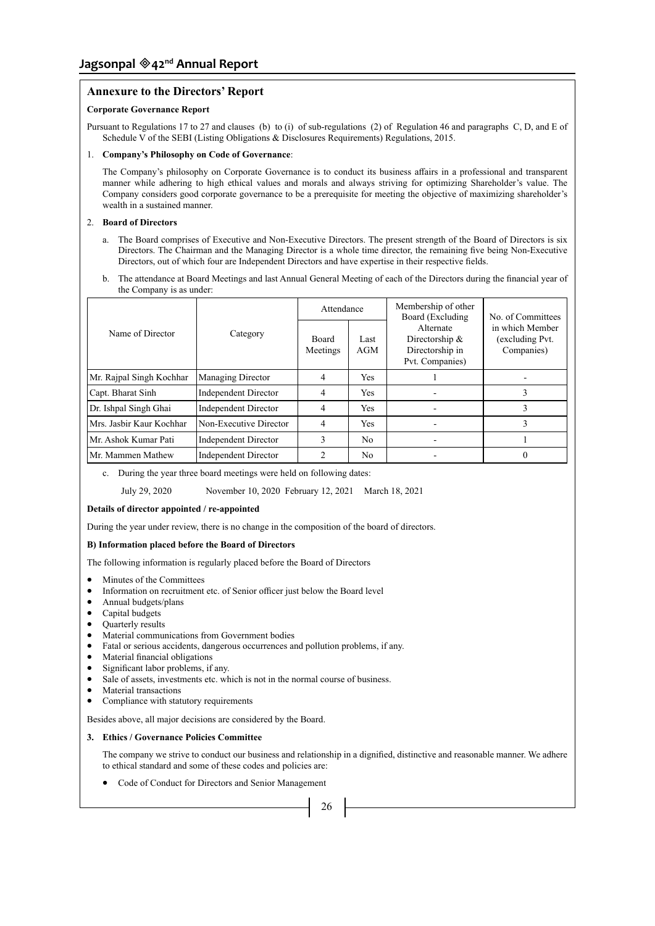# **Annexure to the Directors' Report**

# **Corporate Governance Report**

Pursuant to Regulations 17 to 27 and clauses (b) to (i) of sub-regulations (2) of Regulation 46 and paragraphs C, D, and E of Schedule V of the SEBI (Listing Obligations & Disclosures Requirements) Regulations, 2015.

# 1. **Company's Philosophy on Code of Governance**:

The Company's philosophy on Corporate Governance is to conduct its business affairs in a professional and transparent manner while adhering to high ethical values and morals and always striving for optimizing Shareholder's value. The Company considers good corporate governance to be a prerequisite for meeting the objective of maximizing shareholder's wealth in a sustained manner.

# 2. **Board of Directors**

- a. The Board comprises of Executive and Non-Executive Directors. The present strength of the Board of Directors is six Directors. The Chairman and the Managing Director is a whole time director, the remaining five being Non-Executive Directors, out of which four are Independent Directors and have expertise in their respective fields.
- b. The attendance at Board Meetings and last Annual General Meeting of each of the Directors during the financial year of the Company is as under:

|                                              |                             | Attendance        |                | Membership of other<br>Board (Excluding<br>No. of Committees      |                                                  |  |  |
|----------------------------------------------|-----------------------------|-------------------|----------------|-------------------------------------------------------------------|--------------------------------------------------|--|--|
| Name of Director                             | Category                    | Board<br>Meetings | Last<br>AGM    | Alternate<br>Directorship &<br>Directorship in<br>Pvt. Companies) | in which Member<br>(excluding Pvt.<br>Companies) |  |  |
| Mr. Rajpal Singh Kochhar                     | <b>Managing Director</b>    | 4                 | Yes.           |                                                                   |                                                  |  |  |
| Capt. Bharat Sinh                            | <b>Independent Director</b> | $\overline{4}$    | Yes            |                                                                   | 3                                                |  |  |
| Dr. Ishpal Singh Ghai                        | Independent Director        | 4                 | Yes            |                                                                   |                                                  |  |  |
| Mrs. Jasbir Kaur Kochhar                     | Non-Executive Director      | 4                 | <b>Yes</b>     |                                                                   | 3                                                |  |  |
| Mr. Ashok Kumar Pati<br>Independent Director |                             | 3                 | N <sub>0</sub> |                                                                   |                                                  |  |  |
| Mr. Mammen Mathew                            | Independent Director        | $\mathcal{L}$     | N <sub>0</sub> |                                                                   | $\theta$                                         |  |  |

c. During the year three board meetings were held on following dates:

July 29, 2020 November 10, 2020 February 12, 2021 March 18, 2021

#### **Details of director appointed / re-appointed**

During the year under review, there is no change in the composition of the board of directors.

# **B) Information placed before the Board of Directors**

The following information is regularly placed before the Board of Directors

- Minutes of the Committees
- Information on recruitment etc. of Senior officer just below the Board level
- Annual budgets/plans
- Capital budgets<br>• Ouarterly results
- Quarterly results
- • Material communications from Government bodies
- • Fatal or serious accidents, dangerous occurrences and pollution problems, if any.
- Material financial obligations
- • Significant labor problems, if any.
- Sale of assets, investments etc. which is not in the normal course of business.
- • Material transactions
- Compliance with statutory requirements

Besides above, all major decisions are considered by the Board.

#### **3. Ethics / Governance Policies Committee**

The company we strive to conduct our business and relationship in a dignified, distinctive and reasonable manner. We adhere to ethical standard and some of these codes and policies are:

Code of Conduct for Directors and Senior Management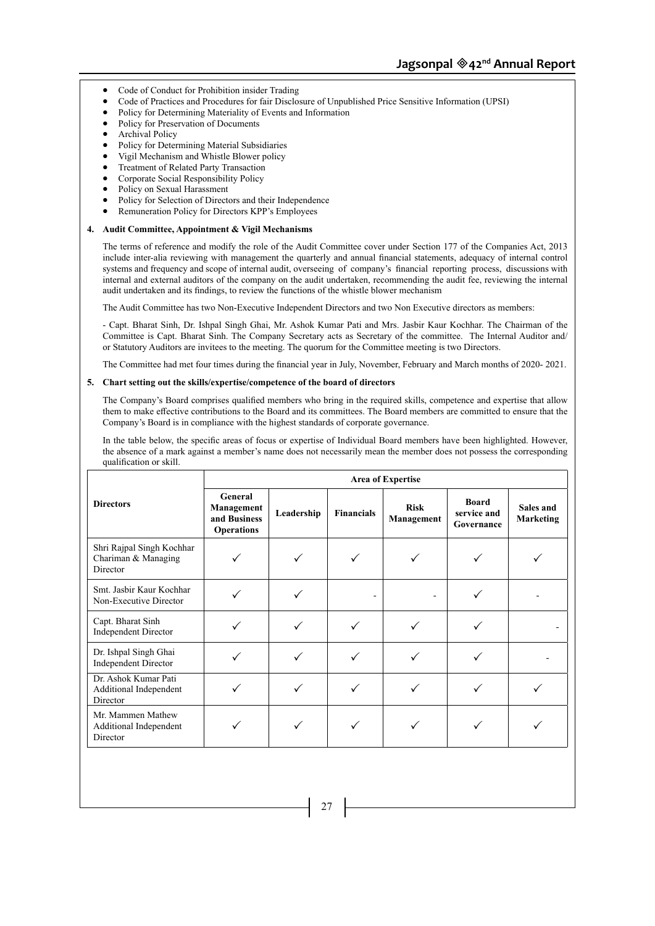- Code of Conduct for Prohibition insider Trading
- Code of Practices and Procedures for fair Disclosure of Unpublished Price Sensitive Information (UPSI)
- Policy for Determining Materiality of Events and Information
- Policy for Preservation of Documents
- **Archival Policy**
- Policy for Determining Material Subsidiaries
- Vigil Mechanism and Whistle Blower policy
- Treatment of Related Party Transaction
- Corporate Social Responsibility Policy
- Policy on Sexual Harassment
- Policy for Selection of Directors and their Independence
- Remuneration Policy for Directors KPP's Employees

#### **4. Audit Committee, Appointment & Vigil Mechanisms**

The terms of reference and modify the role of the Audit Committee cover under Section 177 of the Companies Act, 2013 include inter-alia reviewing with management the quarterly and annual financial statements, adequacy of internal control systems and frequency and scope of internal audit, overseeing of company's financial reporting process, discussions with internal and external auditors of the company on the audit undertaken, recommending the audit fee, reviewing the internal audit undertaken and its findings, to review the functions of the whistle blower mechanism

The Audit Committee has two Non-Executive Independent Directors and two Non Executive directors as members:

- Capt. Bharat Sinh, Dr. Ishpal Singh Ghai, Mr. Ashok Kumar Pati and Mrs. Jasbir Kaur Kochhar. The Chairman of the Committee is Capt. Bharat Sinh. The Company Secretary acts as Secretary of the committee. The Internal Auditor and/ or Statutory Auditors are invitees to the meeting. The quorum for the Committee meeting is two Directors.

The Committee had met four times during the financial year in July, November, February and March months of 2020- 2021.

#### **5. Chart setting out the skills/expertise/competence of the board of directors**

The Company's Board comprises qualified members who bring in the required skills, competence and expertise that allow them to make effective contributions to the Board and its committees. The Board members are committed to ensure that the Company's Board is in compliance with the highest standards of corporate governance.

In the table below, the specific areas of focus or expertise of Individual Board members have been highlighted. However, the absence of a mark against a member's name does not necessarily mean the member does not possess the corresponding qualification or skill.

|                                                              |                                                            |            |                   | <b>Area of Expertise</b>  |                                           |                               |
|--------------------------------------------------------------|------------------------------------------------------------|------------|-------------------|---------------------------|-------------------------------------------|-------------------------------|
| <b>Directors</b>                                             | General<br>Management<br>and Business<br><b>Operations</b> | Leadership | <b>Financials</b> | <b>Risk</b><br>Management | <b>Board</b><br>service and<br>Governance | Sales and<br><b>Marketing</b> |
| Shri Rajpal Singh Kochhar<br>Chariman & Managing<br>Director |                                                            |            |                   |                           |                                           |                               |
| Smt. Jasbir Kaur Kochhar<br>Non-Executive Director           |                                                            |            |                   |                           |                                           |                               |
| Capt. Bharat Sinh<br><b>Independent Director</b>             |                                                            |            |                   |                           |                                           |                               |
| Dr. Ishpal Singh Ghai<br><b>Independent Director</b>         |                                                            |            |                   |                           |                                           |                               |
| Dr. Ashok Kumar Pati<br>Additional Independent<br>Director   |                                                            |            |                   |                           |                                           |                               |
| Mr. Mammen Mathew<br>Additional Independent<br>Director      |                                                            |            |                   |                           |                                           |                               |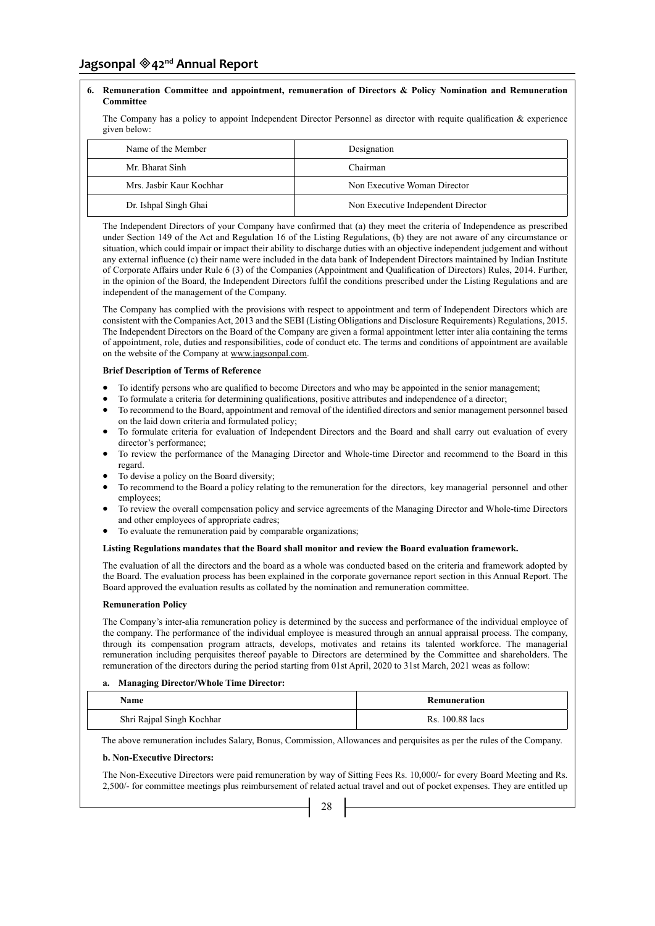# **Jagsonpal 42nd Annual Report**

# **6. Remuneration Committee and appointment, remuneration of Directors & Policy Nomination and Remuneration Committee**

The Company has a policy to appoint Independent Director Personnel as director with requite qualification & experience given below:

| Name of the Member       | Designation                        |
|--------------------------|------------------------------------|
| Mr. Bharat Sinh          | Chairman                           |
| Mrs. Jashir Kaur Kochhar | Non Executive Woman Director       |
| Dr. Ishpal Singh Ghai    | Non Executive Independent Director |

The Independent Directors of your Company have confirmed that (a) they meet the criteria of Independence as prescribed under Section 149 of the Act and Regulation 16 of the Listing Regulations, (b) they are not aware of any circumstance or situation, which could impair or impact their ability to discharge duties with an objective independent judgement and without any external influence (c) their name were included in the data bank of Independent Directors maintained by Indian Institute of Corporate Affairs under Rule 6 (3) of the Companies (Appointment and Qualification of Directors) Rules, 2014. Further, in the opinion of the Board, the Independent Directors fulfil the conditions prescribed under the Listing Regulations and are independent of the management of the Company.

The Company has complied with the provisions with respect to appointment and term of Independent Directors which are consistent with the Companies Act, 2013 and the SEBI (Listing Obligations and Disclosure Requirements) Regulations, 2015. The Independent Directors on the Board of the Company are given a formal appointment letter inter alia containing the terms of appointment, role, duties and responsibilities, code of conduct etc. The terms and conditions of appointment are available on the website of the Company at www.jagsonpal.com.

# **Brief Description of Terms of Reference**

- To identify persons who are qualified to become Directors and who may be appointed in the senior management;
- To formulate a criteria for determining qualifications, positive attributes and independence of a director;
- To recommend to the Board, appointment and removal of the identified directors and senior management personnel based on the laid down criteria and formulated policy;
- To formulate criteria for evaluation of Independent Directors and the Board and shall carry out evaluation of every director's performance;
- To review the performance of the Managing Director and Whole-time Director and recommend to the Board in this regard.
- To devise a policy on the Board diversity;
- To recommend to the Board a policy relating to the remuneration for the directors, key managerial personnel and other employees;
- To review the overall compensation policy and service agreements of the Managing Director and Whole-time Directors and other employees of appropriate cadres;
- To evaluate the remuneration paid by comparable organizations;

#### **Listing Regulations mandates that the Board shall monitor and review the Board evaluation framework.**

The evaluation of all the directors and the board as a whole was conducted based on the criteria and framework adopted by the Board. The evaluation process has been explained in the corporate governance report section in this Annual Report. The Board approved the evaluation results as collated by the nomination and remuneration committee.

# **Remuneration Policy**

The Company's inter-alia remuneration policy is determined by the success and performance of the individual employee of the company. The performance of the individual employee is measured through an annual appraisal process. The company, through its compensation program attracts, develops, motivates and retains its talented workforce. The managerial remuneration including perquisites thereof payable to Directors are determined by the Committee and shareholders. The remuneration of the directors during the period starting from 01st April, 2020 to 31st March, 2021 weas as follow:

# **a. Managing Director/Whole Time Director:**

| Name                      | Remuneration    |
|---------------------------|-----------------|
| Shri Rajpal Singh Kochhar | Rs. 100.88 lacs |

The above remuneration includes Salary, Bonus, Commission, Allowances and perquisites as per the rules of the Company.

#### **b. Non-Executive Directors:**

The Non-Executive Directors were paid remuneration by way of Sitting Fees Rs. 10,000/- for every Board Meeting and Rs. 2,500/- for committee meetings plus reimbursement of related actual travel and out of pocket expenses. They are entitled up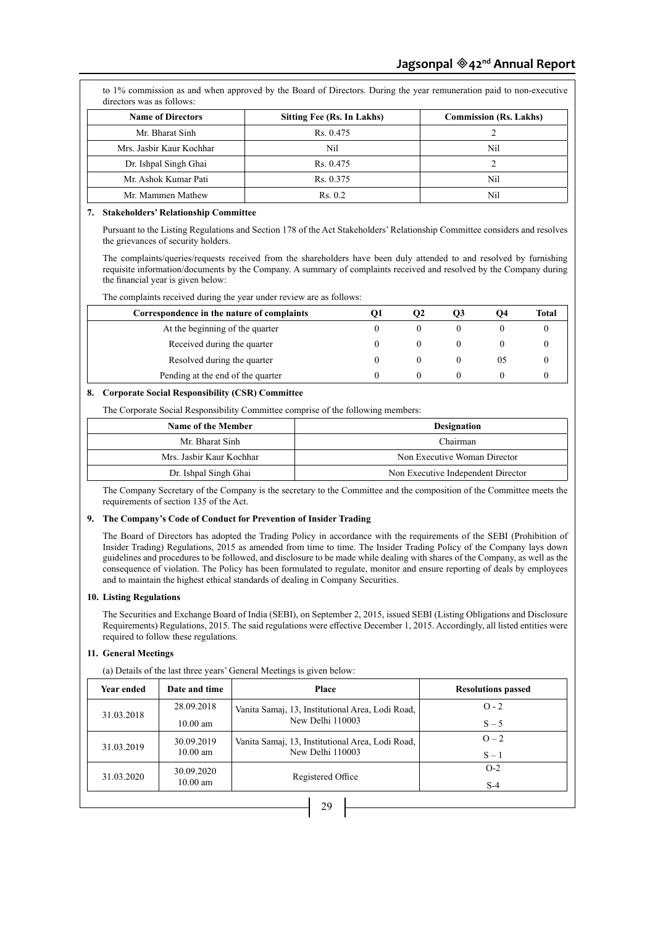| <b>Name of Directors</b> | Sitting Fee (Rs. In Lakhs) | <b>Commission (Rs. Lakhs)</b> |
|--------------------------|----------------------------|-------------------------------|
| Mr. Bharat Sinh          | Rs. 0.475                  |                               |
| Mrs. Jashir Kaur Kochhar | Nil                        | Nil                           |
| Dr. Ishpal Singh Ghai    | Rs. 0.475                  |                               |
| Mr. Ashok Kumar Pati     | Rs. 0.375                  | Nil                           |
| Mr. Mammen Mathew        | Rs. 0.2                    | Nil                           |

# **7. Stakeholders' Relationship Committee**

Pursuant to the Listing Regulations and Section 178 of the Act Stakeholders' Relationship Committee considers and resolves the grievances of security holders.

The complaints/queries/requests received from the shareholders have been duly attended to and resolved by furnishing requisite information/documents by the Company. A summary of complaints received and resolved by the Company during the financial year is given below:

The complaints received during the year under review are as follows:

| Correspondence in the nature of complaints | IJ | O2         | O3 | O4 | Total |
|--------------------------------------------|----|------------|----|----|-------|
| At the beginning of the quarter            |    |            |    |    |       |
| Received during the quarter                |    | $^{\circ}$ |    |    |       |
| Resolved during the quarter                |    |            |    | U5 |       |
| Pending at the end of the quarter          |    |            |    |    |       |

# **8. Corporate Social Responsibility (CSR) Committee**

The Corporate Social Responsibility Committee comprise of the following members:

| Name of the Member       | <b>Designation</b>                 |
|--------------------------|------------------------------------|
| Mr. Bharat Sinh          | Chairman                           |
| Mrs. Jashir Kaur Kochhar | Non Executive Woman Director       |
| Dr. Ishpal Singh Ghai    | Non Executive Independent Director |

The Company Secretary of the Company is the secretary to the Committee and the composition of the Committee meets the requirements of section 135 of the Act.

#### **9. The Company's Code of Conduct for Prevention of Insider Trading**

The Board of Directors has adopted the Trading Policy in accordance with the requirements of the SEBI (Prohibition of Insider Trading) Regulations, 2015 as amended from time to time. The Insider Trading Policy of the Company lays down guidelines and procedures to be followed, and disclosure to be made while dealing with shares of the Company, as well as the consequence of violation. The Policy has been formulated to regulate, monitor and ensure reporting of deals by employees and to maintain the highest ethical standards of dealing in Company Securities.

#### **10. Listing Regulations**

The Securities and Exchange Board of India (SEBI), on September 2, 2015, issued SEBI (Listing Obligations and Disclosure Requirements) Regulations, 2015. The said regulations were effective December 1, 2015. Accordingly, all listed entities were required to follow these regulations.

# **11. General Meetings**

(a) Details of the last three years' General Meetings is given below:

| Year ended   | Date and time | Place                                            | <b>Resolutions passed</b> |  |
|--------------|---------------|--------------------------------------------------|---------------------------|--|
|              | 28.09.2018    | Vanita Samaj, 13, Institutional Area, Lodi Road, | $O - 2$                   |  |
| 31.03.2018   | $10.00$ am    | New Delhi 110003                                 | $S - 5$                   |  |
| 31.03.2019   | 30.09.2019    | Vanita Samaj, 13, Institutional Area, Lodi Road, | $Q = 2$                   |  |
|              | $10.00$ am    | New Delhi 110003                                 | $S-1$                     |  |
| 31.03.2020   | 30.09.2020    | Registered Office                                | $O-2$                     |  |
|              | $10.00$ am    |                                                  | $S-4$                     |  |
| $\mathbf{A}$ |               |                                                  |                           |  |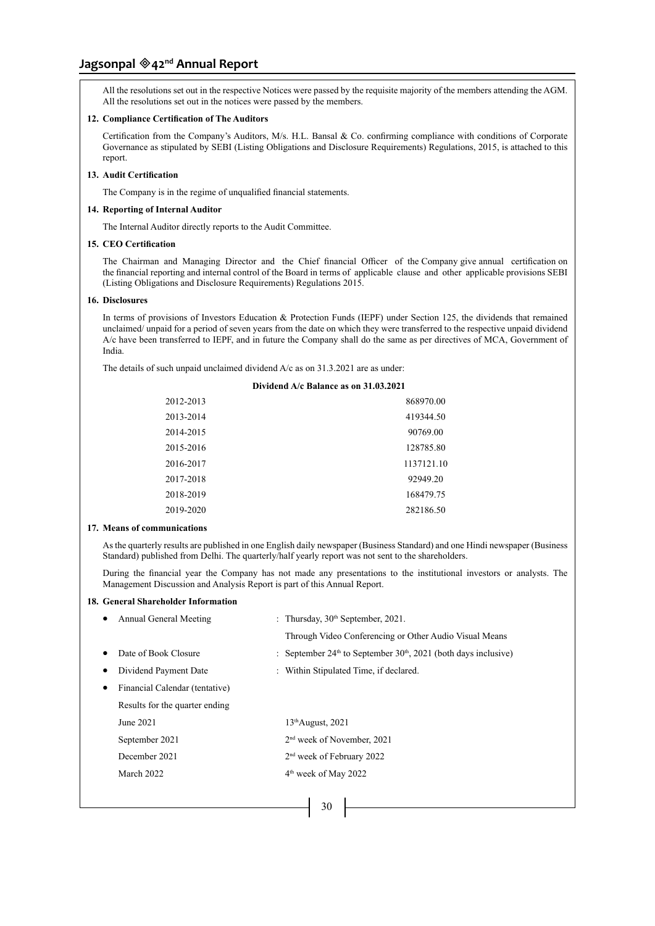# **Jagsonpal 42nd Annual Report**

All the resolutions set out in the respective Notices were passed by the requisite majority of the members attending the AGM. All the resolutions set out in the notices were passed by the members.

# **12. Compliance Certification of The Auditors**

Certification from the Company's Auditors, M/s. H.L. Bansal & Co. confirming compliance with conditions of Corporate Governance as stipulated by SEBI (Listing Obligations and Disclosure Requirements) Regulations, 2015, is attached to this report.

#### **13. Audit Certification**

The Company is in the regime of unqualified financial statements.

# **14. Reporting of Internal Auditor**

The Internal Auditor directly reports to the Audit Committee.

#### **15. CEO Certification**

The Chairman and Managing Director and the Chief financial Officer of the Company give annual certification on the financial reporting and internal control of the Board in terms of applicable clause and other applicable provisions SEBI (Listing Obligations and Disclosure Requirements) Regulations 2015.

# **16. Disclosures**

In terms of provisions of Investors Education & Protection Funds (IEPF) under Section 125, the dividends that remained unclaimed/ unpaid for a period of seven years from the date on which they were transferred to the respective unpaid dividend A/c have been transferred to IEPF, and in future the Company shall do the same as per directives of MCA, Government of India.

The details of such unpaid unclaimed dividend A/c as on 31.3.2021 are as under:

# **Dividend A/c Balance as on 31.03.2021**

| 2012-2013 | 868970.00  |
|-----------|------------|
| 2013-2014 | 419344.50  |
| 2014-2015 | 90769.00   |
| 2015-2016 | 128785.80  |
| 2016-2017 | 1137121.10 |
| 2017-2018 | 92949.20   |
| 2018-2019 | 168479.75  |
| 2019-2020 | 282186.50  |
|           |            |

#### **17. Means of communications**

As the quarterly results are published in one English daily newspaper (Business Standard) and one Hindi newspaper (Business Standard) published from Delhi. The quarterly/half yearly report was not sent to the shareholders.

During the financial year the Company has not made any presentations to the institutional investors or analysts. The Management Discussion and Analysis Report is part of this Annual Report.

#### **18. General Shareholder Information**

| Annual General Meeting         | : Thursday, $30th$ September, 2021.                                   |
|--------------------------------|-----------------------------------------------------------------------|
|                                | Through Video Conferencing or Other Audio Visual Means                |
| Date of Book Closure           | : September $24th$ to September $30th$ , $2021$ (both days inclusive) |
| Dividend Payment Date          | : Within Stipulated Time, if declared.                                |
| Financial Calendar (tentative) |                                                                       |
| Results for the quarter ending |                                                                       |
| June 2021                      | $13th$ August, 2021                                                   |
| September 2021                 | $2nd$ week of November, 2021                                          |
| December 2021                  | 2 <sup>nd</sup> week of February 2022                                 |
| March 2022                     | $4th$ week of May 2022                                                |
|                                |                                                                       |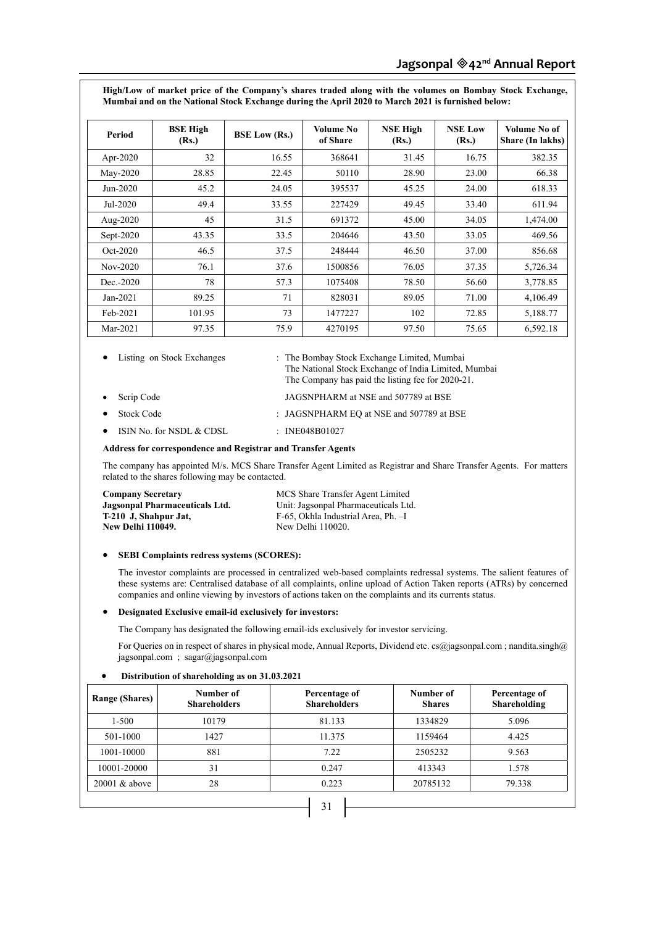**High/Low of market price of the Company's shares traded along with the volumes on Bombay Stock Exchange, Mumbai and on the National Stock Exchange during the April 2020 to March 2021 is furnished below:**

| Period       | <b>BSE High</b><br>(Rs.) | <b>BSE Low (Rs.)</b> | Volume No<br>of Share | <b>NSE High</b><br>(Rs.) | <b>NSE Low</b><br>(Rs.) | Volume No of<br>Share (In lakhs) |
|--------------|--------------------------|----------------------|-----------------------|--------------------------|-------------------------|----------------------------------|
| Apr-2020     | 32                       | 16.55                | 368641                | 31.45                    | 16.75                   | 382.35                           |
| May-2020     | 28.85                    | 22.45                | 50110                 | 28.90                    | 23.00                   | 66.38                            |
| $Jun-2020$   | 45.2                     | 24.05                | 395537                | 45.25                    | 24.00                   | 618.33                           |
| Jul-2020     | 49.4                     | 33.55                | 227429                | 49.45                    | 33.40                   | 611.94                           |
| Aug- $2020$  | 45                       | 31.5                 | 691372                | 45.00                    | 34.05                   | 1,474.00                         |
| Sept- $2020$ | 43.35                    | 33.5                 | 204646                | 43.50                    | 33.05                   | 469.56                           |
| $Oct-2020$   | 46.5                     | 37.5                 | 248444                | 46.50                    | 37.00                   | 856.68                           |
| $Nov-2020$   | 76.1                     | 37.6                 | 1500856               | 76.05                    | 37.35                   | 5,726.34                         |
| $Dec. -2020$ | 78                       | 57.3                 | 1075408               | 78.50                    | 56.60                   | 3,778.85                         |
| $Jan-2021$   | 89.25                    | 71                   | 828031                | 89.05                    | 71.00                   | 4,106.49                         |
| Feb-2021     | 101.95                   | 73                   | 1477227               | 102                      | 72.85                   | 5,188.77                         |
| Mar-2021     | 97.35                    | 75.9                 | 4270195               | 97.50                    | 75.65                   | 6,592.18                         |

Listing on Stock Exchanges : The Bombay Stock Exchange Limited, Mumbai The National Stock Exchange of India Limited, Mumbai The Company has paid the listing fee for 2020-21.

- Scrip Code JAGSNPHARM at NSE and 507789 at BSE
	- Stock Code : JAGSNPHARM EQ at NSE and 507789 at BSE
- ISIN No. for NSDL & CDSL : INE048B01027

# **Address for correspondence and Registrar and Transfer Agents**

The company has appointed M/s. MCS Share Transfer Agent Limited as Registrar and Share Transfer Agents. For matters related to the shares following may be contacted.

| <b>Company Secretary</b>       | MCS Share Transfer Agent Limited     |
|--------------------------------|--------------------------------------|
| Jagsonpal Pharmaceuticals Ltd. | Unit: Jagsonpal Pharmaceuticals Ltd. |
| T-210 J, Shahpur Jat,          | F-65, Okhla Industrial Area, Ph. -I  |
| New Delhi 110049.              | New Delhi 110020.                    |

#### • **SEBI Complaints redress systems (SCORES):**

The investor complaints are processed in centralized web-based complaints redressal systems. The salient features of these systems are: Centralised database of all complaints, online upload of Action Taken reports (ATRs) by concerned companies and online viewing by investors of actions taken on the complaints and its currents status.

#### • **Designated Exclusive email-id exclusively for investors:**

The Company has designated the following email-ids exclusively for investor servicing.

For Queries on in respect of shares in physical mode, Annual Reports, Dividend etc. cs@jagsonpal.com ; nandita.singh@ jagsonpal.com ; sagar@jagsonpal.com

#### Distribution of shareholding as on 31.03.2021

| <b>Range (Shares)</b> | Number of<br><b>Shareholders</b> | Percentage of<br><b>Shareholders</b> | Number of<br><b>Shares</b> | Percentage of<br>Shareholding |
|-----------------------|----------------------------------|--------------------------------------|----------------------------|-------------------------------|
| $1 - 500$             | 10179                            | 81.133                               | 1334829                    | 5.096                         |
| 501-1000              | 1427                             | 11.375                               | 1159464                    | 4.425                         |
| 1001-10000            | 881                              | 7.22                                 | 2505232                    | 9.563                         |
| 10001-20000           | 31                               | 0.247                                | 413343                     | 1.578                         |
| $20001 \& above$      | 28                               | 0.223                                | 20785132                   | 79.338                        |
|                       |                                  | 31                                   |                            |                               |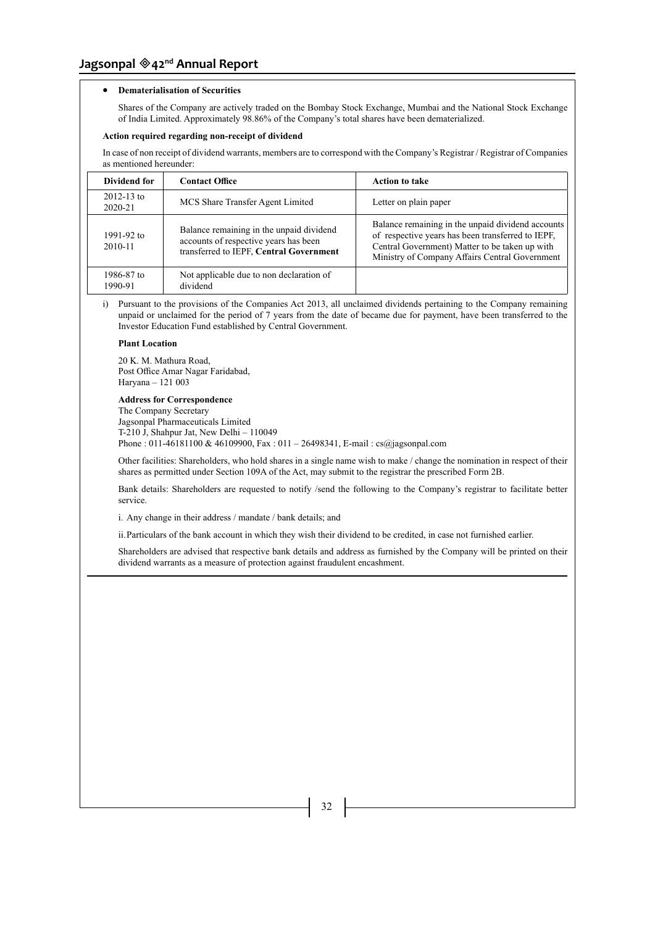# • **Dematerialisation of Securities**

Shares of the Company are actively traded on the Bombay Stock Exchange, Mumbai and the National Stock Exchange of India Limited. Approximately 98.86% of the Company's total shares have been dematerialized.

#### **Action required regarding non-receipt of dividend**

In case of non receipt of dividend warrants, members are to correspond with the Company's Registrar / Registrar of Companies as mentioned hereunder:

| Dividend for              | <b>Contact Office</b>                                                                                                        | <b>Action to take</b>                                                                                                                                                                                      |  |
|---------------------------|------------------------------------------------------------------------------------------------------------------------------|------------------------------------------------------------------------------------------------------------------------------------------------------------------------------------------------------------|--|
| $2012 - 13$ to<br>2020-21 | MCS Share Transfer Agent Limited                                                                                             | Letter on plain paper                                                                                                                                                                                      |  |
| 1991-92 to<br>2010-11     | Balance remaining in the unpaid dividend<br>accounts of respective years has been<br>transferred to IEPF, Central Government | Balance remaining in the unpaid dividend accounts<br>of respective years has been transferred to IEPF,<br>Central Government) Matter to be taken up with<br>Ministry of Company Affairs Central Government |  |
| 1986-87 to<br>1990-91     | Not applicable due to non declaration of<br>dividend                                                                         |                                                                                                                                                                                                            |  |

i) Pursuant to the provisions of the Companies Act 2013, all unclaimed dividends pertaining to the Company remaining unpaid or unclaimed for the period of 7 years from the date of became due for payment, have been transferred to the Investor Education Fund established by Central Government.

#### **Plant Location**

20 K. M. Mathura Road, Post Office Amar Nagar Faridabad, Haryana – 121 003

#### **Address for Correspondence**

The Company Secretary Jagsonpal Pharmaceuticals Limited T-210 J, Shahpur Jat, New Delhi – 110049 Phone : 011-46181100 & 46109900, Fax : 011 - 26498341, E-mail : cs@jagsonpal.com

Other facilities: Shareholders, who hold shares in a single name wish to make / change the nomination in respect of their shares as permitted under Section 109A of the Act, may submit to the registrar the prescribed Form 2B.

Bank details: Shareholders are requested to notify /send the following to the Company's registrar to facilitate better service.

i. Any change in their address / mandate / bank details; and

ii.Particulars of the bank account in which they wish their dividend to be credited, in case not furnished earlier.

Shareholders are advised that respective bank details and address as furnished by the Company will be printed on their dividend warrants as a measure of protection against fraudulent encashment.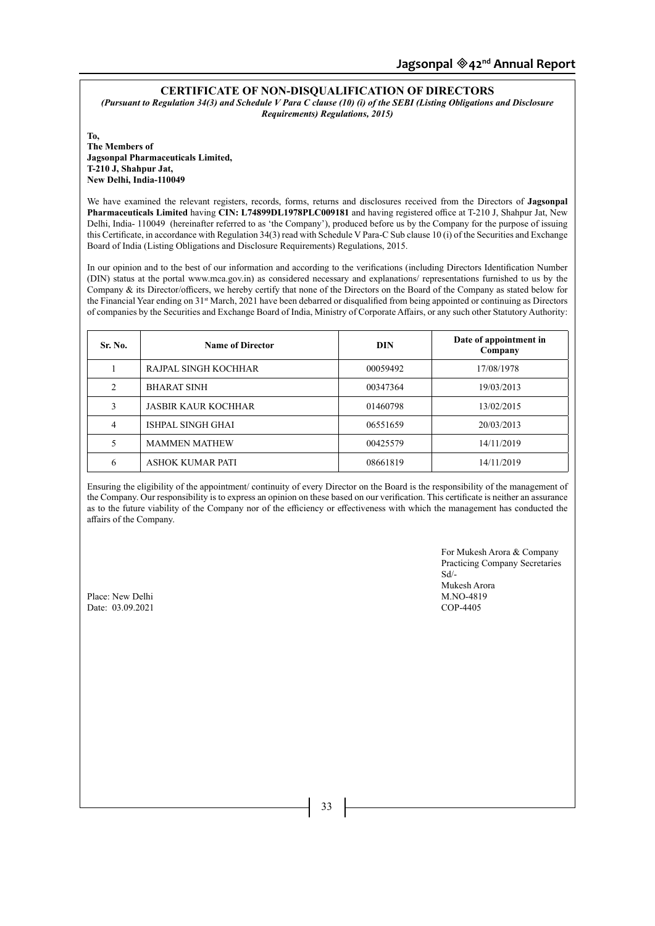# **CERTIFICATE OF NON-DISQUALIFICATION OF DIRECTORS**

*(Pursuant to Regulation 34(3) and Schedule V Para C clause (10) (i) of the SEBI (Listing Obligations and Disclosure Requirements) Regulations, 2015)*

**To, The Members of Jagsonpal Pharmaceuticals Limited, T-210 J, Shahpur Jat, New Delhi, India-110049**

We have examined the relevant registers, records, forms, returns and disclosures received from the Directors of **Jagsonpal Pharmaceuticals Limited** having **CIN: L74899DL1978PLC009181** and having registered office at T-210 J, Shahpur Jat, New Delhi, India- 110049 (hereinafter referred to as 'the Company'), produced before us by the Company for the purpose of issuing this Certificate, in accordance with Regulation 34(3) read with Schedule V Para-C Sub clause 10 (i) of the Securities and Exchange Board of India (Listing Obligations and Disclosure Requirements) Regulations, 2015.

In our opinion and to the best of our information and according to the verifications (including Directors Identification Number (DIN) status at the portal www.mca.gov.in) as considered necessary and explanations/ representations furnished to us by the Company & its Director/officers, we hereby certify that none of the Directors on the Board of the Company as stated below for the Financial Year ending on 31<sup>st</sup> March, 2021 have been debarred or disqualified from being appointed or continuing as Directors of companies by the Securities and Exchange Board of India, Ministry of Corporate Affairs, or any such other Statutory Authority:

| Sr. No. | <b>Name of Director</b>    | DIN      | Date of appointment in<br>Company |
|---------|----------------------------|----------|-----------------------------------|
|         | RAJPAL SINGH KOCHHAR       | 00059492 | 17/08/1978                        |
| 2       | <b>BHARAT SINH</b>         | 00347364 | 19/03/2013                        |
| 3       | <b>JASBIR KAUR KOCHHAR</b> | 01460798 | 13/02/2015                        |
| 4       | ISHPAL SINGH GHAI          | 06551659 | 20/03/2013                        |
| 5       | <b>MAMMEN MATHEW</b>       | 00425579 | 14/11/2019                        |
| 6       | <b>ASHOK KUMAR PATI</b>    | 08661819 | 14/11/2019                        |

Ensuring the eligibility of the appointment/ continuity of every Director on the Board is the responsibility of the management of the Company. Our responsibility is to express an opinion on these based on our verification. This certificate is neither an assurance as to the future viability of the Company nor of the efficiency or effectiveness with which the management has conducted the affairs of the Company.

> For Mukesh Arora & Company Practicing Company Secretaries Sd/- Mukesh Arora<br>M.NO-4819

Place: New Delhi M.NO-481<br>Date: 03.09.2021 COP-4405 Date:  $03.09.2021$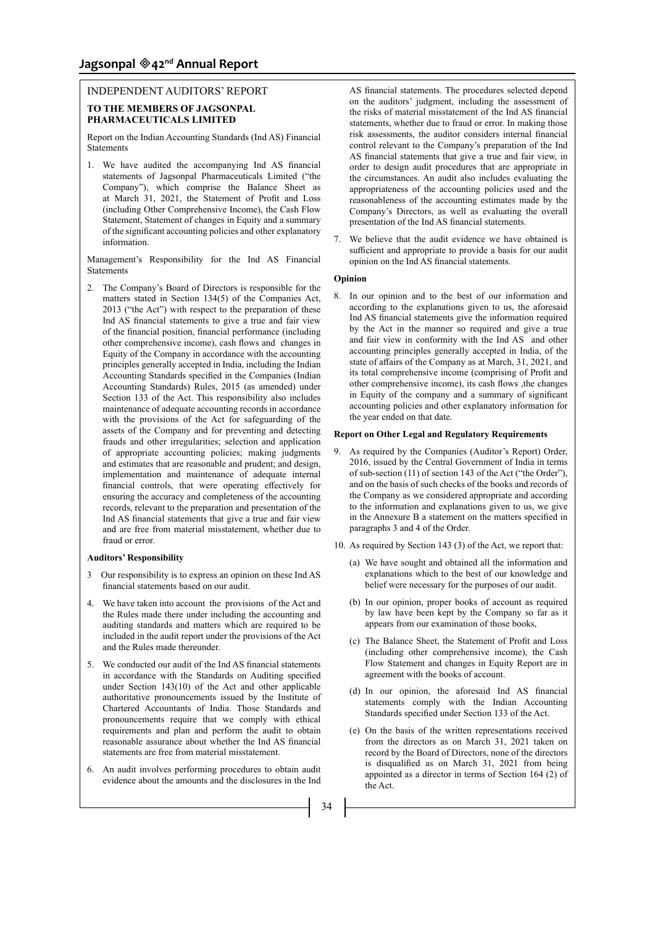# INDEPENDENT AUDITORS' REPORT **TO THE MEMBERS OF JAGSONPAL PHARMACEUTICALS LIMITED**

Report on the Indian Accounting Standards (Ind AS) Financial Statements

1. We have audited the accompanying Ind AS financial statements of Jagsonpal Pharmaceuticals Limited ("the Company"), which comprise the Balance Sheet as at March 31, 2021, the Statement of Profit and Loss (including Other Comprehensive Income), the Cash Flow Statement, Statement of changes in Equity and a summary of the significant accounting policies and other explanatory information.

Management's Responsibility for the Ind AS Financial Statements

2. The Company's Board of Directors is responsible for the matters stated in Section 134(5) of the Companies Act, 2013 ("the Act") with respect to the preparation of these Ind AS financial statements to give a true and fair view of the financial position, financial performance (including other comprehensive income), cash flows and changes in Equity of the Company in accordance with the accounting principles generally accepted in India, including the Indian Accounting Standards specified in the Companies (Indian Accounting Standards) Rules, 2015 (as amended) under Section 133 of the Act. This responsibility also includes maintenance of adequate accounting records in accordance with the provisions of the Act for safeguarding of the assets of the Company and for preventing and detecting frauds and other irregularities; selection and application of appropriate accounting policies; making judgments and estimates that are reasonable and prudent; and design, implementation and maintenance of adequate internal financial controls, that were operating effectively for ensuring the accuracy and completeness of the accounting records, relevant to the preparation and presentation of the Ind AS financial statements that give a true and fair view and are free from material misstatement, whether due to fraud or error.

#### **Auditors' Responsibility**

- 3 Our responsibility is to express an opinion on these Ind AS financial statements based on our audit.
- 4. We have taken into account the provisions of the Act and the Rules made there under including the accounting and auditing standards and matters which are required to be included in the audit report under the provisions of the Act and the Rules made thereunder.
- 5. We conducted our audit of the Ind AS financial statements in accordance with the Standards on Auditing specified under Section 143(10) of the Act and other applicable authoritative pronouncements issued by the Institute of Chartered Accountants of India. Those Standards and pronouncements require that we comply with ethical requirements and plan and perform the audit to obtain reasonable assurance about whether the Ind AS financial statements are free from material misstatement.
- 6. An audit involves performing procedures to obtain audit evidence about the amounts and the disclosures in the Ind

AS financial statements. The procedures selected depend on the auditors' judgment, including the assessment of the risks of material misstatement of the Ind AS financial statements, whether due to fraud or error. In making those risk assessments, the auditor considers internal financial control relevant to the Company's preparation of the Ind AS financial statements that give a true and fair view, in order to design audit procedures that are appropriate in the circumstances. An audit also includes evaluating the appropriateness of the accounting policies used and the reasonableness of the accounting estimates made by the Company's Directors, as well as evaluating the overall presentation of the Ind AS financial statements.

7. We believe that the audit evidence we have obtained is sufficient and appropriate to provide a basis for our audit opinion on the Ind AS financial statements.

# **Opinion**

8. In our opinion and to the best of our information and according to the explanations given to us, the aforesaid Ind AS financial statements give the information required by the Act in the manner so required and give a true and fair view in conformity with the Ind AS and other accounting principles generally accepted in India, of the state of affairs of the Company as at March, 31, 2021, and its total comprehensive income (comprising of Profit and other comprehensive income), its cash flows ,the changes in Equity of the company and a summary of significant accounting policies and other explanatory information for the year ended on that date.

#### **Report on Other Legal and Regulatory Requirements**

- 9. As required by the Companies (Auditor's Report) Order, 2016, issued by the Central Government of India in terms of sub-section (11) of section 143 of the Act ("the Order"), and on the basis of such checks of the books and records of the Company as we considered appropriate and according to the information and explanations given to us, we give in the Annexure B a statement on the matters specified in paragraphs 3 and 4 of the Order.
- 10. As required by Section 143 (3) of the Act, we report that:
	- (a) We have sought and obtained all the information and explanations which to the best of our knowledge and belief were necessary for the purposes of our audit.
	- (b) In our opinion, proper books of account as required by law have been kept by the Company so far as it appears from our examination of those books,
	- (c) The Balance Sheet, the Statement of Profit and Loss (including other comprehensive income), the Cash Flow Statement and changes in Equity Report are in agreement with the books of account.
	- (d) In our opinion, the aforesaid Ind AS financial statements comply with the Indian Accounting Standards specified under Section 133 of the Act.
	- (e) On the basis of the written representations received from the directors as on March 31, 2021 taken on record by the Board of Directors, none of the directors is disqualified as on March 31, 2021 from being appointed as a director in terms of Section 164 (2) of the Act.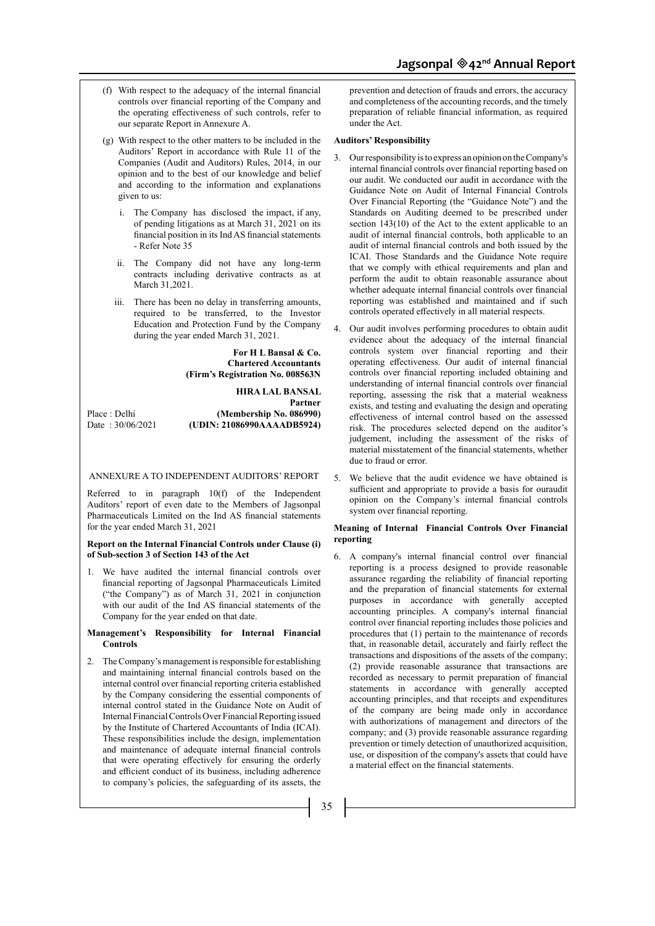- (f) With respect to the adequacy of the internal financial controls over financial reporting of the Company and the operating effectiveness of such controls, refer to our separate Report in Annexure A.
- (g) With respect to the other matters to be included in the Auditors' Report in accordance with Rule 11 of the Companies (Audit and Auditors) Rules, 2014, in our opinion and to the best of our knowledge and belief and according to the information and explanations given to us:
	- i. The Company has disclosed the impact, if any, of pending litigations as at March 31, 2021 on its financial position in its Ind AS financial statements - Refer Note 35
	- ii. The Company did not have any long-term contracts including derivative contracts as at March 31,2021.
	- iii. There has been no delay in transferring amounts, required to be transferred, to the Investor Education and Protection Fund by the Company during the year ended March 31, 2021.

#### **For H L Bansal & Co. Chartered Accountants (Firm's Registration No. 008563N**

**HIRA LAL BANSAL Partner**  Place : Delhi **(Membership No. 086990)** Date : 30/06/2021 **(UDIN: 21086990AAAADB5924)**

#### ANNEXURE A TO INDEPENDENT AUDITORS' REPORT

Referred to in paragraph 10(f) of the Independent Auditors' report of even date to the Members of Jagsonpal Pharmaceuticals Limited on the Ind AS financial statements for the year ended March 31, 2021

#### **Report on the Internal Financial Controls under Clause (i) of Sub-section 3 of Section 143 of the Act**

1. We have audited the internal financial controls over financial reporting of Jagsonpal Pharmaceuticals Limited ("the Company") as of March 31, 2021 in conjunction with our audit of the Ind AS financial statements of the Company for the year ended on that date.

#### **Management's Responsibility for Internal Financial Controls**

2. The Company's management is responsible for establishing and maintaining internal financial controls based on the internal control over financial reporting criteria established by the Company considering the essential components of internal control stated in the Guidance Note on Audit of Internal Financial Controls Over Financial Reporting issued by the Institute of Chartered Accountants of India (ICAI). These responsibilities include the design, implementation and maintenance of adequate internal financial controls that were operating effectively for ensuring the orderly and efficient conduct of its business, including adherence to company's policies, the safeguarding of its assets, the

prevention and detection of frauds and errors, the accuracy and completeness of the accounting records, and the timely preparation of reliable financial information, as required under the Act.

#### **Auditors' Responsibility**

- 3. Our responsibility is to express an opinion on the Company's internal financial controls over financial reporting based on our audit. We conducted our audit in accordance with the Guidance Note on Audit of Internal Financial Controls Over Financial Reporting (the "Guidance Note") and the Standards on Auditing deemed to be prescribed under section 143(10) of the Act to the extent applicable to an audit of internal financial controls, both applicable to an audit of internal financial controls and both issued by the ICAI. Those Standards and the Guidance Note require that we comply with ethical requirements and plan and perform the audit to obtain reasonable assurance about whether adequate internal financial controls over financial reporting was established and maintained and if such controls operated effectively in all material respects.
- 4. Our audit involves performing procedures to obtain audit evidence about the adequacy of the internal financial controls system over financial reporting and their operating effectiveness. Our audit of internal financial controls over financial reporting included obtaining and understanding of internal financial controls over financial reporting, assessing the risk that a material weakness exists, and testing and evaluating the design and operating effectiveness of internal control based on the assessed risk. The procedures selected depend on the auditor's judgement, including the assessment of the risks of material misstatement of the financial statements, whether due to fraud or error.
- 5. We believe that the audit evidence we have obtained is sufficient and appropriate to provide a basis for ouraudit opinion on the Company's internal financial controls system over financial reporting.

#### **Meaning of Internal Financial Controls Over Financial reporting**

6. A company's internal financial control over financial reporting is a process designed to provide reasonable assurance regarding the reliability of financial reporting and the preparation of financial statements for external purposes in accordance with generally accepted accounting principles. A company's internal financial control over financial reporting includes those policies and procedures that (1) pertain to the maintenance of records that, in reasonable detail, accurately and fairly reflect the transactions and dispositions of the assets of the company; (2) provide reasonable assurance that transactions are recorded as necessary to permit preparation of financial statements in accordance with generally accepted accounting principles, and that receipts and expenditures of the company are being made only in accordance with authorizations of management and directors of the company; and (3) provide reasonable assurance regarding prevention or timely detection of unauthorized acquisition, use, or disposition of the company's assets that could have a material effect on the financial statements.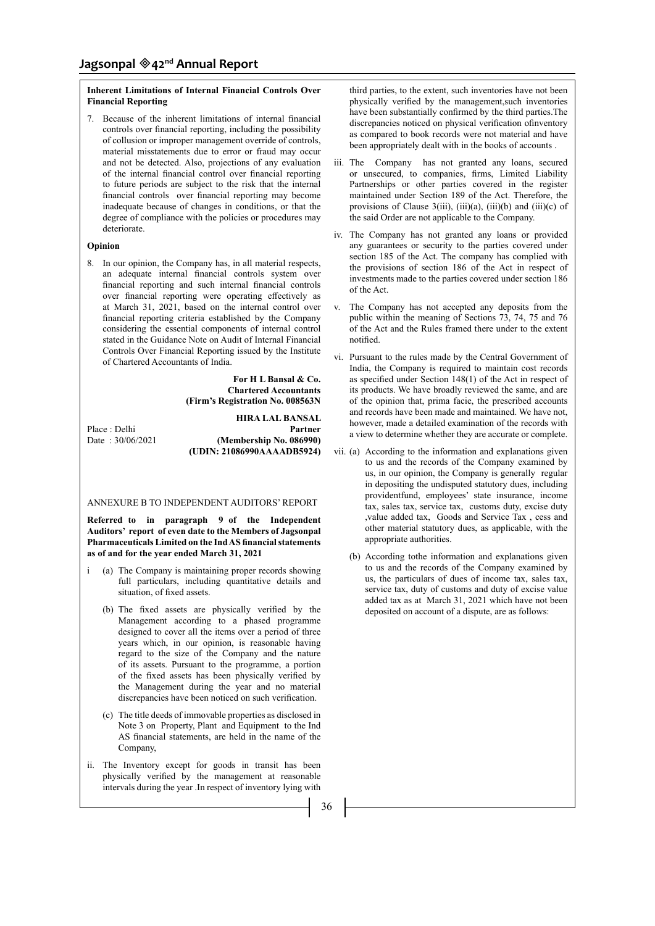# **Inherent Limitations of Internal Financial Controls Over Financial Reporting**

7. Because of the inherent limitations of internal financial controls over financial reporting, including the possibility of collusion or improper management override of controls, material misstatements due to error or fraud may occur and not be detected. Also, projections of any evaluation of the internal financial control over financial reporting to future periods are subject to the risk that the internal financial controls over financial reporting may become inadequate because of changes in conditions, or that the degree of compliance with the policies or procedures may deteriorate.

#### **Opinion**

8. In our opinion, the Company has, in all material respects, an adequate internal financial controls system over financial reporting and such internal financial controls over financial reporting were operating effectively as at March 31, 2021, based on the internal control over financial reporting criteria established by the Company considering the essential components of internal control stated in the Guidance Note on Audit of Internal Financial Controls Over Financial Reporting issued by the Institute of Chartered Accountants of India.

> **For H L Bansal & Co. Chartered Accountants (Firm's Registration No. 008563N**

**HIRA LAL BANSAL**  Place : Delhi **Partner**<br>Date : 30/06/2021 **(Membership No. 086990)** (Membership No. 086990) **(UDIN: 21086990AAAADB5924)**

ANNEXURE B TO INDEPENDENT AUDITORS' REPORT

**Referred to in paragraph 9 of the Independent Auditors' report of even date to the Members of Jagsonpal Pharmaceuticals Limited on the Ind AS financial statements as of and for the year ended March 31, 2021**

- (a) The Company is maintaining proper records showing full particulars, including quantitative details and situation, of fixed assets.
	- (b) The fixed assets are physically verified by the Management according to a phased programme designed to cover all the items over a period of three years which, in our opinion, is reasonable having regard to the size of the Company and the nature of its assets. Pursuant to the programme, a portion of the fixed assets has been physically verified by the Management during the year and no material discrepancies have been noticed on such verification.
	- (c) The title deeds of immovable properties as disclosed in Note 3 on Property, Plant and Equipment to the Ind AS financial statements, are held in the name of the Company,
- ii. The Inventory except for goods in transit has been physically verified by the management at reasonable intervals during the year .In respect of inventory lying with

third parties, to the extent, such inventories have not been physically verified by the management,such inventories have been substantially confirmed by the third parties.The discrepancies noticed on physical verification ofinventory as compared to book records were not material and have been appropriately dealt with in the books of accounts .

- iii. The Company has not granted any loans, secured or unsecured, to companies, firms, Limited Liability Partnerships or other parties covered in the register maintained under Section 189 of the Act. Therefore, the provisions of Clause  $3(iii)$ ,  $(iii)(a)$ ,  $(iii)(b)$  and  $(iii)(c)$  of the said Order are not applicable to the Company.
- iv. The Company has not granted any loans or provided any guarantees or security to the parties covered under section 185 of the Act. The company has complied with the provisions of section 186 of the Act in respect of investments made to the parties covered under section 186 of the Act.
- v. The Company has not accepted any deposits from the public within the meaning of Sections 73, 74, 75 and 76 of the Act and the Rules framed there under to the extent notified.
- vi. Pursuant to the rules made by the Central Government of India, the Company is required to maintain cost records as specified under Section 148(1) of the Act in respect of its products. We have broadly reviewed the same, and are of the opinion that, prima facie, the prescribed accounts and records have been made and maintained. We have not, however, made a detailed examination of the records with a view to determine whether they are accurate or complete.
- vii. (a) According to the information and explanations given to us and the records of the Company examined by us, in our opinion, the Company is generally regular in depositing the undisputed statutory dues, including providentfund, employees' state insurance, income tax, sales tax, service tax, customs duty, excise duty ,value added tax, Goods and Service Tax , cess and other material statutory dues, as applicable, with the appropriate authorities.
	- (b) According tothe information and explanations given to us and the records of the Company examined by us, the particulars of dues of income tax, sales tax, service tax, duty of customs and duty of excise value added tax as at March 31, 2021 which have not been deposited on account of a dispute, are as follows: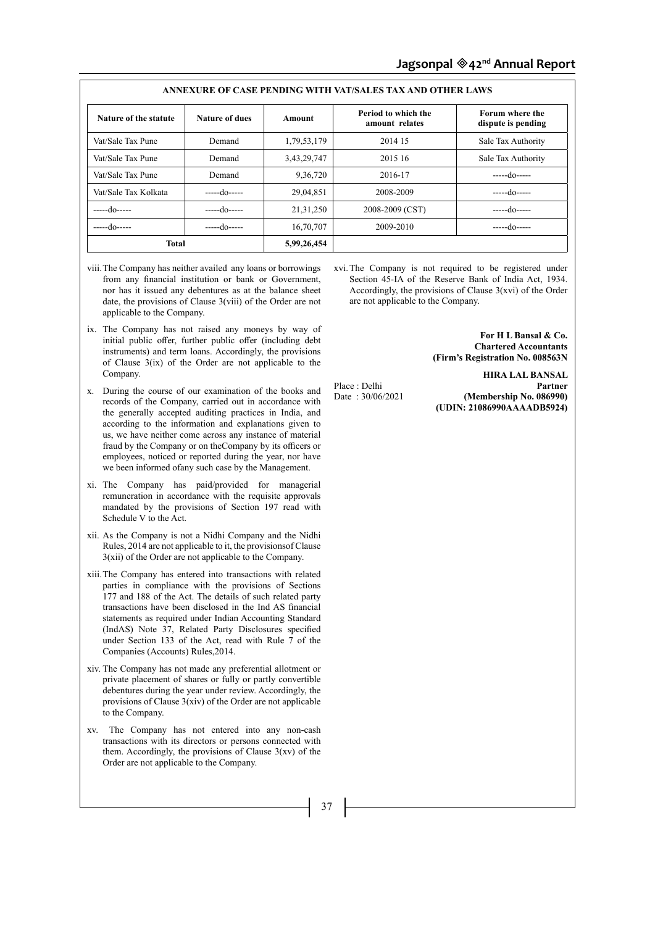|                       |                       |             | ANNEAUNE OF CASE I ENDINY WITH VALISALIES TAA AND VITHEN LAWS |                                       |
|-----------------------|-----------------------|-------------|---------------------------------------------------------------|---------------------------------------|
| Nature of the statute | <b>Nature of dues</b> | Amount      | Period to which the<br>amount relates                         | Forum where the<br>dispute is pending |
| Vat/Sale Tax Pune     | Demand                | 1,79,53,179 | 2014 15                                                       | Sale Tax Authority                    |
| Vat/Sale Tax Pune     | Demand                | 3,43,29,747 | 2015 16                                                       | Sale Tax Authority                    |
| Vat/Sale Tax Pune     | Demand                | 9,36,720    | 2016-17                                                       | $---do---$                            |
| Vat/Sale Tax Kolkata  | $---do---$            | 29,04,851   | 2008-2009                                                     | $---d0---$                            |
| $---do---$            | $---do---$            | 21, 31, 250 | 2008-2009 (CST)                                               | $---d0---$                            |
| $---do---$            | $---do---$            | 16,70,707   | 2009-2010                                                     | $---do---$                            |
| <b>Total</b>          |                       | 5,99,26,454 |                                                               |                                       |

# **ANNEXURE OF CASE PENDING WITH VAT/SALES TAX AND OTHER LAWS**

- viii.The Company has neither availed any loans or borrowings from any financial institution or bank or Government, nor has it issued any debentures as at the balance sheet date, the provisions of Clause 3(viii) of the Order are not applicable to the Company.
- ix. The Company has not raised any moneys by way of initial public offer, further public offer (including debt instruments) and term loans. Accordingly, the provisions of Clause 3(ix) of the Order are not applicable to the Company.
- x. During the course of our examination of the books and records of the Company, carried out in accordance with the generally accepted auditing practices in India, and according to the information and explanations given to us, we have neither come across any instance of material fraud by the Company or on theCompany by its officers or employees, noticed or reported during the year, nor have we been informed ofany such case by the Management.
- xi. The Company has paid/provided for managerial remuneration in accordance with the requisite approvals mandated by the provisions of Section 197 read with Schedule V to the Act.
- xii. As the Company is not a Nidhi Company and the Nidhi Rules, 2014 are not applicable to it, the provisionsof Clause 3(xii) of the Order are not applicable to the Company.
- xiii.The Company has entered into transactions with related parties in compliance with the provisions of Sections 177 and 188 of the Act. The details of such related party transactions have been disclosed in the Ind AS financial statements as required under Indian Accounting Standard (IndAS) Note 37, Related Party Disclosures specified under Section 133 of the Act, read with Rule 7 of the Companies (Accounts) Rules,2014.
- xiv. The Company has not made any preferential allotment or private placement of shares or fully or partly convertible debentures during the year under review. Accordingly, the provisions of Clause 3(xiv) of the Order are not applicable to the Company.
- xv. The Company has not entered into any non-cash transactions with its directors or persons connected with them. Accordingly, the provisions of Clause  $3(xv)$  of the Order are not applicable to the Company.

xvi.The Company is not required to be registered under Section 45-IA of the Reserve Bank of India Act, 1934. Accordingly, the provisions of Clause 3(xvi) of the Order are not applicable to the Company.

> **For H L Bansal & Co. Chartered Accountants (Firm's Registration No. 008563N**

**HIRA LAL BANSAL**  Place : Delhi **Partner**<br>Date : 30/06/2021 **(Membership No. 086990)** (Membership No. 086990) **(UDIN: 21086990AAAADB5924)**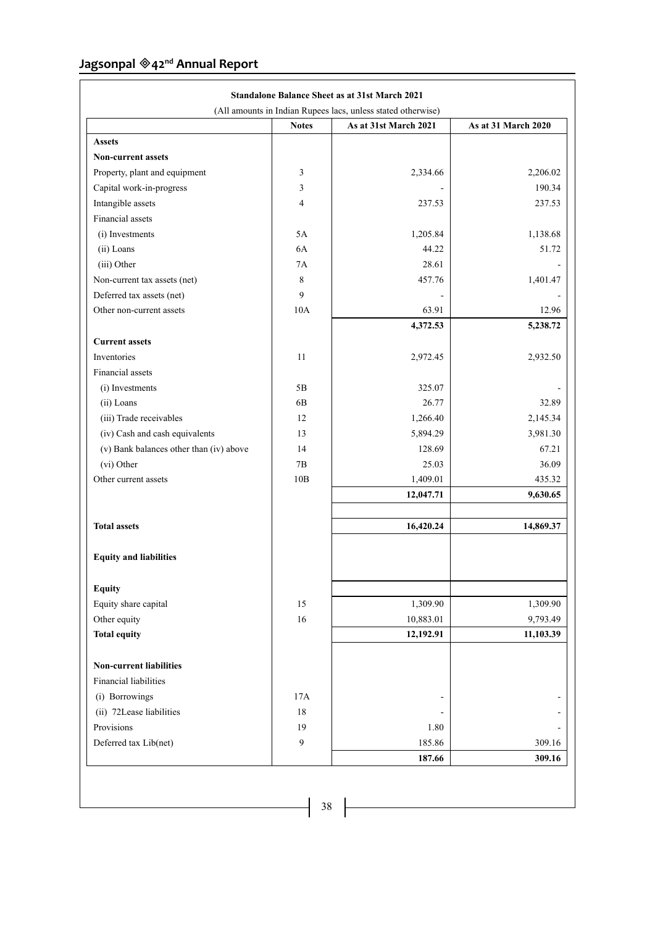|                                         |                | (All amounts in Indian Rupees lacs, unless stated otherwise) |                     |
|-----------------------------------------|----------------|--------------------------------------------------------------|---------------------|
|                                         | <b>Notes</b>   | As at 31st March 2021                                        | As at 31 March 2020 |
| <b>Assets</b>                           |                |                                                              |                     |
| <b>Non-current assets</b>               |                |                                                              |                     |
| Property, plant and equipment           | 3              | 2,334.66                                                     | 2,206.02            |
| Capital work-in-progress                | 3              |                                                              | 190.34              |
| Intangible assets                       | $\overline{4}$ | 237.53                                                       | 237.53              |
| Financial assets                        |                |                                                              |                     |
| (i) Investments                         | 5A             | 1,205.84                                                     | 1,138.68            |
| (ii) Loans                              | 6A             | 44.22                                                        | 51.72               |
| (iii) Other                             | 7A             | 28.61                                                        |                     |
| Non-current tax assets (net)            | 8              | 457.76                                                       | 1,401.47            |
| Deferred tax assets (net)               | 9              |                                                              |                     |
| Other non-current assets                | 10A            | 63.91                                                        | 12.96               |
|                                         |                | 4,372.53                                                     | 5,238.72            |
| <b>Current assets</b>                   |                |                                                              |                     |
| Inventories                             | 11             | 2,972.45                                                     | 2,932.50            |
| Financial assets                        |                |                                                              |                     |
| (i) Investments                         | 5B             | 325.07                                                       |                     |
| (ii) Loans                              | 6B             | 26.77                                                        | 32.89               |
| (iii) Trade receivables                 | 12             | 1,266.40                                                     | 2,145.34            |
| (iv) Cash and cash equivalents          | 13             | 5,894.29                                                     | 3,981.30            |
| (v) Bank balances other than (iv) above | 14             | 128.69                                                       | 67.21               |
| (vi) Other                              | 7B             | 25.03                                                        | 36.09               |
| Other current assets                    | 10B            | 1,409.01                                                     | 435.32              |
|                                         |                | 12,047.71                                                    | 9,630.65            |
|                                         |                |                                                              |                     |
| <b>Total assets</b>                     |                | 16,420.24                                                    | 14,869.37           |
| <b>Equity and liabilities</b>           |                |                                                              |                     |
| <b>Equity</b>                           |                |                                                              |                     |
| Equity share capital                    | 15             | 1,309.90                                                     | 1,309.90            |
| Other equity                            | 16             | 10,883.01                                                    | 9,793.49            |
| <b>Total equity</b>                     |                | 12,192.91                                                    | 11,103.39           |
| <b>Non-current liabilities</b>          |                |                                                              |                     |
| Financial liabilities                   |                |                                                              |                     |
| (i) Borrowings                          | 17A            |                                                              |                     |
| (ii) 72Lease liabilities                | 18             |                                                              |                     |
| Provisions                              | 19             | 1.80                                                         |                     |
| Deferred tax Lib(net)                   | 9              | 185.86                                                       | 309.16              |
|                                         |                | 187.66                                                       | 309.16              |

٦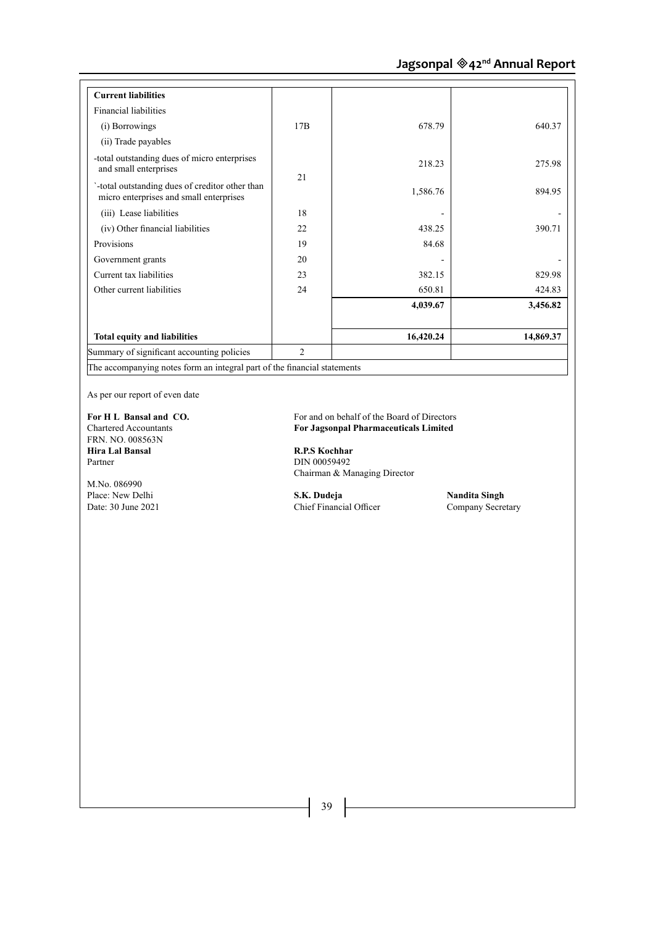| <b>Current liabilities</b>                                                                |                |           |           |
|-------------------------------------------------------------------------------------------|----------------|-----------|-----------|
| Financial liabilities                                                                     |                |           |           |
| (i) Borrowings                                                                            | 17B            | 678.79    | 640.37    |
| (ii) Trade payables                                                                       |                |           |           |
| -total outstanding dues of micro enterprises<br>and small enterprises                     | 2.1            | 218.23    | 275.98    |
| -total outstanding dues of creditor other than<br>micro enterprises and small enterprises |                | 1,586.76  | 894.95    |
| (iii) Lease liabilities                                                                   | 18             |           |           |
| (iv) Other financial liabilities                                                          | 22.            | 438.25    | 390.71    |
| Provisions                                                                                | 19             | 84.68     |           |
| Government grants                                                                         | 20             |           |           |
| Current tax liabilities                                                                   | 23             | 382.15    | 829.98    |
| Other current liabilities                                                                 | 24             | 650.81    | 424.83    |
|                                                                                           |                | 4,039.67  | 3,456.82  |
| <b>Total equity and liabilities</b>                                                       |                | 16,420.24 | 14,869.37 |
| Summary of significant accounting policies                                                | $\overline{2}$ |           |           |

As per our report of even date

FRN. NO. 008563N **Hira Lal Bansal R.P.S Kochhar**<br> **Partner DIN 00059492** 

M.No. 086990

**For H L Bansal and CO.** For and on behalf of the Board of Directors<br>Chartered Accountants **For Jagson Pharmaceuticals Limited** For Jagsonpal Pharmaceuticals Limited

> DIN 00059492 Chairman & Managing Director

Place: New Delhi **S.K. Dudeja S.K. Dudeja Nandita Singh Date: 30 June 2021 Company Secretary Company Secretary** Chief Financial Officer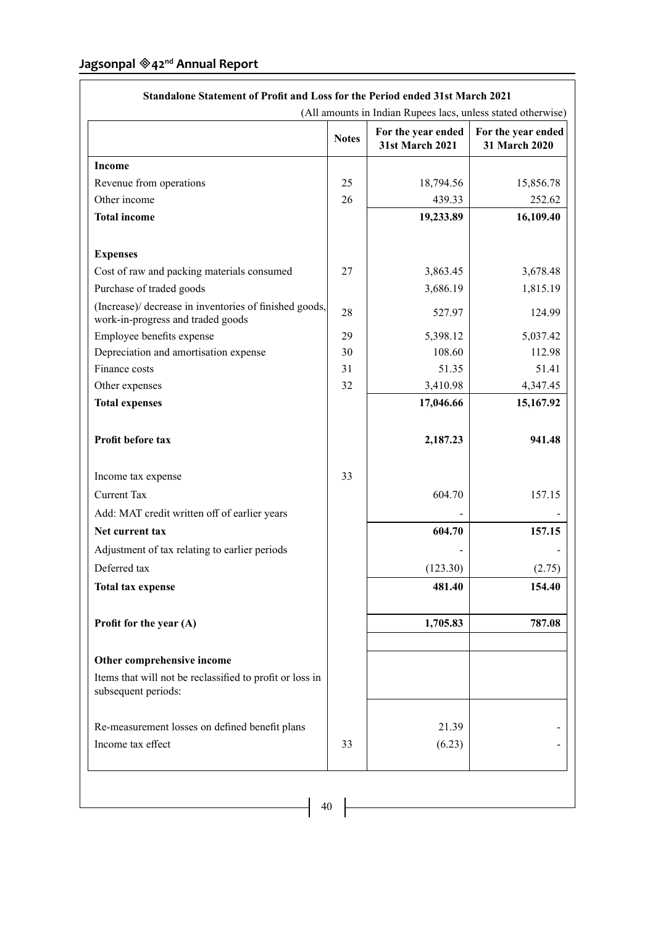|                                                                                             | <b>Notes</b> | For the year ended<br><b>31st March 2021</b> | For the year ended<br>31 March 2020 |
|---------------------------------------------------------------------------------------------|--------------|----------------------------------------------|-------------------------------------|
|                                                                                             |              |                                              |                                     |
| <b>Income</b>                                                                               |              |                                              |                                     |
| Revenue from operations                                                                     | 25           | 18,794.56                                    | 15,856.78                           |
| Other income                                                                                | 26           | 439.33                                       | 252.62                              |
| <b>Total income</b>                                                                         |              | 19,233.89                                    | 16,109.40                           |
| <b>Expenses</b>                                                                             |              |                                              |                                     |
| Cost of raw and packing materials consumed                                                  | 27           | 3,863.45                                     | 3,678.48                            |
| Purchase of traded goods                                                                    |              | 3,686.19                                     | 1,815.19                            |
| (Increase)/ decrease in inventories of finished goods,<br>work-in-progress and traded goods | 28           | 527.97                                       | 124.99                              |
| Employee benefits expense                                                                   | 29           | 5,398.12                                     | 5,037.42                            |
| Depreciation and amortisation expense                                                       | 30           | 108.60                                       | 112.98                              |
| Finance costs                                                                               | 31           | 51.35                                        | 51.41                               |
| Other expenses                                                                              | 32           | 3,410.98                                     | 4,347.45                            |
| <b>Total expenses</b>                                                                       |              | 17,046.66                                    | 15,167.92                           |
| Profit before tax                                                                           |              | 2,187.23                                     | 941.48                              |
| Income tax expense                                                                          | 33           |                                              |                                     |
| <b>Current Tax</b>                                                                          |              | 604.70                                       | 157.15                              |
| Add: MAT credit written off of earlier years                                                |              |                                              |                                     |
| Net current tax                                                                             |              | 604.70                                       | 157.15                              |
| Adjustment of tax relating to earlier periods                                               |              |                                              |                                     |
| Deferred tax                                                                                |              | (123.30)                                     | (2.75)                              |
| <b>Total tax expense</b>                                                                    |              | 481.40                                       | 154.40                              |
|                                                                                             |              |                                              |                                     |
| Profit for the year (A)                                                                     |              | 1,705.83                                     | 787.08                              |
| Other comprehensive income                                                                  |              |                                              |                                     |
| Items that will not be reclassified to profit or loss in<br>subsequent periods:             |              |                                              |                                     |
| Re-measurement losses on defined benefit plans                                              |              | 21.39                                        |                                     |
|                                                                                             | 33           | (6.23)                                       |                                     |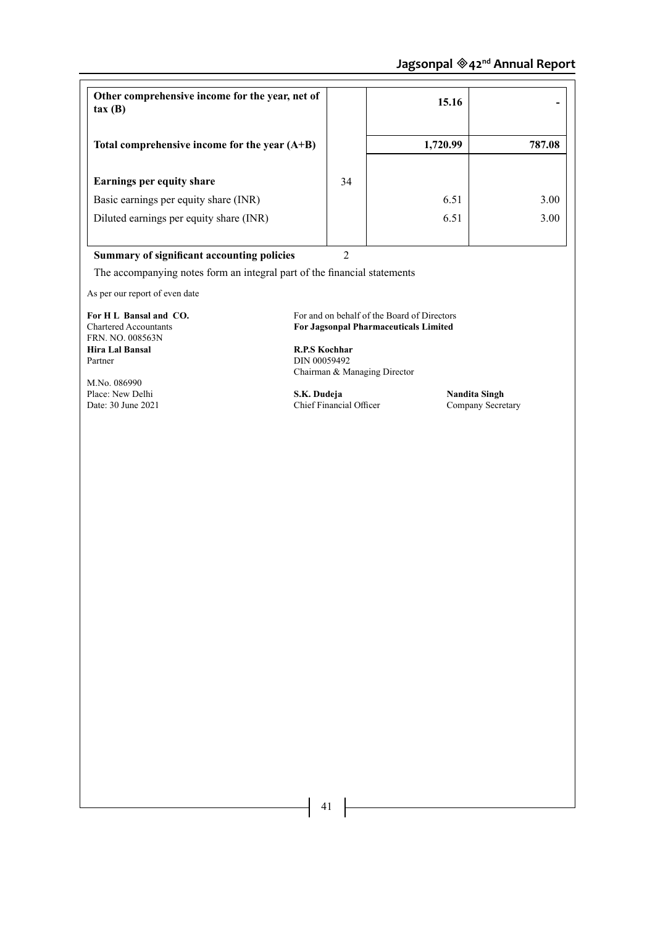| Other comprehensive income for the year, net of<br>tax(B) |    | 15.16    |        |
|-----------------------------------------------------------|----|----------|--------|
| Total comprehensive income for the year $(A+B)$           |    | 1,720.99 | 787.08 |
| <b>Earnings per equity share</b>                          | 34 |          |        |
| Basic earnings per equity share (INR)                     |    | 6.51     | 3.00   |
| Diluted earnings per equity share (INR)                   |    | 6.51     | 3.00   |
|                                                           |    |          |        |

**Summary of significant accounting policies** 2

The accompanying notes form an integral part of the financial statements

As per our report of even date

FRN. NO. 008563N **Hira Lal Bansal R.P.S Kochhar** Partner DIN 00059492

M.No. 086990

**For H L Bansal and CO.** For and on behalf of the Board of Directors<br>Chartered Accountants **For Jagson Pharmaceuticals Limited** For Jagsonpal Pharmaceuticals Limited

Chairman & Managing Director

Place: New Delhi **S.K. Dudeja Nandita Singh Mandita Singh** *S.K. Dudeja* **Nandita Singh** *Chief Financial Officer Company Secretary* Chief Financial Officer

 $\begin{pmatrix} 41 \end{pmatrix}$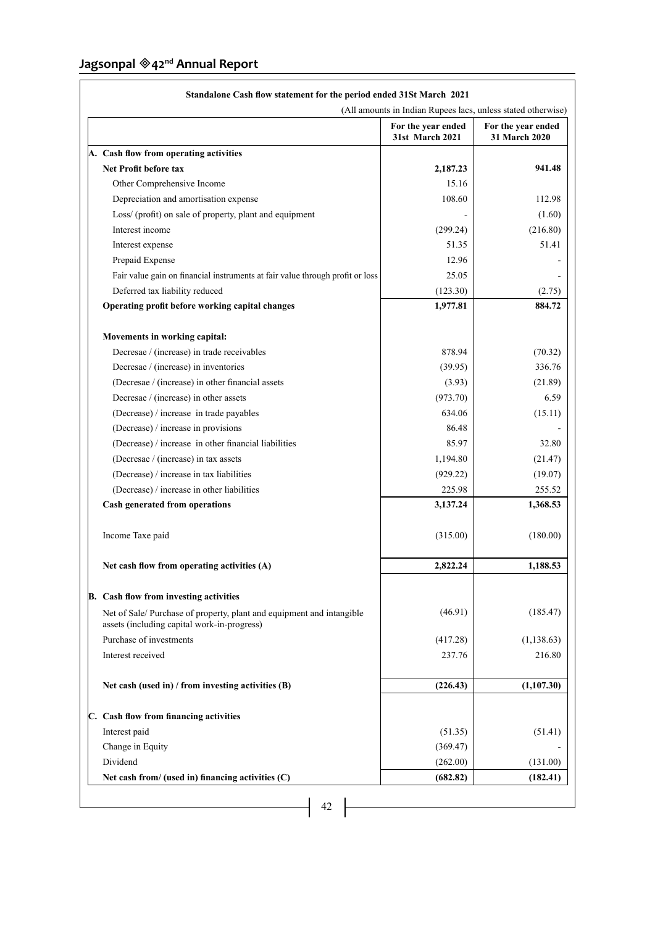| (All amounts in Indian Rupees lacs, unless stated otherwise)                                                        |                                       |                                     |
|---------------------------------------------------------------------------------------------------------------------|---------------------------------------|-------------------------------------|
|                                                                                                                     | For the year ended<br>31st March 2021 | For the year ended<br>31 March 2020 |
| A. Cash flow from operating activities                                                                              |                                       |                                     |
| <b>Net Profit before tax</b>                                                                                        | 2,187.23                              | 941.48                              |
| Other Comprehensive Income                                                                                          | 15.16                                 |                                     |
| Depreciation and amortisation expense                                                                               | 108.60                                | 112.98                              |
| Loss/ (profit) on sale of property, plant and equipment                                                             |                                       | (1.60)                              |
| Interest income                                                                                                     | (299.24)                              | (216.80)                            |
| Interest expense                                                                                                    | 51.35                                 | 51.41                               |
| Prepaid Expense                                                                                                     | 12.96                                 |                                     |
| Fair value gain on financial instruments at fair value through profit or loss                                       | 25.05                                 |                                     |
| Deferred tax liability reduced                                                                                      | (123.30)                              | (2.75)                              |
| Operating profit before working capital changes                                                                     | 1,977.81                              | 884.72                              |
| Movements in working capital:                                                                                       |                                       |                                     |
| Decresae / (increase) in trade receivables                                                                          | 878.94                                | (70.32)                             |
| Decresae / (increase) in inventories                                                                                | (39.95)                               | 336.76                              |
| (Decresae / (increase) in other financial assets                                                                    | (3.93)                                | (21.89)                             |
| Decresae / (increase) in other assets                                                                               | (973.70)                              | 6.59                                |
| (Decrease) / increase in trade payables                                                                             | 634.06                                | (15.11)                             |
| (Decrease) / increase in provisions                                                                                 | 86.48                                 |                                     |
| (Decrease) / increase in other financial liabilities                                                                | 85.97                                 | 32.80                               |
| (Decresae / (increase) in tax assets                                                                                | 1,194.80                              | (21.47)                             |
| (Decrease) / increase in tax liabilities                                                                            | (929.22)                              | (19.07)                             |
| (Decrease) / increase in other liabilities                                                                          | 225.98                                | 255.52                              |
| Cash generated from operations                                                                                      | 3,137.24                              | 1,368.53                            |
| Income Taxe paid                                                                                                    | (315.00)                              | (180.00)                            |
| Net cash flow from operating activities (A)                                                                         | 2,822.24                              | 1,188.53                            |
| <b>B.</b> Cash flow from investing activities                                                                       |                                       |                                     |
| Net of Sale/Purchase of property, plant and equipment and intangible<br>assets (including capital work-in-progress) | (46.91)                               | (185.47)                            |
| Purchase of investments                                                                                             | (417.28)                              | (1, 138.63)                         |
| Interest received                                                                                                   | 237.76                                | 216.80                              |
| Net cash (used in) / from investing activities (B)                                                                  | (226.43)                              | (1, 107.30)                         |
| C. Cash flow from financing activities                                                                              |                                       |                                     |
| Interest paid                                                                                                       | (51.35)                               | (51.41)                             |
| Change in Equity                                                                                                    | (369.47)                              |                                     |
| Dividend                                                                                                            | (262.00)                              | (131.00)                            |
| Net cash from/ (used in) financing activities (C)                                                                   | (682.82)                              | (182.41)                            |

# **Standalone Cash flow statement for the period ended 31St March 2021**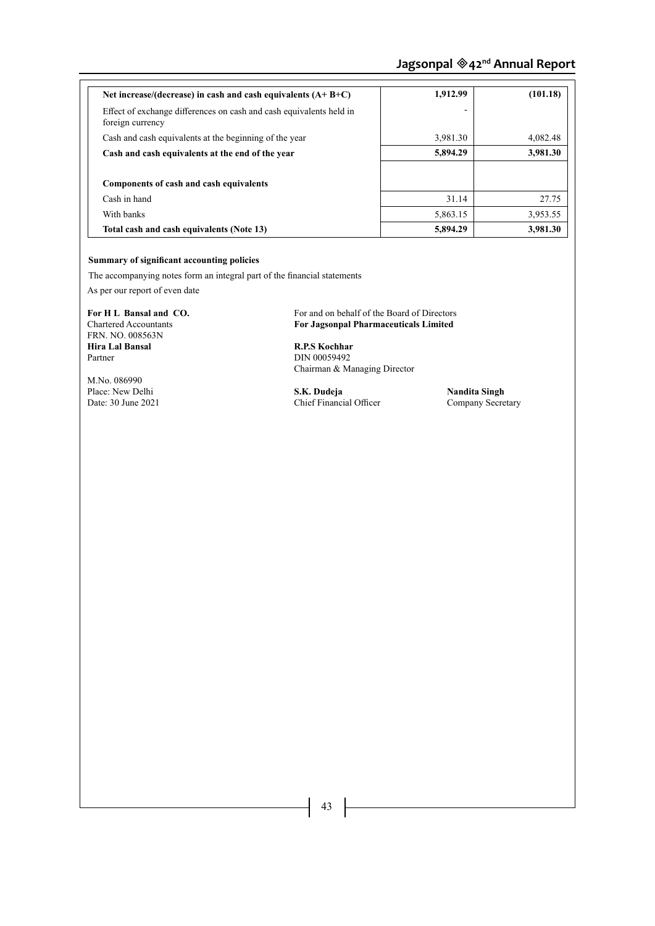| Net increase/(decrease) in cash and cash equivalents $(A+B+C)$                          | 1,912.99 | (101.18) |
|-----------------------------------------------------------------------------------------|----------|----------|
| Effect of exchange differences on cash and cash equivalents held in<br>foreign currency |          |          |
| Cash and cash equivalents at the beginning of the year                                  | 3,981.30 | 4.082.48 |
| Cash and cash equivalents at the end of the year                                        | 5,894.29 | 3,981.30 |
|                                                                                         |          |          |
| Components of cash and cash equivalents                                                 |          |          |
| Cash in hand                                                                            | 31.14    | 27.75    |
| With banks                                                                              | 5,863.15 | 3,953.55 |
| Total cash and cash equivalents (Note 13)                                               | 5,894.29 | 3,981.30 |

# **Summary of significant accounting policies**

The accompanying notes form an integral part of the financial statements

As per our report of even date

FRN. NO. 008563N **Hira Lal Bansal R.P.S Kochhar** Partner DIN 00059492

M.No. 086990

**For H L Bansal and CO.** For and on behalf of the Board of Directors<br>Chartered Accountants **For Jagson Pharmaceuticals Limited** For Jagsonpal Pharmaceuticals Limited

Chairman & Managing Director

Place: New Delhi **S.K. Dudeja Nandita Singh Date: 30 June 2021 Chief Financial Officer Company Secretary** Chief Financial Officer

 $\begin{vmatrix} 43 \end{vmatrix}$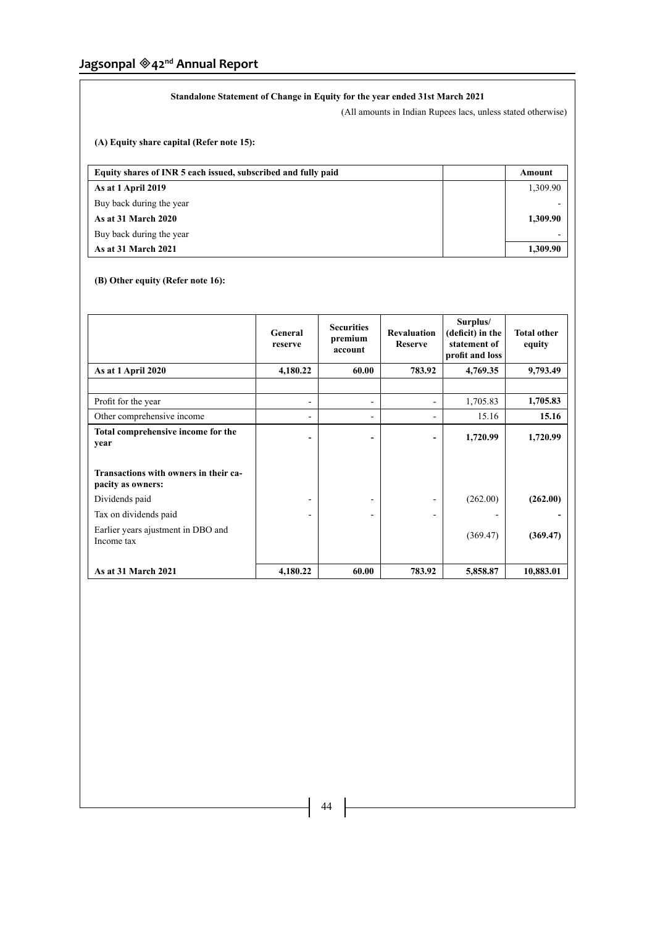# **Standalone Statement of Change in Equity for the year ended 31st March 2021**

(All amounts in Indian Rupees lacs, unless stated otherwise)

**(A) Equity share capital (Refer note 15):**

| Equity shares of INR 5 each issued, subscribed and fully paid | Amount   |
|---------------------------------------------------------------|----------|
| As at 1 April 2019                                            | 1,309.90 |
| Buy back during the year                                      |          |
| <b>As at 31 March 2020</b>                                    | 1.309.90 |
| Buy back during the year                                      |          |
| As at 31 March 2021                                           | 1.309.90 |

# **(B) Other equity (Refer note 16):**

|                                                            | General<br>reserve       | <b>Securities</b><br>premium<br>account | <b>Revaluation</b><br><b>Reserve</b> | Surplus/<br>(deficit) in the<br>statement of<br>profit and loss | <b>Total other</b><br>equity |
|------------------------------------------------------------|--------------------------|-----------------------------------------|--------------------------------------|-----------------------------------------------------------------|------------------------------|
| As at 1 April 2020                                         | 4,180.22                 | 60.00                                   | 783.92                               | 4,769.35                                                        | 9,793.49                     |
|                                                            |                          |                                         |                                      |                                                                 |                              |
| Profit for the year                                        | $\overline{\phantom{a}}$ | $\overline{\phantom{a}}$                | Ξ.                                   | 1,705.83                                                        | 1,705.83                     |
| Other comprehensive income                                 |                          | ۰                                       | Ξ.                                   | 15.16                                                           | 15.16                        |
| Total comprehensive income for the<br>year                 | ۰                        | -                                       | -                                    | 1,720.99                                                        | 1,720.99                     |
| Transactions with owners in their ca-<br>pacity as owners: |                          |                                         |                                      |                                                                 |                              |
| Dividends paid                                             |                          |                                         |                                      | (262.00)                                                        | (262.00)                     |
| Tax on dividends paid                                      |                          | ۰                                       | Ξ.                                   |                                                                 |                              |
| Earlier years ajustment in DBO and<br>Income tax           |                          |                                         |                                      | (369.47)                                                        | (369.47)                     |
| As at 31 March 2021                                        | 4,180.22                 | 60.00                                   | 783.92                               | 5,858.87                                                        | 10,883.01                    |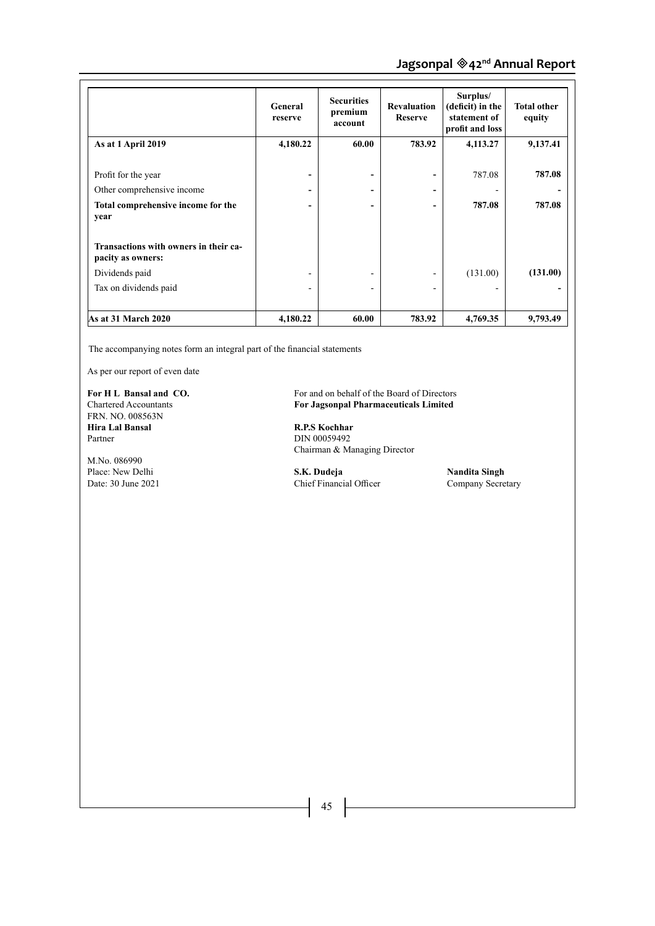|                                                                          | General<br>reserve | <b>Securities</b><br>premium<br>account | <b>Revaluation</b><br><b>Reserve</b> | Surplus/<br>(deficit) in the<br>statement of<br>profit and loss | <b>Total other</b><br>equity |
|--------------------------------------------------------------------------|--------------------|-----------------------------------------|--------------------------------------|-----------------------------------------------------------------|------------------------------|
| As at 1 April 2019                                                       | 4,180.22           | 60.00                                   | 783.92                               | 4,113.27                                                        | 9,137.41                     |
| Profit for the year                                                      | -                  | -                                       |                                      | 787.08                                                          | 787.08                       |
| Other comprehensive income<br>Total comprehensive income for the<br>year |                    | $\overline{\phantom{a}}$                |                                      | 787.08                                                          | 787.08                       |
| Transactions with owners in their ca-<br>pacity as owners:               |                    |                                         |                                      |                                                                 |                              |
| Dividends paid                                                           |                    | -                                       |                                      | (131.00)                                                        | (131.00)                     |
| Tax on dividends paid                                                    |                    |                                         |                                      |                                                                 |                              |
| As at 31 March 2020                                                      | 4,180.22           | 60.00                                   | 783.92                               | 4,769.35                                                        | 9,793.49                     |

The accompanying notes form an integral part of the financial statements

As per our report of even date

FRN. NO. 008563N **Hira Lal Bansal R.P.S Kochhar**<br> **Partner DIN 00059492** 

M.No. 086990

**For H L Bansal and CO.** For and on behalf of the Board of Directors<br>Chartered Accountants **For Jagsonpal Pharmaceuticals Limited** For Jagsonpal Pharmaceuticals Limited

> DIN 00059492 Chairman & Managing Director

Place: New Delhi **S.K. Dudeja Nandita Singh Date: 30 June 2021 Chief Financial Officer Company Secretary** Chief Financial Officer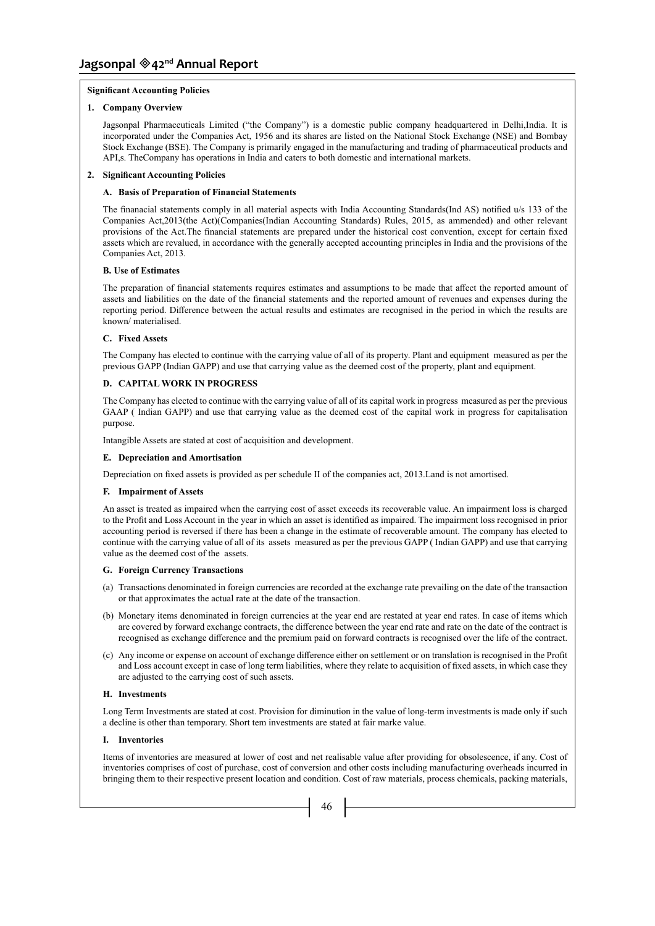### **Significant Accounting Policies**

#### **1. Company Overview**

Jagsonpal Pharmaceuticals Limited ("the Company") is a domestic public company headquartered in Delhi,India. It is incorporated under the Companies Act, 1956 and its shares are listed on the National Stock Exchange (NSE) and Bombay Stock Exchange (BSE). The Company is primarily engaged in the manufacturing and trading of pharmaceutical products and API,s. TheCompany has operations in India and caters to both domestic and international markets.

#### **2. Significant Accounting Policies**

#### **A. Basis of Preparation of Financial Statements**

The finanacial statements comply in all material aspects with India Accounting Standards(Ind AS) notified u/s 133 of the Companies Act,2013(the Act)(Companies(Indian Accounting Standards) Rules, 2015, as ammended) and other relevant provisions of the Act.The financial statements are prepared under the historical cost convention, except for certain fixed assets which are revalued, in accordance with the generally accepted accounting principles in India and the provisions of the Companies Act, 2013.

#### **B. Use of Estimates**

The preparation of financial statements requires estimates and assumptions to be made that affect the reported amount of assets and liabilities on the date of the financial statements and the reported amount of revenues and expenses during the reporting period. Difference between the actual results and estimates are recognised in the period in which the results are known/ materialised.

#### **C. Fixed Assets**

The Company has elected to continue with the carrying value of all of its property. Plant and equipment measured as per the previous GAPP (Indian GAPP) and use that carrying value as the deemed cost of the property, plant and equipment.

# **D. CAPITAL WORK IN PROGRESS**

The Company has elected to continue with the carrying value of all of its capital work in progress measured as per the previous GAAP ( Indian GAPP) and use that carrying value as the deemed cost of the capital work in progress for capitalisation purpose.

Intangible Assets are stated at cost of acquisition and development.

#### **E. Depreciation and Amortisation**

Depreciation on fixed assets is provided as per schedule II of the companies act, 2013.Land is not amortised.

#### **F. Impairment of Assets**

An asset is treated as impaired when the carrying cost of asset exceeds its recoverable value. An impairment loss is charged to the Profit and Loss Account in the year in which an asset is identified as impaired. The impairment loss recognised in prior accounting period is reversed if there has been a change in the estimate of recoverable amount. The company has elected to continue with the carrying value of all of its assets measured as per the previous GAPP ( Indian GAPP) and use that carrying value as the deemed cost of the assets.

### **G. Foreign Currency Transactions**

- (a) Transactions denominated in foreign currencies are recorded at the exchange rate prevailing on the date of the transaction or that approximates the actual rate at the date of the transaction.
- (b) Monetary items denominated in foreign currencies at the year end are restated at year end rates. In case of items which are covered by forward exchange contracts, the difference between the year end rate and rate on the date of the contract is recognised as exchange difference and the premium paid on forward contracts is recognised over the life of the contract.
- (c) Any income or expense on account of exchange difference either on settlement or on translation is recognised in the Profit and Loss account except in case of long term liabilities, where they relate to acquisition of fixed assets, in which case they are adjusted to the carrying cost of such assets.

#### **H. Investments**

Long Term Investments are stated at cost. Provision for diminution in the value of long-term investments is made only if such a decline is other than temporary. Short tem investments are stated at fair marke value.

## **I. Inventories**

Items of inventories are measured at lower of cost and net realisable value after providing for obsolescence, if any. Cost of inventories comprises of cost of purchase, cost of conversion and other costs including manufacturing overheads incurred in bringing them to their respective present location and condition. Cost of raw materials, process chemicals, packing materials,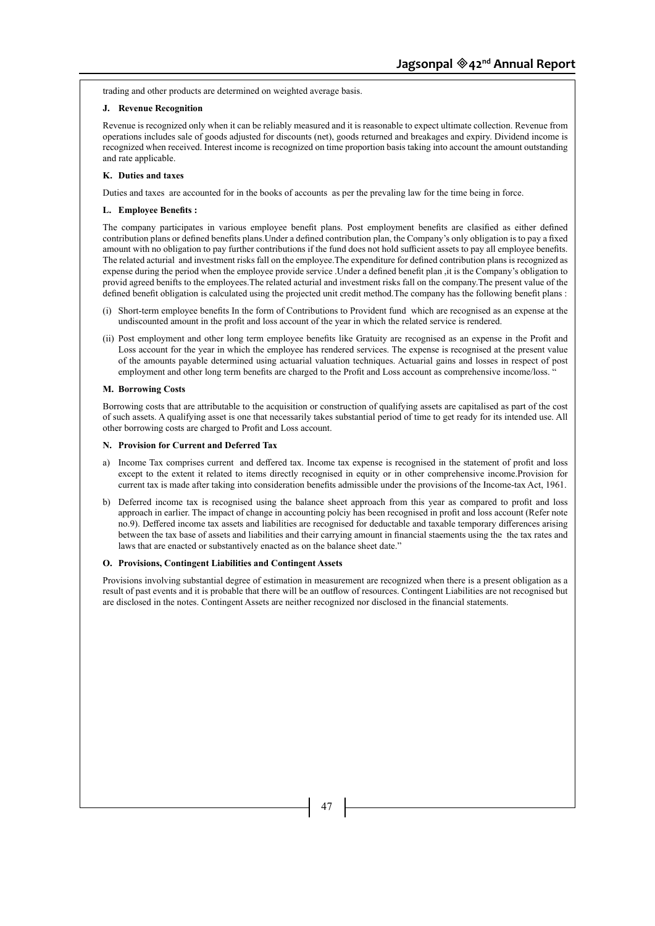trading and other products are determined on weighted average basis.

### **J. Revenue Recognition**

Revenue is recognized only when it can be reliably measured and it is reasonable to expect ultimate collection. Revenue from operations includes sale of goods adjusted for discounts (net), goods returned and breakages and expiry. Dividend income is recognized when received. Interest income is recognized on time proportion basis taking into account the amount outstanding and rate applicable.

### **K. Duties and taxes**

Duties and taxes are accounted for in the books of accounts as per the prevaling law for the time being in force.

## **L. Employee Benefits :**

The company participates in various employee benefit plans. Post employment benefits are clasified as either defined contribution plans or defined benefits plans.Under a defined contribution plan, the Company's only obligation is to pay a fixed amount with no obligation to pay further contributions if the fund does not hold sufficient assets to pay all employee benefits. The related acturial and investment risks fall on the employee.The expenditure for defined contribution plans is recognized as expense during the period when the employee provide service .Under a defined benefit plan ,it is the Company's obligation to provid agreed benifts to the employees.The related acturial and investment risks fall on the company.The present value of the defined benefit obligation is calculated using the projected unit credit method.The company has the following benefit plans :

- (i) Short-term employee benefits In the form of Contributions to Provident fund which are recognised as an expense at the undiscounted amount in the profit and loss account of the year in which the related service is rendered.
- (ii) Post employment and other long term employee benefits like Gratuity are recognised as an expense in the Profit and Loss account for the year in which the employee has rendered services. The expense is recognised at the present value of the amounts payable determined using actuarial valuation techniques. Actuarial gains and losses in respect of post employment and other long term benefits are charged to the Profit and Loss account as comprehensive income/loss. "

# **M. Borrowing Costs**

Borrowing costs that are attributable to the acquisition or construction of qualifying assets are capitalised as part of the cost of such assets. A qualifying asset is one that necessarily takes substantial period of time to get ready for its intended use. All other borrowing costs are charged to Profit and Loss account.

#### **N. Provision for Current and Deferred Tax**

- a) Income Tax comprises current and deffered tax. Income tax expense is recognised in the statement of profit and loss except to the extent it related to items directly recognised in equity or in other comprehensive income.Provision for current tax is made after taking into consideration benefits admissible under the provisions of the Income-tax Act, 1961.
- b) Deferred income tax is recognised using the balance sheet approach from this year as compared to profit and loss approach in earlier. The impact of change in accounting polciy has been recognised in profit and loss account (Refer note no.9). Deffered income tax assets and liabilities are recognised for deductable and taxable temporary differences arising between the tax base of assets and liabilities and their carrying amount in financial staements using the the tax rates and laws that are enacted or substantively enacted as on the balance sheet date."

#### **O. Provisions, Contingent Liabilities and Contingent Assets**

Provisions involving substantial degree of estimation in measurement are recognized when there is a present obligation as a result of past events and it is probable that there will be an outflow of resources. Contingent Liabilities are not recognised but are disclosed in the notes. Contingent Assets are neither recognized nor disclosed in the financial statements.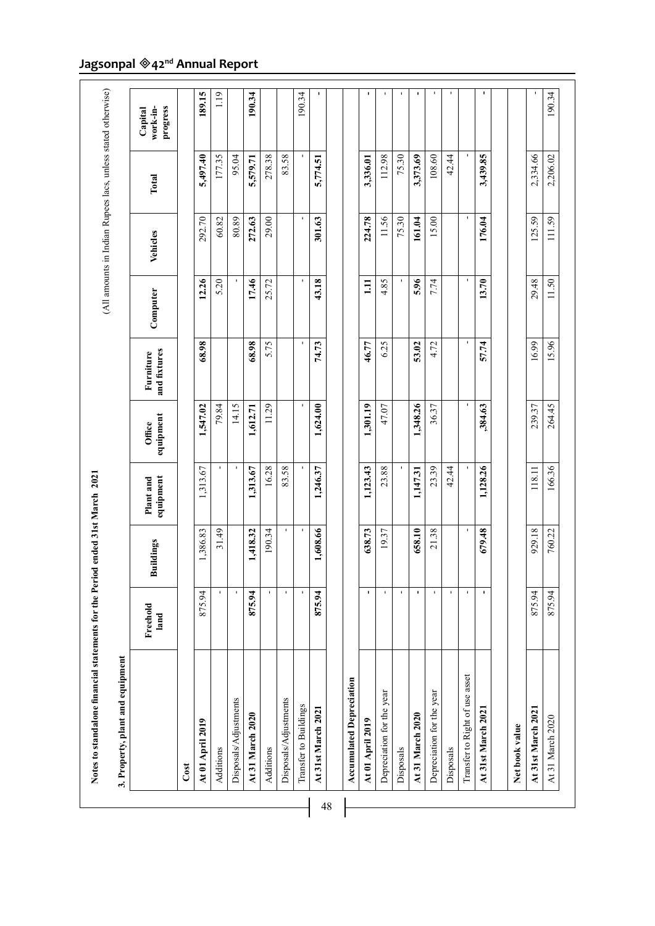| 3. Property, plant and equipment |                  |                  |                        |                     |                           |          |              |          |                                 |
|----------------------------------|------------------|------------------|------------------------|---------------------|---------------------------|----------|--------------|----------|---------------------------------|
|                                  | Freehold<br>land | <b>Buildings</b> | equipment<br>Plant and | equipment<br>Office | and fixtures<br>Furniture | Computer | Vehicles     | Total    | work-in-<br>progress<br>Capital |
| Cost                             |                  |                  |                        |                     |                           |          |              |          |                                 |
| At 01 April 2019                 | 875.94           | 1,386.83         | 1,313.67               | 1,547.02            | 68.98                     | 12.26    | 292.70       | 5,497.40 | 189.15                          |
| Additions                        |                  | 31.49            |                        | 79.84               |                           | 5.20     | 60.82        | 177.35   | 1.19                            |
| Disposals/Adjustments            |                  |                  |                        | 14.15               |                           |          | 80.89        | 95.04    |                                 |
| At 31 March 2020                 | 875.94           | 1,418.32         | 1,313.67               | 1,612.71            | 68.98                     | 17.46    | 272.63       | 5,579.71 | 190.34                          |
| Additions                        | $\mathbf{I}$     | 190.34           | 16.28                  | 11.29               | 5.75                      | 25.72    | 29.00        | 278.38   |                                 |
| Disposals/Adjustments            | J.               | $\mathbf{I}$     | 83.58                  |                     |                           |          |              | 83.58    |                                 |
| Transfer to Buildings            | J.               | $\mathbf{I}$     |                        | $\mathbf{I}$        | J.                        |          | $\mathbf{I}$ |          | 190.34                          |
| At 31st March 2021               | 875.94           | 1,608.66         | 1,246.37               | 1,624.00            | 74.73                     | 43.18    | 301.63       | 5,774.51 | J.                              |
| <b>Accumulated Depreciation</b>  |                  |                  |                        |                     |                           |          |              |          |                                 |
| At 01 April 2019                 | J.               | 638.73           | 1,123.43               | 1,301.19            | 46.77                     | $\Xi$    | 224.78       | 3,336.01 | $\blacksquare$                  |
| Depreciation for the year        |                  | 19.37            | 23.88                  | 47.07               | 6.25                      | 4.85     | 11.56        | 112.98   | ٠                               |
| Disposals                        | J.               |                  |                        |                     |                           |          | 75.30        | 75.30    | J.                              |
| At 31 March 2020                 | $\mathbf I$      | 658.10           | 1,147.31               | 1,348.26            | 53.02                     | 5.96     | 161.04       | 3,373.69 | ı                               |
| Depreciation for the year        | J.               | 21.38            | 23.39                  | 36.37               | 4.72                      | 7.74     | 15.00        | 108.60   | $\mathbf{I}$                    |
| Disposals                        | J.               |                  | 42.44                  |                     |                           |          |              | 42.44    | J.                              |
| Transfer to Right of use asset   | I,               | J.               |                        | J.                  |                           | J.       | J.           |          |                                 |
| At 31st March 2021               | 1                | 679.48           | 1,128.26               | ,384.63             | 57.74                     | 13.70    | 176.04       | 3,439.85 | $\mathbf I$                     |
| Net book value                   |                  |                  |                        |                     |                           |          |              |          |                                 |
| At 31st March 2021               | 875.94           | 929.18           | 118.11                 | 239.37              | 16.99                     | 29.48    | 125.59       | 2,334.66 |                                 |
| At 31 March 2020                 | 875.94           | 760.22           | 166.36                 | 264.45              | 15.96                     | 11.50    | 111.59       | 2,206.02 | 190.34                          |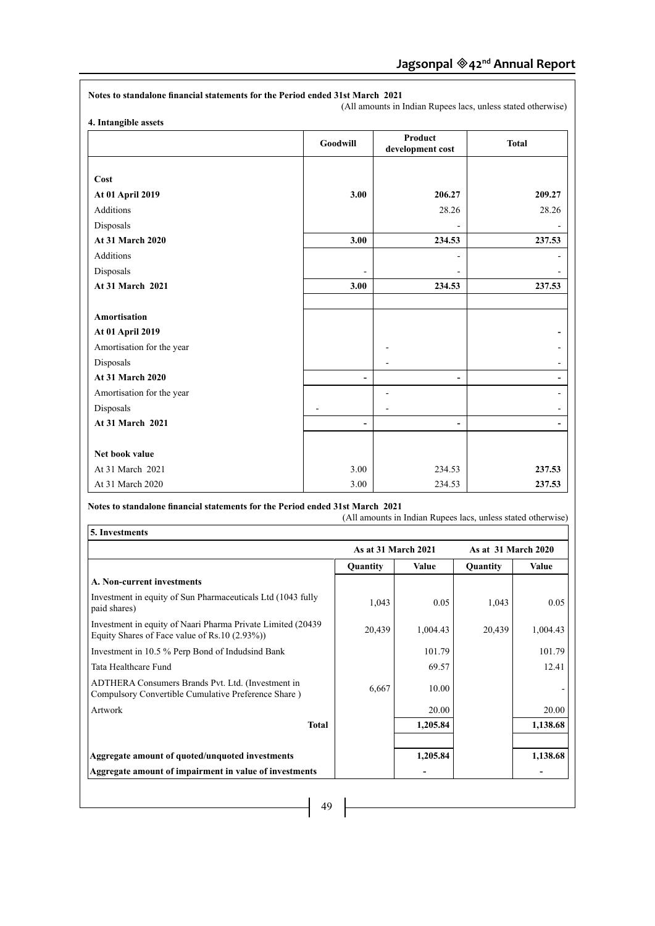|                           | Goodwill | <b>Product</b><br>development cost | <b>Total</b>   |
|---------------------------|----------|------------------------------------|----------------|
| Cost                      |          |                                    |                |
| At 01 April 2019          | 3.00     | 206.27                             | 209.27         |
| <b>Additions</b>          |          | 28.26                              | 28.26          |
| Disposals                 |          |                                    |                |
| <b>At 31 March 2020</b>   | 3.00     | 234.53                             | 237.53         |
| <b>Additions</b>          |          |                                    |                |
| Disposals                 |          |                                    |                |
| <b>At 31 March 2021</b>   | 3.00     | 234.53                             | 237.53         |
| <b>Amortisation</b>       |          |                                    |                |
| At 01 April 2019          |          |                                    |                |
| Amortisation for the year |          |                                    |                |
| Disposals                 |          |                                    |                |
| <b>At 31 March 2020</b>   |          |                                    | $\blacksquare$ |
| Amortisation for the year |          |                                    | ۰,             |
| Disposals                 |          |                                    |                |
| At 31 March 2021          | ۰        |                                    |                |
| Net book value            |          |                                    |                |
| At 31 March 2021          | 3.00     | 234.53                             | 237.53         |
| At 31 March 2020          | 3.00     | 234.53                             | 237.53         |

 $\mathsf{r}$ 

|                                                                                                                | <b>As at 31 March 2021</b> |              | As at 31 March 2020 |          |
|----------------------------------------------------------------------------------------------------------------|----------------------------|--------------|---------------------|----------|
|                                                                                                                | Quantity                   | <b>Value</b> | Quantity            | Value    |
| A. Non-current investments                                                                                     |                            |              |                     |          |
| Investment in equity of Sun Pharmaceuticals Ltd (1043 fully<br>paid shares)                                    | 1,043                      | 0.05         | 1,043               | 0.05     |
| Investment in equity of Naari Pharma Private Limited (20439<br>Equity Shares of Face value of Rs.10 $(2.93\%)$ | 20,439                     | 1,004.43     | 20,439              | 1,004.43 |
| Investment in 10.5 % Perp Bond of Indudsind Bank                                                               |                            | 101.79       |                     | 101.79   |
| Tata Healthcare Fund                                                                                           |                            | 69.57        |                     | 12.41    |
| ADTHERA Consumers Brands Pvt. Ltd. (Investment in<br>Compulsory Convertible Cumulative Preference Share)       | 6,667                      | 10.00        |                     |          |
| Artwork                                                                                                        |                            | 20.00        |                     | 20.00    |
| <b>Total</b>                                                                                                   |                            | 1,205.84     |                     | 1,138.68 |
| Aggregate amount of quoted/unquoted investments                                                                |                            | 1,205.84     |                     | 1,138.68 |
| Aggregate amount of impairment in value of investments                                                         |                            |              |                     |          |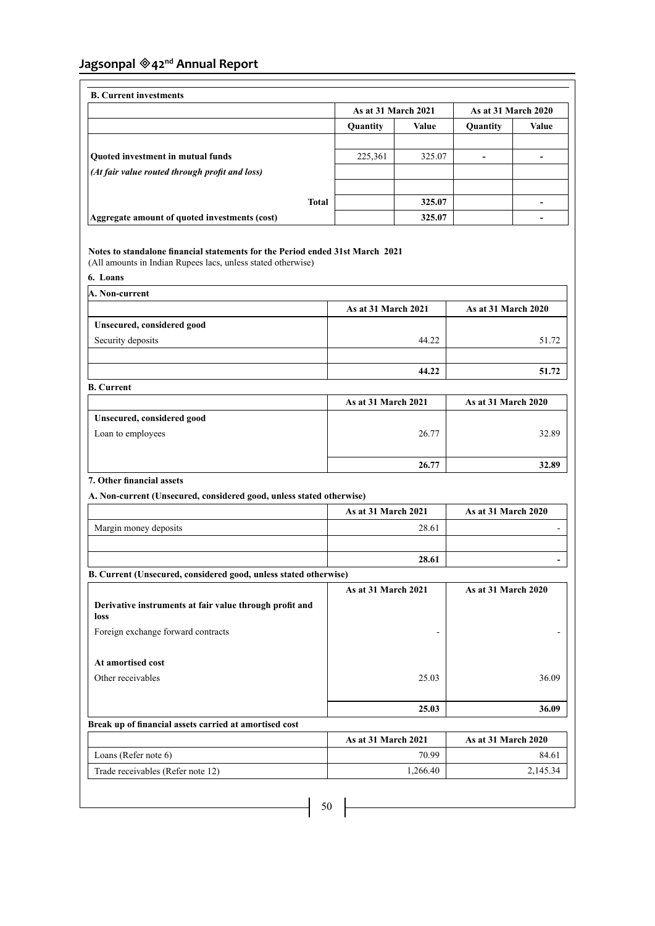|                                                |              | As at 31 March 2021 |        | <b>As at 31 March 2020</b> |       |
|------------------------------------------------|--------------|---------------------|--------|----------------------------|-------|
|                                                |              | Quantity            | Value  | Quantity                   | Value |
| Quoted investment in mutual funds              |              | 225,361             | 325.07 |                            |       |
| (At fair value routed through profit and loss) |              |                     |        |                            |       |
|                                                | <b>Total</b> |                     | 325.07 |                            |       |
| Aggregate amount of quoted investments (cost)  |              |                     | 325.07 |                            |       |

# **Notes to standalone financial statements for the Period ended 31st March 2021**

(All amounts in Indian Rupees lacs, unless stated otherwise)

**6. Loans**

| A. Non-current             |                     |                     |  |
|----------------------------|---------------------|---------------------|--|
|                            | As at 31 March 2021 | As at 31 March 2020 |  |
| Unsecured, considered good |                     |                     |  |
| Security deposits          | 44.22               | 51.72               |  |
|                            |                     |                     |  |
|                            | 44.22               | 51.72               |  |
| <b>B.</b> Current          |                     |                     |  |

|                            | As at 31 March 2021 | <b>As at 31 March 2020</b> |
|----------------------------|---------------------|----------------------------|
| Unsecured, considered good |                     |                            |
| Loan to employees          | 26.77               | 32.89                      |
|                            |                     |                            |
|                            | 26.77               | 32.89                      |

# **7. Other financial assets**

**A. Non-current (Unsecured, considered good, unless stated otherwise)**

|                       | <b>As at 31 March 2021</b> | <b>As at 31 March 2020</b> |
|-----------------------|----------------------------|----------------------------|
| Margin money deposits | 28.61                      |                            |
|                       |                            |                            |
|                       | 28.61                      |                            |

|                                                                 | <b>As at 31 March 2021</b> | As at 31 March 2020 |
|-----------------------------------------------------------------|----------------------------|---------------------|
| Derivative instruments at fair value through profit and<br>loss |                            |                     |
| Foreign exchange forward contracts                              | -                          |                     |
| At amortised cost                                               |                            |                     |
| Other receivables                                               | 25.03                      | 36.09               |
|                                                                 | 25.03                      | 36.09               |
| Break up of financial assets carried at amortised cost          |                            |                     |

|                                   |  | <b>As at 31 March 2021</b> | <b>As at 31 March 2020</b> |
|-----------------------------------|--|----------------------------|----------------------------|
| Loans (Refer note $6$ )           |  | 70.99                      | 84.61                      |
| Trade receivables (Refer note 12) |  | 1,266.40                   | 2,145.34                   |
|                                   |  |                            |                            |
| 50                                |  |                            |                            |
|                                   |  |                            |                            |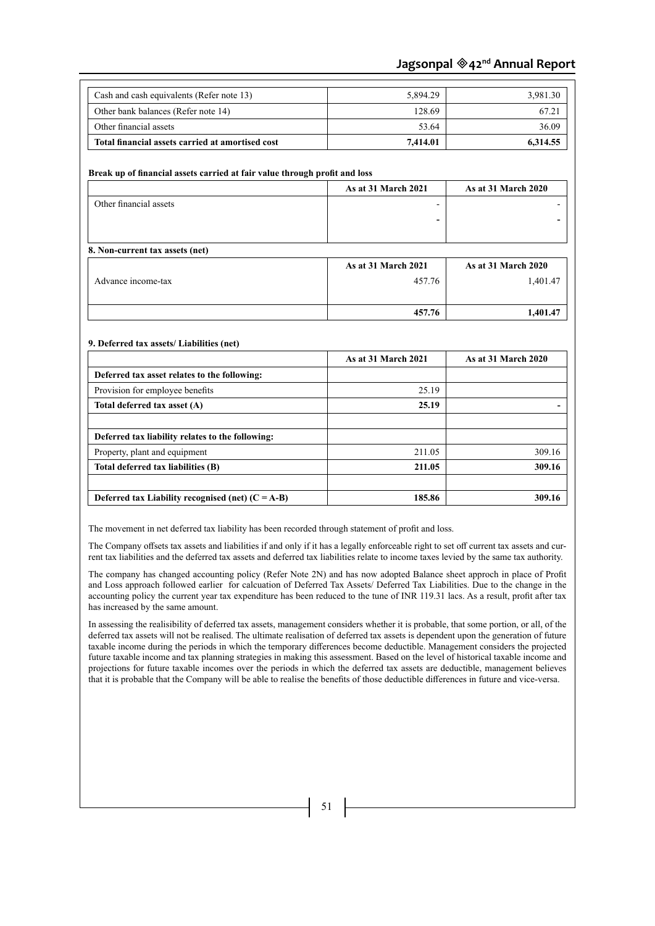| Cash and cash equivalents (Refer note 13)                                  | 5,894.29                 | 3,981.30            |
|----------------------------------------------------------------------------|--------------------------|---------------------|
| Other bank balances (Refer note 14)                                        | 128.69                   | 67.21               |
| Other financial assets                                                     | 53.64                    | 36.09               |
| Total financial assets carried at amortised cost                           | 7,414.01                 | 6,314.55            |
|                                                                            |                          |                     |
| Break up of financial assets carried at fair value through profit and loss |                          |                     |
|                                                                            | As at 31 March 2021      | As at 31 March 2020 |
| Other financial assets                                                     | $\overline{\phantom{a}}$ |                     |
|                                                                            |                          |                     |
|                                                                            |                          |                     |
| 8. Non-current tax assets (net)                                            |                          |                     |
|                                                                            | As at 31 March 2021      | As at 31 March 2020 |
| Advance income-tax                                                         | 457.76                   | 1,401.47            |
|                                                                            |                          |                     |
|                                                                            | 457.76                   | 1,401.47            |
|                                                                            |                          |                     |
| 9. Deferred tax assets/Liabilities (net)                                   |                          |                     |
|                                                                            | As at 31 March 2021      | As at 31 March 2020 |
| Deferred tax asset relates to the following:                               |                          |                     |
| Provision for employee benefits                                            | 25.19                    |                     |
| Total deferred tax asset (A)                                               | 25.19                    |                     |
|                                                                            |                          |                     |

The company has changed accounting policy (Refer Note 2N) and has now adopted Balance sheet approch in place of Profit and Loss approach followed earlier for calcuation of Deferred Tax Assets/ Deferred Tax Liabilities. Due to the change in the accounting policy the current year tax expenditure has been reduced to the tune of INR 119.31 lacs. As a result, profit after tax has increased by the same amount.

Property, plant and equipment 211.05 309.16 **Total deferred tax liabilities (B) 211.05 309.16** 

**Deferred tax Liability recognised (net) (C = A-B)** 185.86 185.86 309.16

The Company offsets tax assets and liabilities if and only if it has a legally enforceable right to set off current tax assets and current tax liabilities and the deferred tax assets and deferred tax liabilities relate to income taxes levied by the same tax authority.

The movement in net deferred tax liability has been recorded through statement of profit and loss.

**Deferred tax liability relates to the following:**

In assessing the realisibility of deferred tax assets, management considers whether it is probable, that some portion, or all, of the deferred tax assets will not be realised. The ultimate realisation of deferred tax assets is dependent upon the generation of future taxable income during the periods in which the temporary differences become deductible. Management considers the projected future taxable income and tax planning strategies in making this assessment. Based on the level of historical taxable income and projections for future taxable incomes over the periods in which the deferred tax assets are deductible, management believes that it is probable that the Company will be able to realise the benefits of those deductible differences in future and vice-versa.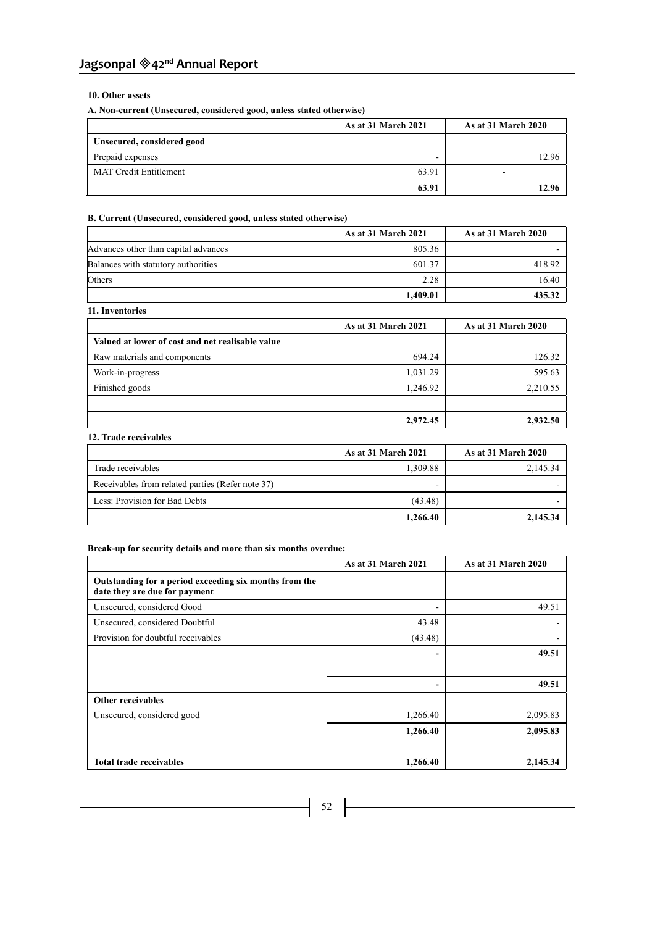# **10. Other assets**

**A. Non-current (Unsecured, considered good, unless stated otherwise)**

|                               | As at 31 March 2021 | <b>As at 31 March 2020</b> |
|-------------------------------|---------------------|----------------------------|
| Unsecured, considered good    |                     |                            |
| Prepaid expenses              | -                   | 2.96                       |
| <b>MAT Credit Entitlement</b> | 63.91               |                            |
|                               | 63.91               | 12.96                      |

# **B. Current (Unsecured, considered good, unless stated otherwise)**

|                                      | As at 31 March 2021 | <b>As at 31 March 2020</b> |
|--------------------------------------|---------------------|----------------------------|
| Advances other than capital advances | 805.36              |                            |
| Balances with statutory authorities  | 601.37              | 418.92                     |
| Others                               | 2.28                | 16.40                      |
|                                      | 1.409.01            | 435.32                     |

| 11. Inventories                                  |                     |                            |  |
|--------------------------------------------------|---------------------|----------------------------|--|
|                                                  | As at 31 March 2021 | <b>As at 31 March 2020</b> |  |
| Valued at lower of cost and net realisable value |                     |                            |  |
| Raw materials and components                     | 694.24              | 126.32                     |  |
| Work-in-progress                                 | 1,031.29            | 595.63                     |  |
| Finished goods                                   | 1,246.92            | 2,210.55                   |  |
|                                                  |                     |                            |  |
|                                                  | 2,972.45            | 2,932.50                   |  |

# **12. Trade receivables**

|                                                  | <b>As at 31 March 2021</b> | <b>As at 31 March 2020</b> |
|--------------------------------------------------|----------------------------|----------------------------|
| Trade receivables                                | 1.309.88                   | 2,145.34                   |
| Receivables from related parties (Refer note 37) | -                          |                            |
| Less: Provision for Bad Debts                    | (43.48)                    |                            |
|                                                  | 1,266.40                   | 2,145.34                   |

# **Break-up for security details and more than six months overdue:**

|                                                                                         | As at 31 March 2021          | As at 31 March 2020 |
|-----------------------------------------------------------------------------------------|------------------------------|---------------------|
| Outstanding for a period exceeding six months from the<br>date they are due for payment |                              |                     |
| Unsecured, considered Good                                                              | -                            | 49.51               |
| Unsecured, considered Doubtful                                                          | 43.48                        |                     |
| Provision for doubtful receivables                                                      | (43.48)                      |                     |
|                                                                                         | -                            | 49.51               |
|                                                                                         | $\qquad \qquad \blacksquare$ | 49.51               |
| <b>Other receivables</b>                                                                |                              |                     |
| Unsecured, considered good                                                              | 1,266.40                     | 2,095.83            |
|                                                                                         | 1,266.40                     | 2,095.83            |
| <b>Total trade receivables</b>                                                          | 1,266.40                     | 2,145.34            |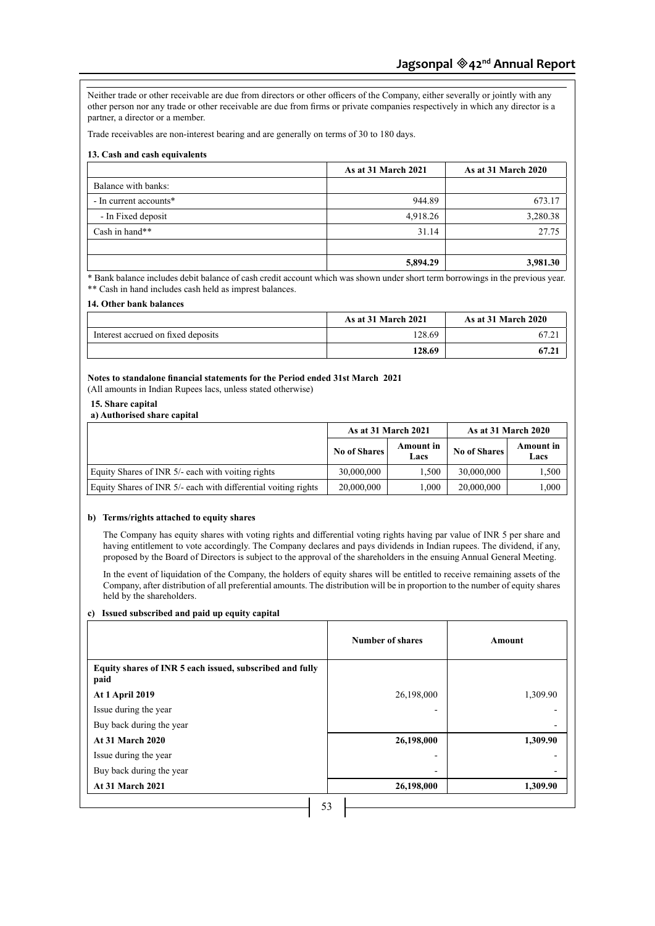Neither trade or other receivable are due from directors or other officers of the Company, either severally or jointly with any other person nor any trade or other receivable are due from firms or private companies respectively in which any director is a partner, a director or a member.

Trade receivables are non-interest bearing and are generally on terms of 30 to 180 days.

# **13. Cash and cash equivalents**

|                        | <b>As at 31 March 2021</b> | <b>As at 31 March 2020</b> |
|------------------------|----------------------------|----------------------------|
| Balance with banks:    |                            |                            |
| - In current accounts* | 944.89                     | 673.17                     |
| - In Fixed deposit     | 4,918.26                   | 3,280.38                   |
| Cash in hand**         | 31.14                      | 27.75                      |
|                        |                            |                            |
|                        | 5,894.29                   | 3,981.30                   |

\* Bank balance includes debit balance of cash credit account which was shown under short term borrowings in the previous year. \*\* Cash in hand includes cash held as imprest balances.

### **14. Other bank balances**

|                                    | <b>As at 31 March 2021</b> | <b>As at 31 March 2020</b> |
|------------------------------------|----------------------------|----------------------------|
| Interest accrued on fixed deposits | 128.69                     |                            |
|                                    | 128.69                     | 67.21                      |

# **Notes to standalone financial statements for the Period ended 31st March 2021**

(All amounts in Indian Rupees lacs, unless stated otherwise)

# **15. Share capital**

|                                                                | As at 31 March 2021 |                          | <b>As at 31 March 2020</b> |                          |
|----------------------------------------------------------------|---------------------|--------------------------|----------------------------|--------------------------|
|                                                                | <b>No of Shares</b> | <b>Amount</b> in<br>Lacs | <b>No of Shares</b>        | <b>Amount</b> in<br>Lacs |
| Equity Shares of INR 5/- each with voiting rights              | 30,000,000          | 1.500                    | 30,000,000                 | 1,500                    |
| Equity Shares of INR 5/- each with differential voiting rights | 20,000,000          | 000.1                    | 20,000,000                 | 000.1                    |

### **b) Terms/rights attached to equity shares**

The Company has equity shares with voting rights and differential voting rights having par value of INR 5 per share and having entitlement to vote accordingly. The Company declares and pays dividends in Indian rupees. The dividend, if any, proposed by the Board of Directors is subject to the approval of the shareholders in the ensuing Annual General Meeting.

In the event of liquidation of the Company, the holders of equity shares will be entitled to receive remaining assets of the Company, after distribution of all preferential amounts. The distribution will be in proportion to the number of equity shares held by the shareholders.

### **c) Issued subscribed and paid up equity capital**

|                                                                  | <b>Number of shares</b> | Amount   |
|------------------------------------------------------------------|-------------------------|----------|
| Equity shares of INR 5 each issued, subscribed and fully<br>paid |                         |          |
| <b>At 1 April 2019</b>                                           | 26,198,000              | 1,309.90 |
| Issue during the year                                            | -                       |          |
| Buy back during the year                                         |                         | -        |
| <b>At 31 March 2020</b>                                          | 26,198,000              | 1,309.90 |
| Issue during the year                                            |                         |          |
| Buy back during the year                                         | -                       |          |
| <b>At 31 March 2021</b>                                          | 26,198,000              | 1,309.90 |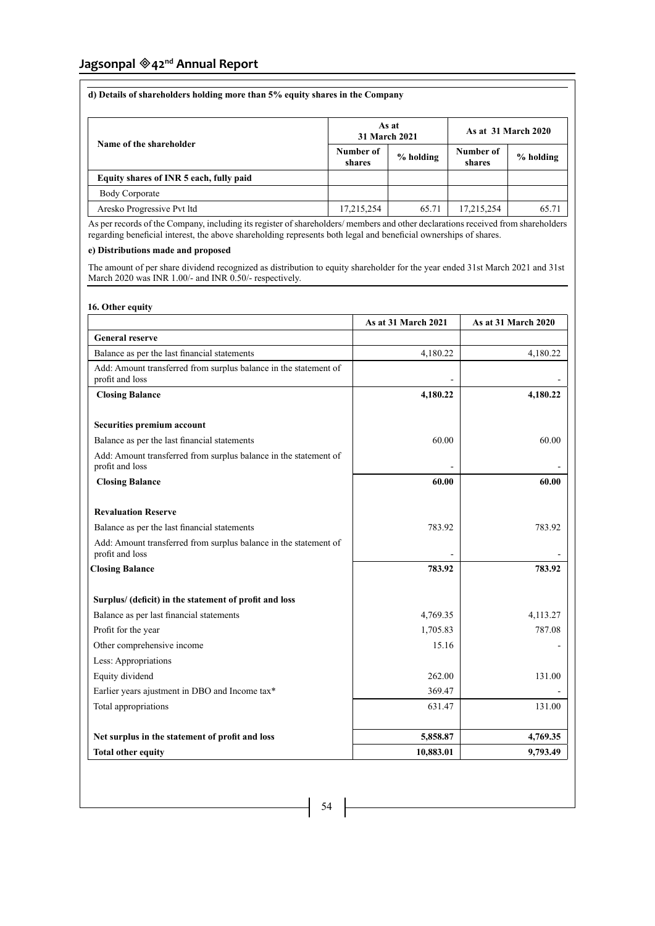| d) Details of shareholders holding more than 5% equity shares in the Company |                     |                        |                     |                     |  |
|------------------------------------------------------------------------------|---------------------|------------------------|---------------------|---------------------|--|
| Name of the shareholder                                                      |                     | As at<br>31 March 2021 |                     | As at 31 March 2020 |  |
|                                                                              | Number of<br>shares | % holding              | Number of<br>shares | % holding           |  |
| Equity shares of INR 5 each, fully paid                                      |                     |                        |                     |                     |  |
| Body Corporate                                                               |                     |                        |                     |                     |  |
| Aresko Progressive Pvt ltd                                                   | 17,215,254          | 65.71                  | 17,215,254          | 65.71               |  |

As per records of the Company, including its register of shareholders/ members and other declarations received from shareholders regarding beneficial interest, the above shareholding represents both legal and beneficial ownerships of shares.

# **e) Distributions made and proposed**

The amount of per share dividend recognized as distribution to equity shareholder for the year ended 31st March 2021 and 31st March 2020 was INR 1.00/- and INR 0.50/- respectively.

# **16. Other equity**

|                                                                                     | As at 31 March 2021 | As at 31 March 2020 |
|-------------------------------------------------------------------------------------|---------------------|---------------------|
| <b>General reserve</b>                                                              |                     |                     |
| Balance as per the last financial statements                                        | 4,180.22            | 4,180.22            |
| Add: Amount transferred from surplus balance in the statement of<br>profit and loss |                     |                     |
| <b>Closing Balance</b>                                                              | 4,180.22            | 4,180.22            |
| Securities premium account                                                          |                     |                     |
| Balance as per the last financial statements                                        | 60.00               | 60.00               |
| Add: Amount transferred from surplus balance in the statement of<br>profit and loss |                     |                     |
| <b>Closing Balance</b>                                                              | 60.00               | 60.00               |
| <b>Revaluation Reserve</b>                                                          |                     |                     |
| Balance as per the last financial statements                                        | 783.92              | 783.92              |
| Add: Amount transferred from surplus balance in the statement of<br>profit and loss |                     |                     |
| <b>Closing Balance</b>                                                              | 783.92              | 783.92              |
| Surplus/ (deficit) in the statement of profit and loss                              |                     |                     |
| Balance as per last financial statements                                            | 4,769.35            | 4,113.27            |
| Profit for the year                                                                 | 1,705.83            | 787.08              |
| Other comprehensive income                                                          | 15.16               |                     |
| Less: Appropriations                                                                |                     |                     |
| Equity dividend                                                                     | 262.00              | 131.00              |
| Earlier years ajustment in DBO and Income tax*                                      | 369.47              |                     |
| Total appropriations                                                                | 631.47              | 131.00              |
| Net surplus in the statement of profit and loss                                     | 5,858.87            | 4,769.35            |
| <b>Total other equity</b>                                                           | 10,883.01           | 9,793.49            |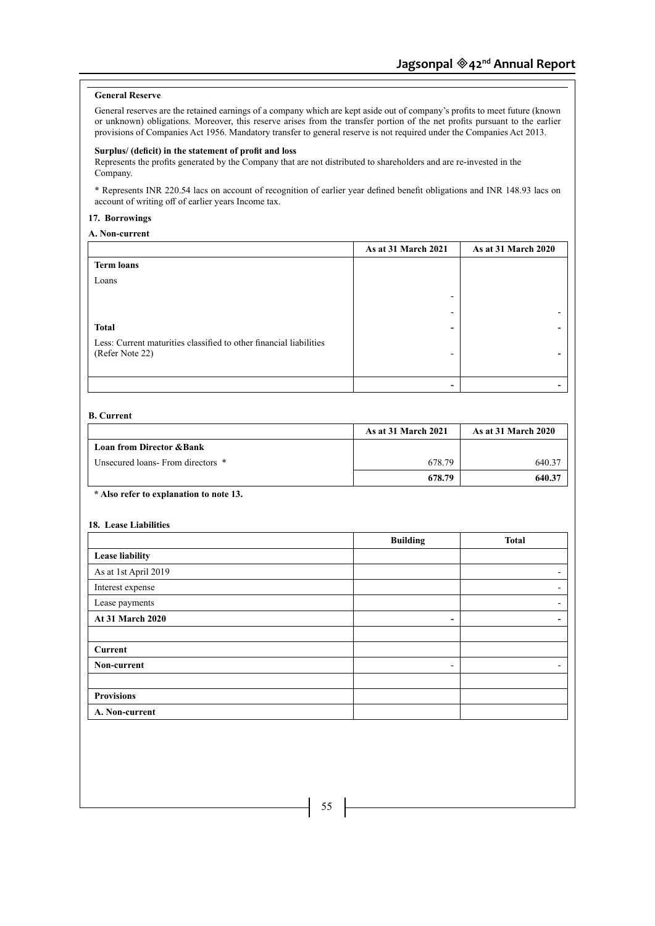# **General Reserve**

General reserves are the retained earnings of a company which are kept aside out of company's profits to meet future (known or unknown) obligations. Moreover, this reserve arises from the transfer portion of the net profits pursuant to the earlier provisions of Companies Act 1956. Mandatory transfer to general reserve is not required under the Companies Act 2013.

### **Surplus/ (deficit) in the statement of profit and loss**

Represents the profits generated by the Company that are not distributed to shareholders and are re-invested in the Company.

\* Represents INR 220.54 lacs on account of recognition of earlier year defined benefit obligations and INR 148.93 lacs on account of writing off of earlier years Income tax.

# **17. Borrowings**

**A. Non-current**

|                                                                    | As at 31 March 2021      | <b>As at 31 March 2020</b> |
|--------------------------------------------------------------------|--------------------------|----------------------------|
| <b>Term loans</b>                                                  |                          |                            |
| Loans                                                              |                          |                            |
|                                                                    | $\overline{\phantom{0}}$ |                            |
|                                                                    | -                        |                            |
| <b>Total</b>                                                       | ۰                        |                            |
| Less: Current maturities classified to other financial liabilities |                          |                            |
| (Refer Note 22)                                                    | $\overline{\phantom{0}}$ |                            |
|                                                                    |                          |                            |
|                                                                    | -                        |                            |

# **B. Current**

|                                      | <b>As at 31 March 2021</b> | <b>As at 31 March 2020</b> |
|--------------------------------------|----------------------------|----------------------------|
| <b>Loan from Director &amp; Bank</b> |                            |                            |
| Unsecured loans-From directors *     | 678.79                     | 640.37                     |
|                                      | 678.79                     | 640.37                     |

# **\* Also refer to explanation to note 13.**

#### **18. Lease Liabilities**

|                         | <b>Building</b>          | <b>Total</b> |
|-------------------------|--------------------------|--------------|
| <b>Lease liability</b>  |                          |              |
| As at 1st April 2019    |                          | -            |
| Interest expense        |                          | ۰.           |
| Lease payments          |                          | ۰.           |
| <b>At 31 March 2020</b> | $\qquad \qquad$          | -            |
|                         |                          |              |
| Current                 |                          |              |
| Non-current             | $\overline{\phantom{a}}$ | -            |
|                         |                          |              |
| <b>Provisions</b>       |                          |              |
| A. Non-current          |                          |              |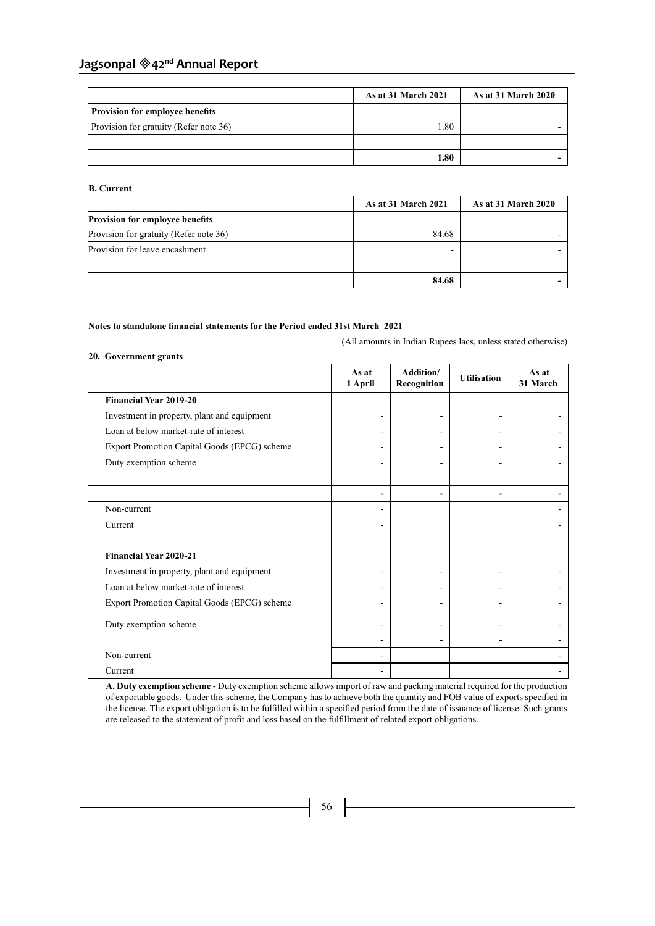|                                        | As at 31 March 2021 | <b>As at 31 March 2020</b> |
|----------------------------------------|---------------------|----------------------------|
| <b>Provision for employee benefits</b> |                     |                            |
| Provision for gratuity (Refer note 36) | 0.80                |                            |
|                                        |                     |                            |
|                                        | .80                 |                            |

# **B. Current**

|                                        | <b>As at 31 March 2021</b> | <b>As at 31 March 2020</b> |
|----------------------------------------|----------------------------|----------------------------|
| <b>Provision for employee benefits</b> |                            |                            |
| Provision for gratuity (Refer note 36) | 84.68                      |                            |
| Provision for leave encashment         |                            |                            |
|                                        |                            |                            |
|                                        | 84.68                      |                            |

# **Notes to standalone financial statements for the Period ended 31st March 2021**

(All amounts in Indian Rupees lacs, unless stated otherwise)

# **20. Government grants**

|                                              | As at<br>1 April | Addition/<br>Recognition | <b>Utilisation</b> | As at<br>31 March |
|----------------------------------------------|------------------|--------------------------|--------------------|-------------------|
| <b>Financial Year 2019-20</b>                |                  |                          |                    |                   |
| Investment in property, plant and equipment  |                  |                          |                    |                   |
| Loan at below market-rate of interest        |                  |                          |                    |                   |
| Export Promotion Capital Goods (EPCG) scheme |                  |                          |                    |                   |
| Duty exemption scheme                        |                  |                          |                    |                   |
|                                              |                  |                          |                    |                   |
|                                              |                  |                          |                    |                   |
| Non-current                                  |                  |                          |                    |                   |
| Current                                      |                  |                          |                    |                   |
|                                              |                  |                          |                    |                   |
| <b>Financial Year 2020-21</b>                |                  |                          |                    |                   |
| Investment in property, plant and equipment  |                  |                          |                    |                   |
| Loan at below market-rate of interest        |                  |                          |                    |                   |
| Export Promotion Capital Goods (EPCG) scheme |                  |                          |                    |                   |
| Duty exemption scheme                        |                  |                          |                    |                   |
|                                              |                  |                          |                    |                   |
| Non-current                                  |                  |                          |                    |                   |
| Current                                      |                  |                          |                    |                   |

**A. Duty exemption scheme** - Duty exemption scheme allows import of raw and packing material required for the production of exportable goods. Under this scheme, the Company has to achieve both the quantity and FOB value of exports specified in the license. The export obligation is to be fulfilled within a specified period from the date of issuance of license. Such grants are released to the statement of profit and loss based on the fulfillment of related export obligations.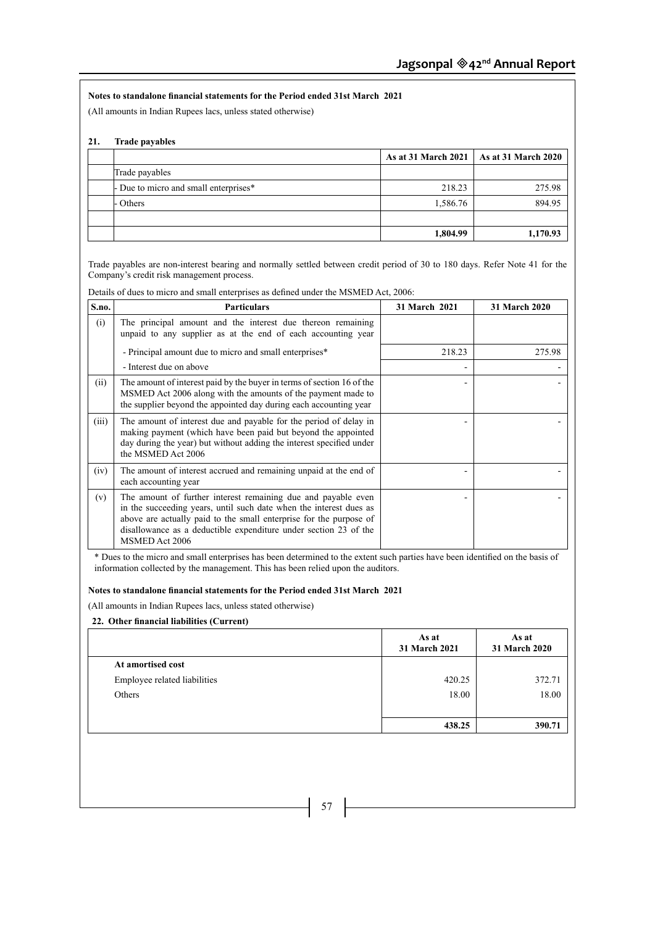# **Notes to standalone financial statements for the Period ended 31st March 2021**

(All amounts in Indian Rupees lacs, unless stated otherwise)

# **21. Trade payables**

|                                       |          | As at 31 March 2021   As at 31 March 2020 |
|---------------------------------------|----------|-------------------------------------------|
| Trade payables                        |          |                                           |
| - Due to micro and small enterprises* | 218.23   | 275.98                                    |
| - Others                              | 1,586.76 | 894.95                                    |
|                                       |          |                                           |
|                                       | 1,804.99 | 1,170.93                                  |

Trade payables are non-interest bearing and normally settled between credit period of 30 to 180 days. Refer Note 41 for the Company's credit risk management process.

Details of dues to micro and small enterprises as defined under the MSMED Act, 2006:

| S.no. | <b>Particulars</b>                                                                                                                                                                                                                                                                              | 31 March 2021 | 31 March 2020 |
|-------|-------------------------------------------------------------------------------------------------------------------------------------------------------------------------------------------------------------------------------------------------------------------------------------------------|---------------|---------------|
| (i)   | The principal amount and the interest due thereon remaining<br>unpaid to any supplier as at the end of each accounting year                                                                                                                                                                     |               |               |
|       | - Principal amount due to micro and small enterprises*                                                                                                                                                                                                                                          | 218.23        | 275.98        |
|       | - Interest due on above                                                                                                                                                                                                                                                                         |               |               |
| (ii)  | The amount of interest paid by the buyer in terms of section 16 of the<br>MSMED Act 2006 along with the amounts of the payment made to<br>the supplier beyond the appointed day during each accounting year                                                                                     |               |               |
| (iii) | The amount of interest due and payable for the period of delay in<br>making payment (which have been paid but beyond the appointed<br>day during the year) but without adding the interest specified under<br>the MSMED Act 2006                                                                |               |               |
| (iv)  | The amount of interest accrued and remaining unpaid at the end of<br>each accounting year                                                                                                                                                                                                       |               |               |
| (v)   | The amount of further interest remaining due and payable even<br>in the succeeding years, until such date when the interest dues as<br>above are actually paid to the small enterprise for the purpose of<br>disallowance as a deductible expenditure under section 23 of the<br>MSMED Act 2006 |               |               |

\* Dues to the micro and small enterprises has been determined to the extent such parties have been identified on the basis of information collected by the management. This has been relied upon the auditors.

# **Notes to standalone financial statements for the Period ended 31st March 2021**

(All amounts in Indian Rupees lacs, unless stated otherwise)

# **22. Other financial liabilities (Current)**

|                              | As at<br>31 March 2021 | As at<br>31 March 2020 |
|------------------------------|------------------------|------------------------|
| At amortised cost            |                        |                        |
| Employee related liabilities | 420.25                 | 372.71                 |
| Others                       | 18.00                  | 18.00                  |
|                              |                        |                        |
|                              | 438.25                 | 390.71                 |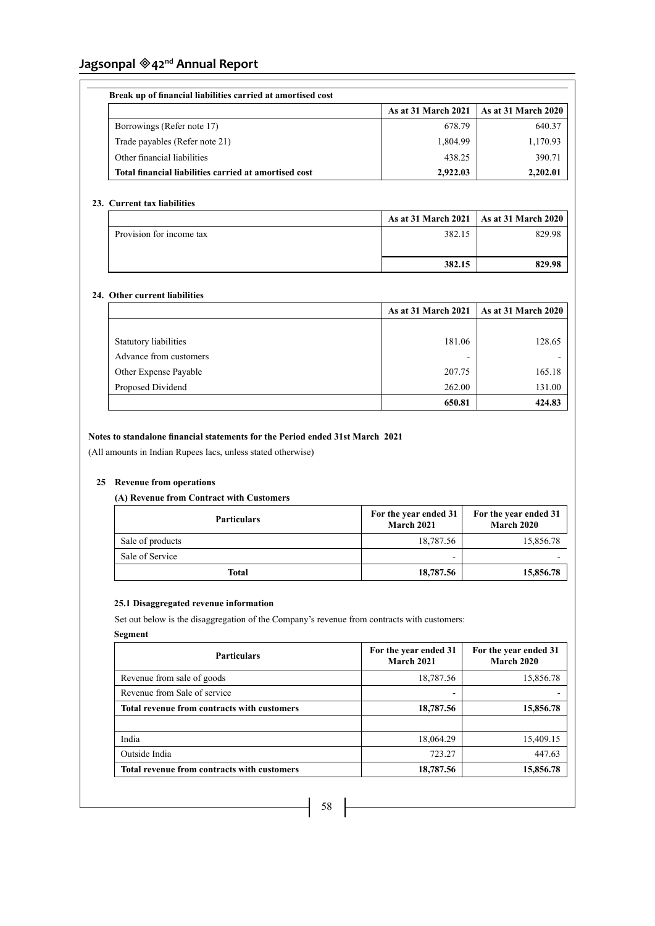| Break up of financial liabilities carried at amortised cost |                            |                             |  |
|-------------------------------------------------------------|----------------------------|-----------------------------|--|
|                                                             | <b>As at 31 March 2021</b> | $\vert$ As at 31 March 2020 |  |
| Borrowings (Refer note 17)                                  | 678.79                     | 640.37                      |  |
| Trade payables (Refer note 21)                              | 1,804.99                   | 1,170.93                    |  |
| Other financial liabilities                                 | 438.25                     | 390.71                      |  |
| Total financial liabilities carried at amortised cost       | 2.922.03                   | 2,202.01                    |  |

# **23. Current tax liabilities**

|                          | <b>As at 31 March 2021</b> As at 31 March 2020 |        |
|--------------------------|------------------------------------------------|--------|
| Provision for income tax | 382.15                                         | 829.98 |
|                          |                                                |        |
|                          | 382.15                                         | 829.98 |

# **24. Other current liabilities**

|                        | <b>As at 31 March 2021</b> | $\vert$ As at 31 March 2020 |
|------------------------|----------------------------|-----------------------------|
|                        |                            |                             |
| Statutory liabilities  | 181.06                     | 128.65                      |
| Advance from customers | ۰                          |                             |
| Other Expense Payable  | 207.75                     | 165.18                      |
| Proposed Dividend      | 262.00                     | 131.00                      |
|                        | 650.81                     | 424.83                      |

# **Notes to standalone financial statements for the Period ended 31st March 2021**

(All amounts in Indian Rupees lacs, unless stated otherwise)

# **25 Revenue from operations**

# **(A) Revenue from Contract with Customers**

| <b>Particulars</b> | For the year ended 31<br>March 2021 | For the year ended 31<br><b>March 2020</b> |
|--------------------|-------------------------------------|--------------------------------------------|
| Sale of products   | 18,787.56                           | 15,856.78                                  |
| Sale of Service    | -                                   |                                            |
| <b>Total</b>       | 18,787.56                           | 15,856.78                                  |

# **25.1 Disaggregated revenue information**

Set out below is the disaggregation of the Company's revenue from contracts with customers:

# **Segment**

| <b>Particulars</b>                          | For the year ended 31<br><b>March 2021</b> | For the year ended 31<br><b>March 2020</b> |
|---------------------------------------------|--------------------------------------------|--------------------------------------------|
| Revenue from sale of goods                  | 18,787.56                                  | 15,856.78                                  |
| Revenue from Sale of service                |                                            |                                            |
| Total revenue from contracts with customers | 18,787.56                                  | 15,856.78                                  |
|                                             |                                            |                                            |
| India                                       | 18,064.29                                  | 15,409.15                                  |
| Outside India                               | 723.27                                     | 447.63                                     |
| Total revenue from contracts with customers | 18,787.56                                  | 15,856.78                                  |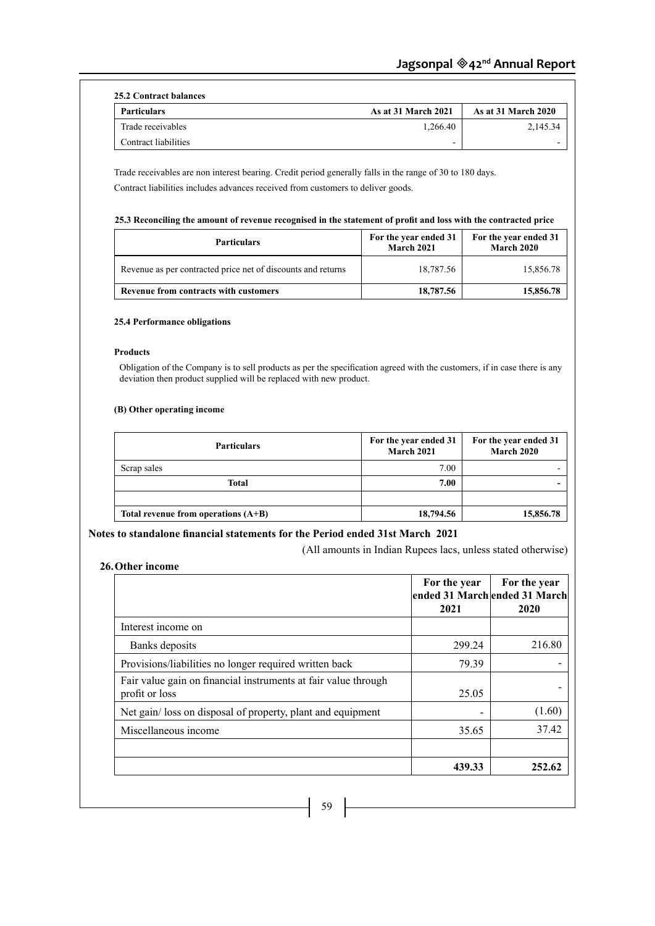| 25.2 Contract balances |                            |                            |
|------------------------|----------------------------|----------------------------|
| <b>Particulars</b>     | <b>As at 31 March 2021</b> | <b>As at 31 March 2020</b> |
| Trade receivables      | 1.266.40                   | 2,145.34                   |
| Contract liabilities   | -                          |                            |

Trade receivables are non interest bearing. Credit period generally falls in the range of 30 to 180 days. Contract liabilities includes advances received from customers to deliver goods.

# **25.3 Reconciling the amount of revenue recognised in the statement of profit and loss with the contracted price**

| <b>Particulars</b>                                           | For the year ended 31<br><b>March 2021</b> | For the year ended 31<br><b>March 2020</b> |
|--------------------------------------------------------------|--------------------------------------------|--------------------------------------------|
| Revenue as per contracted price net of discounts and returns | 18,787.56                                  | 15,856.78                                  |
| Revenue from contracts with customers                        | 18,787.56                                  | 15,856.78                                  |

# **25.4 Performance obligations**

# **Products**

Obligation of the Company is to sell products as per the specification agreed with the customers, if in case there is any deviation then product supplied will be replaced with new product.

# **(B) Other operating income**

| <b>Particulars</b>                    | For the year ended 31<br>March 2021 | For the year ended 31<br>March 2020 |
|---------------------------------------|-------------------------------------|-------------------------------------|
| Scrap sales                           | 7.00                                |                                     |
| <b>Total</b>                          | 7.00                                |                                     |
|                                       |                                     |                                     |
| Total revenue from operations $(A+B)$ | 18,794.56                           | 15,856.78                           |

# **Notes to standalone financial statements for the Period ended 31st March 2021**

(All amounts in Indian Rupees lacs, unless stated otherwise)

# **26.Other income**

|                                                                                  | For the year<br>ended 31 Marchended 31 March<br>2021 | For the year<br>2020 |
|----------------------------------------------------------------------------------|------------------------------------------------------|----------------------|
| Interest income on                                                               |                                                      |                      |
| Banks deposits                                                                   | 299.24                                               | 216.80               |
| Provisions/liabilities no longer required written back                           | 79.39                                                |                      |
| Fair value gain on financial instruments at fair value through<br>profit or loss | 25.05                                                |                      |
| Net gain/loss on disposal of property, plant and equipment                       |                                                      | (1.60)               |
| Miscellaneous income                                                             | 35.65                                                | 37.42                |
|                                                                                  | 439.33                                               | 252.62               |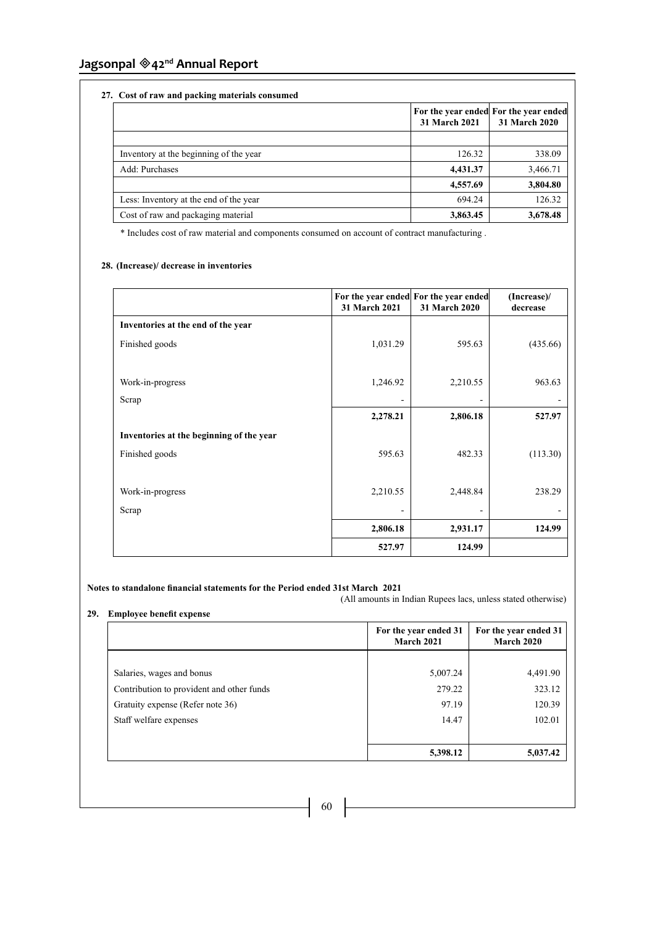# **27. Cost of raw and packing materials consumed**

| Cost of Taw and packing materials constitued |               |                                                        |  |
|----------------------------------------------|---------------|--------------------------------------------------------|--|
|                                              | 31 March 2021 | For the year ended For the year ended<br>31 March 2020 |  |
|                                              |               |                                                        |  |
| Inventory at the beginning of the year       | 126.32        | 338.09                                                 |  |
| Add: Purchases                               | 4,431.37      | 3,466.71                                               |  |
|                                              | 4,557.69      | 3,804.80                                               |  |
| Less: Inventory at the end of the year       | 694.24        | 126.32                                                 |  |
| Cost of raw and packaging material           | 3,863.45      | 3,678.48                                               |  |

\* Includes cost of raw material and components consumed on account of contract manufacturing .

# **28. (Increase)/ decrease in inventories**

|                                          | 31 March 2021 | For the year ended For the year ended<br>31 March 2020 | (Increase)/<br>decrease |
|------------------------------------------|---------------|--------------------------------------------------------|-------------------------|
| Inventories at the end of the year       |               |                                                        |                         |
| Finished goods                           | 1,031.29      | 595.63                                                 | (435.66)                |
| Work-in-progress                         | 1,246.92      | 2,210.55                                               | 963.63                  |
| Scrap                                    |               |                                                        |                         |
|                                          | 2,278.21      | 2,806.18                                               | 527.97                  |
| Inventories at the beginning of the year |               |                                                        |                         |
| Finished goods                           | 595.63        | 482.33                                                 | (113.30)                |
| Work-in-progress                         | 2,210.55      | 2,448.84                                               | 238.29                  |
| Scrap                                    |               |                                                        |                         |
|                                          | 2,806.18      | 2,931.17                                               | 124.99                  |
|                                          | 527.97        | 124.99                                                 |                         |

# **Notes to standalone financial statements for the Period ended 31st March 2021**

(All amounts in Indian Rupees lacs, unless stated otherwise)

# **29. Employee benefit expense**

|                                           | For the year ended 31<br><b>March 2021</b> | For the year ended 31<br><b>March 2020</b> |
|-------------------------------------------|--------------------------------------------|--------------------------------------------|
|                                           |                                            |                                            |
| Salaries, wages and bonus                 | 5,007.24                                   | 4,491.90                                   |
| Contribution to provident and other funds | 279.22                                     | 323.12                                     |
| Gratuity expense (Refer note 36)          | 97.19                                      | 120.39                                     |
| Staff welfare expenses                    | 14.47                                      | 102.01                                     |
|                                           | 5,398.12                                   | 5,037.42                                   |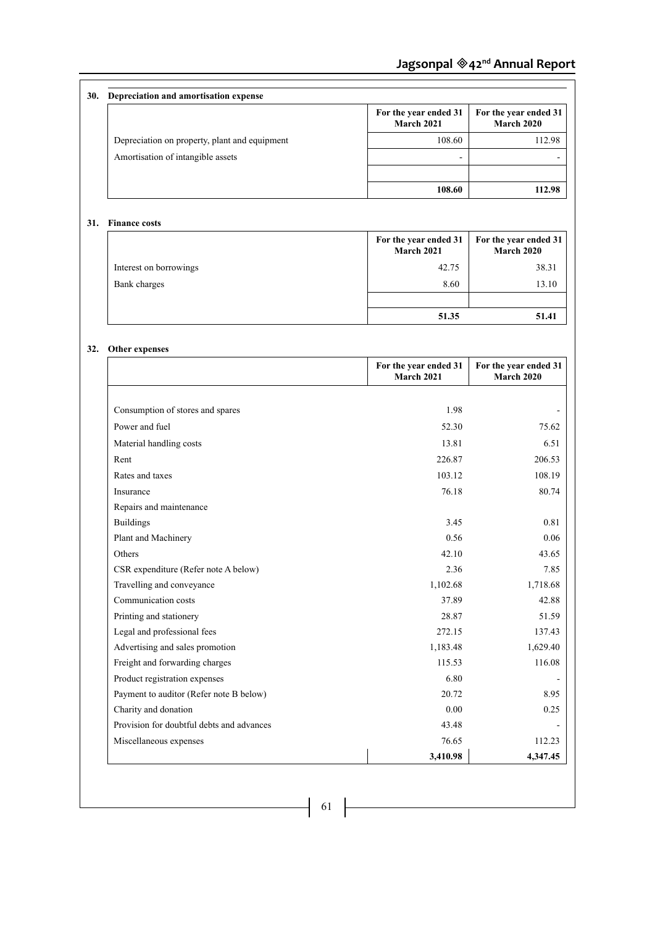| <b>30.</b> | Depreciation and amortisation expense         |                                     |                                            |
|------------|-----------------------------------------------|-------------------------------------|--------------------------------------------|
|            |                                               | For the year ended 31<br>March 2021 | For the year ended 31<br><b>March 2020</b> |
|            | Depreciation on property, plant and equipment | 108.60                              | 112.98                                     |
|            | Amortisation of intangible assets             | -                                   |                                            |
|            |                                               | 108.60                              | 112.98                                     |

# **31. Finance costs**

|                        | For the year ended 31<br>March 2021 | For the year ended 31<br><b>March 2020</b> |
|------------------------|-------------------------------------|--------------------------------------------|
| Interest on borrowings | 42.75                               | 38.31                                      |
| Bank charges           | 8.60                                | 13.10                                      |
|                        |                                     |                                            |
|                        | 51.35                               | 51.41                                      |

# **32. Other expenses**

|                                           | For the year ended 31<br><b>March 2021</b> | For the year ended 31<br>March 2020 |
|-------------------------------------------|--------------------------------------------|-------------------------------------|
|                                           |                                            |                                     |
| Consumption of stores and spares          | 1.98                                       |                                     |
| Power and fuel                            | 52.30                                      | 75.62                               |
| Material handling costs                   | 13.81                                      | 6.51                                |
| Rent                                      | 226.87                                     | 206.53                              |
| Rates and taxes                           | 103.12                                     | 108.19                              |
| Insurance                                 | 76.18                                      | 80.74                               |
| Repairs and maintenance                   |                                            |                                     |
| <b>Buildings</b>                          | 3.45                                       | 0.81                                |
| Plant and Machinery                       | 0.56                                       | 0.06                                |
| Others                                    | 42.10                                      | 43.65                               |
| CSR expenditure (Refer note A below)      | 2.36                                       | 7.85                                |
| Travelling and conveyance                 | 1,102.68                                   | 1,718.68                            |
| Communication costs                       | 37.89                                      | 42.88                               |
| Printing and stationery                   | 28.87                                      | 51.59                               |
| Legal and professional fees               | 272.15                                     | 137.43                              |
| Advertising and sales promotion           | 1,183.48                                   | 1,629.40                            |
| Freight and forwarding charges            | 115.53                                     | 116.08                              |
| Product registration expenses             | 6.80                                       |                                     |
| Payment to auditor (Refer note B below)   | 20.72                                      | 8.95                                |
| Charity and donation                      | 0.00                                       | 0.25                                |
| Provision for doubtful debts and advances | 43.48                                      |                                     |
| Miscellaneous expenses                    | 76.65                                      | 112.23                              |
|                                           | 3,410.98                                   | 4,347.45                            |

 $-$  61  $\vert$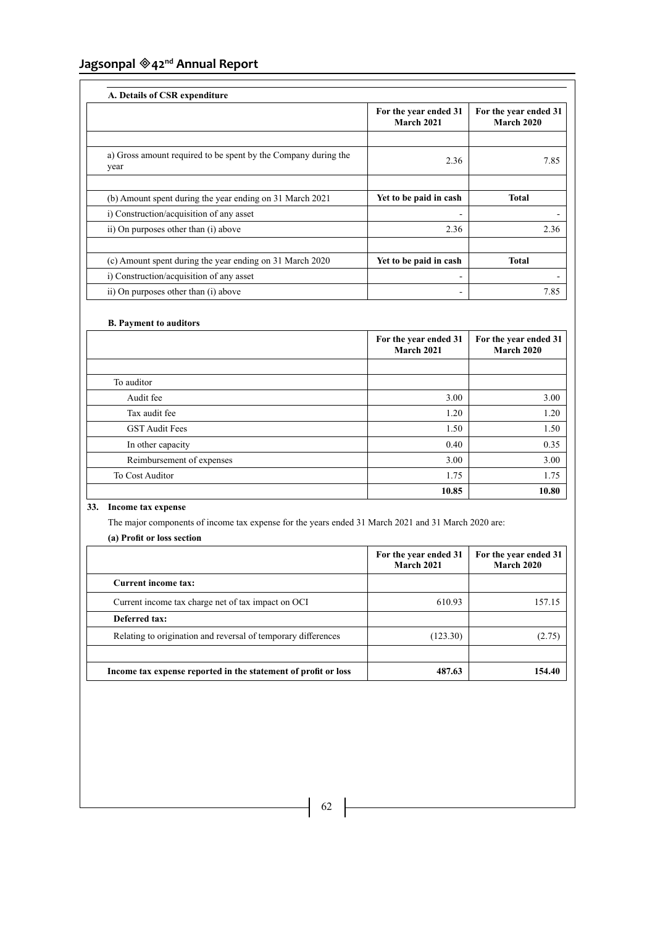|                                                                        | For the year ended 31<br><b>March 2021</b> | For the year ended 31<br><b>March 2020</b> |
|------------------------------------------------------------------------|--------------------------------------------|--------------------------------------------|
| a) Gross amount required to be spent by the Company during the<br>year | 2.36                                       | 7.85                                       |
| (b) Amount spent during the year ending on 31 March 2021               | Yet to be paid in cash                     | <b>Total</b>                               |
| i) Construction/acquisition of any asset                               |                                            |                                            |
| ii) On purposes other than (i) above                                   | 2.36                                       | 2.36                                       |
| (c) Amount spent during the year ending on 31 March 2020               | Yet to be paid in cash                     | <b>Total</b>                               |
| i) Construction/acquisition of any asset                               |                                            |                                            |
| ii) On purposes other than (i) above                                   |                                            | 7.85                                       |

# **B. Payment to auditors**

|                           | For the year ended 31<br>March 2021 | For the year ended 31<br><b>March 2020</b> |
|---------------------------|-------------------------------------|--------------------------------------------|
|                           |                                     |                                            |
| To auditor                |                                     |                                            |
| Audit fee                 | 3.00                                | 3.00                                       |
| Tax audit fee             | 1.20                                | 1.20                                       |
| <b>GST Audit Fees</b>     | 1.50                                | 1.50                                       |
| In other capacity         | 0.40                                | 0.35                                       |
| Reimbursement of expenses | 3.00                                | 3.00                                       |
| To Cost Auditor           | 1.75                                | 1.75                                       |
|                           | 10.85                               | 10.80                                      |

# **33. Income tax expense**

The major components of income tax expense for the years ended 31 March 2021 and 31 March 2020 are: **(a) Profit or loss section**

|                                                                | For the year ended 31<br><b>March 2021</b> | For the year ended 31<br>March 2020 |
|----------------------------------------------------------------|--------------------------------------------|-------------------------------------|
| <b>Current income tax:</b>                                     |                                            |                                     |
| Current income tax charge net of tax impact on OCI             | 610.93                                     | 157.15                              |
| Deferred tax:                                                  |                                            |                                     |
| Relating to origination and reversal of temporary differences  | (123.30)                                   | (2.75)                              |
|                                                                |                                            |                                     |
| Income tax expense reported in the statement of profit or loss | 487.63                                     | 154.40                              |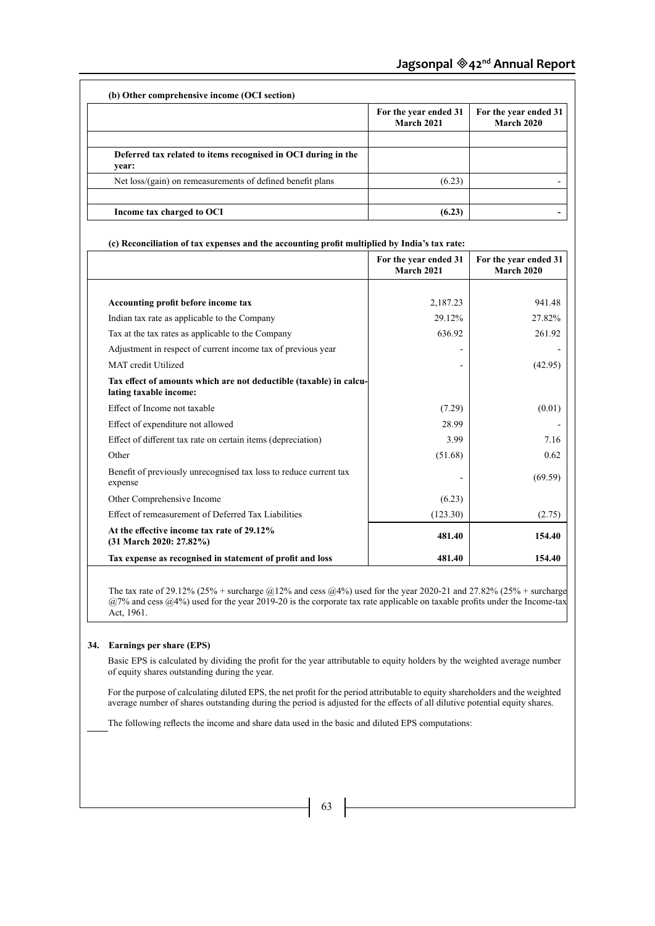|                                                                        | For the year ended 31<br><b>March 2021</b> | For the year ended 31<br><b>March 2020</b> |
|------------------------------------------------------------------------|--------------------------------------------|--------------------------------------------|
| Deferred tax related to items recognised in OCI during in the<br>vear: |                                            |                                            |
| Net loss/(gain) on remeasurements of defined benefit plans             | (6.23)                                     |                                            |
| Income tax charged to OCI                                              | (6.23)                                     |                                            |

| (c) Reconciliation of tax expenses and the accounting profit multiplied by India's tax rate: |                                            |                                            |
|----------------------------------------------------------------------------------------------|--------------------------------------------|--------------------------------------------|
|                                                                                              | For the year ended 31<br><b>March 2021</b> | For the year ended 31<br><b>March 2020</b> |
|                                                                                              |                                            |                                            |
| Accounting profit before income tax                                                          | 2,187.23                                   | 941.48                                     |
| Indian tax rate as applicable to the Company                                                 | 29.12%                                     | 27.82%                                     |
| Tax at the tax rates as applicable to the Company                                            | 636.92                                     | 261.92                                     |
| Adjustment in respect of current income tax of previous year                                 |                                            |                                            |
| MAT credit Utilized                                                                          |                                            | (42.95)                                    |
| Tax effect of amounts which are not deductible (taxable) in calcu-<br>lating taxable income: |                                            |                                            |
| Effect of Income not taxable                                                                 | (7.29)                                     | (0.01)                                     |
| Effect of expenditure not allowed                                                            | 28.99                                      |                                            |
| Effect of different tax rate on certain items (depreciation)                                 | 3.99                                       | 7.16                                       |
| Other                                                                                        | (51.68)                                    | 0.62                                       |
| Benefit of previously unrecognised tax loss to reduce current tax<br>expense                 |                                            | (69.59)                                    |
| Other Comprehensive Income                                                                   | (6.23)                                     |                                            |
| Effect of remeasurement of Deferred Tax Liabilities                                          | (123.30)                                   | (2.75)                                     |
| At the effective income tax rate of 29.12%<br>$(31 \text{ March } 2020: 27.82\%)$            | 481.40                                     | 154.40                                     |
| Tax expense as recognised in statement of profit and loss                                    | 481.40                                     | 154.40                                     |

The tax rate of 29.12% (25% + surcharge @12% and cess @4%) used for the year 2020-21 and 27.82% (25% + surcharge @7% and cess @4%) used for the year 2019-20 is the corporate tax rate applicable on taxable profits under the Income-tax Act, 1961.

# **34. Earnings per share (EPS)**

Basic EPS is calculated by dividing the profit for the year attributable to equity holders by the weighted average number of equity shares outstanding during the year.

For the purpose of calculating diluted EPS, the net profit for the period attributable to equity shareholders and the weighted average number of shares outstanding during the period is adjusted for the effects of all dilutive potential equity shares.

The following reflects the income and share data used in the basic and diluted EPS computations:

 $\begin{bmatrix} 63 \end{bmatrix}$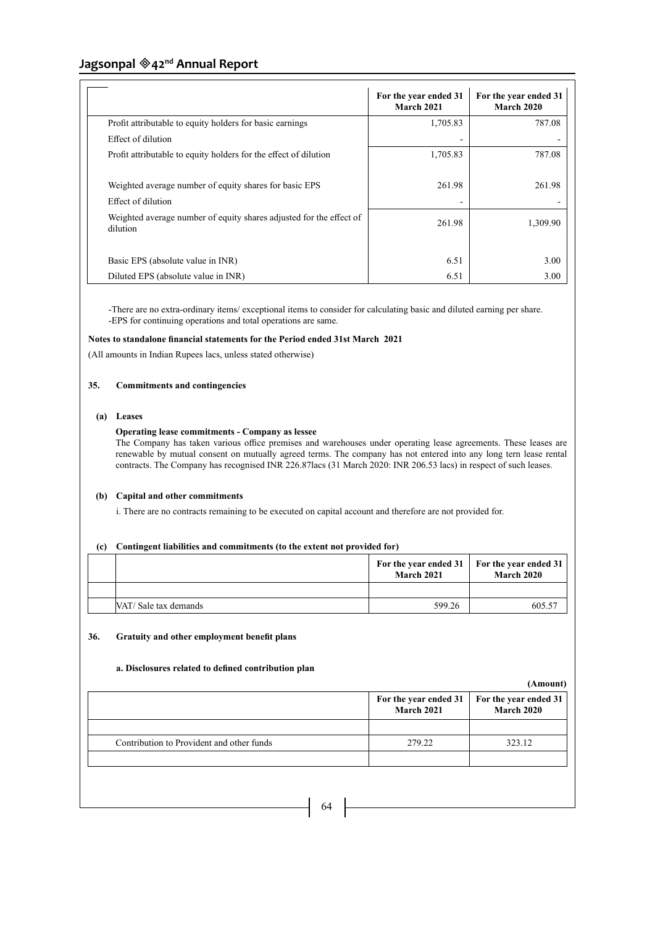|                                                                                 | For the year ended 31<br><b>March 2021</b> | For the year ended 31<br><b>March 2020</b> |
|---------------------------------------------------------------------------------|--------------------------------------------|--------------------------------------------|
| Profit attributable to equity holders for basic earnings                        | 1,705.83                                   | 787.08                                     |
| Effect of dilution                                                              |                                            |                                            |
| Profit attributable to equity holders for the effect of dilution                | 1,705.83                                   | 787.08                                     |
| Weighted average number of equity shares for basic EPS<br>Effect of dilution    | 261.98                                     | 261.98                                     |
| Weighted average number of equity shares adjusted for the effect of<br>dilution | 261.98                                     | 1.309.90                                   |
| Basic EPS (absolute value in INR)                                               | 6.51                                       | 3.00                                       |
| Diluted EPS (absolute value in INR)                                             | 6.51                                       | 3.00                                       |

-There are no extra-ordinary items/ exceptional items to consider for calculating basic and diluted earning per share. -EPS for continuing operations and total operations are same.

# **Notes to standalone financial statements for the Period ended 31st March 2021**

(All amounts in Indian Rupees lacs, unless stated otherwise)

# **35. Commitments and contingencies**

# **(a) Leases**

# **Operating lease commitments - Company as lessee**

The Company has taken various office premises and warehouses under operating lease agreements. These leases are renewable by mutual consent on mutually agreed terms. The company has not entered into any long tern lease rental contracts. The Company has recognised INR 226.87lacs (31 March 2020: INR 206.53 lacs) in respect of such leases.

# **(b) Capital and other commitments**

i. There are no contracts remaining to be executed on capital account and therefore are not provided for.

# **(c) Contingent liabilities and commitments (to the extent not provided for)**

|                      | <b>March 2021</b> | For the year ended 31   For the year ended 31<br><b>March 2020</b> |
|----------------------|-------------------|--------------------------------------------------------------------|
|                      |                   |                                                                    |
| NAT/Sale tax demands | 599.26            | 605.57                                                             |

# **36. Gratuity and other employment benefit plans**

# **a. Disclosures related to defined contribution plan**

**(Amount)**

| Contribution to Provident and other funds | 279.22 | 323.12 |
|-------------------------------------------|--------|--------|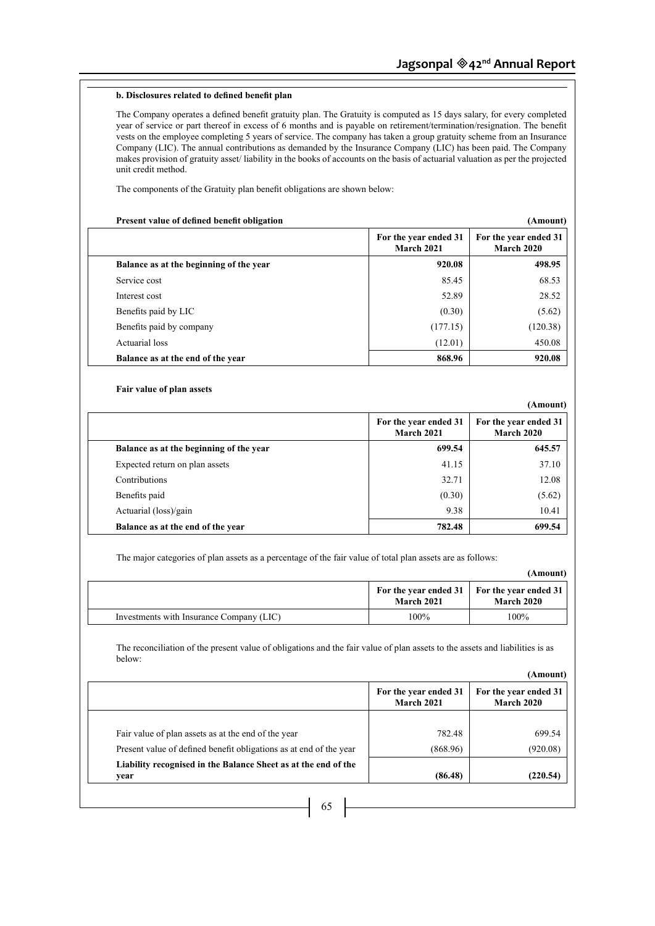# **b. Disclosures related to defined benefit plan**

The Company operates a defined benefit gratuity plan. The Gratuity is computed as 15 days salary, for every completed year of service or part thereof in excess of 6 months and is payable on retirement/termination/resignation. The benefit vests on the employee completing 5 years of service. The company has taken a group gratuity scheme from an Insurance Company (LIC). The annual contributions as demanded by the Insurance Company (LIC) has been paid. The Company makes provision of gratuity asset/ liability in the books of accounts on the basis of actuarial valuation as per the projected unit credit method.

The components of the Gratuity plan benefit obligations are shown below:

#### **Present value of defined benefit obligation (Amount)**

**(Amount)**

| -                                       |                                     |                                     |
|-----------------------------------------|-------------------------------------|-------------------------------------|
|                                         | For the year ended 31<br>March 2021 | For the year ended 31<br>March 2020 |
| Balance as at the beginning of the year | 920.08                              | 498.95                              |
| Service cost                            | 85.45                               | 68.53                               |
| Interest cost                           | 52.89                               | 28.52                               |
| Benefits paid by LIC                    | (0.30)                              | (5.62)                              |
| Benefits paid by company                | (177.15)                            | (120.38)                            |
| Actuarial loss                          | (12.01)                             | 450.08                              |
| Balance as at the end of the year       | 868.96                              | 920.08                              |

# **Fair value of plan assets**

|                                         |                                     | , <b>данг</b> оппет                 |
|-----------------------------------------|-------------------------------------|-------------------------------------|
|                                         | For the year ended 31<br>March 2021 | For the year ended 31<br>March 2020 |
| Balance as at the beginning of the year | 699.54                              | 645.57                              |
| Expected return on plan assets          | 41.15                               | 37.10                               |
| <b>Contributions</b>                    | 32.71                               | 12.08                               |
| Benefits paid                           | (0.30)                              | (5.62)                              |
| Actuarial (loss)/gain                   | 9.38                                | 10.41                               |
| Balance as at the end of the year       | 782.48                              | 699.54                              |

The major categories of plan assets as a percentage of the fair value of total plan assets are as follows:

#### **(Amount) For the year ended 31 March 2021 For the year ended 31 March 2020** Investments with Insurance Company (LIC) 100% 100% 100%

The reconciliation of the present value of obligations and the fair value of plan assets to the assets and liabilities is as below:

#### **(Amount)**

|                                                                        | For the year ended 31<br>March 2021 | For the year ended 31<br><b>March 2020</b> |
|------------------------------------------------------------------------|-------------------------------------|--------------------------------------------|
| Fair value of plan assets as at the end of the year                    | 782.48                              | 699.54                                     |
| Present value of defined benefit obligations as at end of the year     | (868.96)                            | (920.08)                                   |
| Liability recognised in the Balance Sheet as at the end of the<br>vear | (86.48)                             | (220.54)                                   |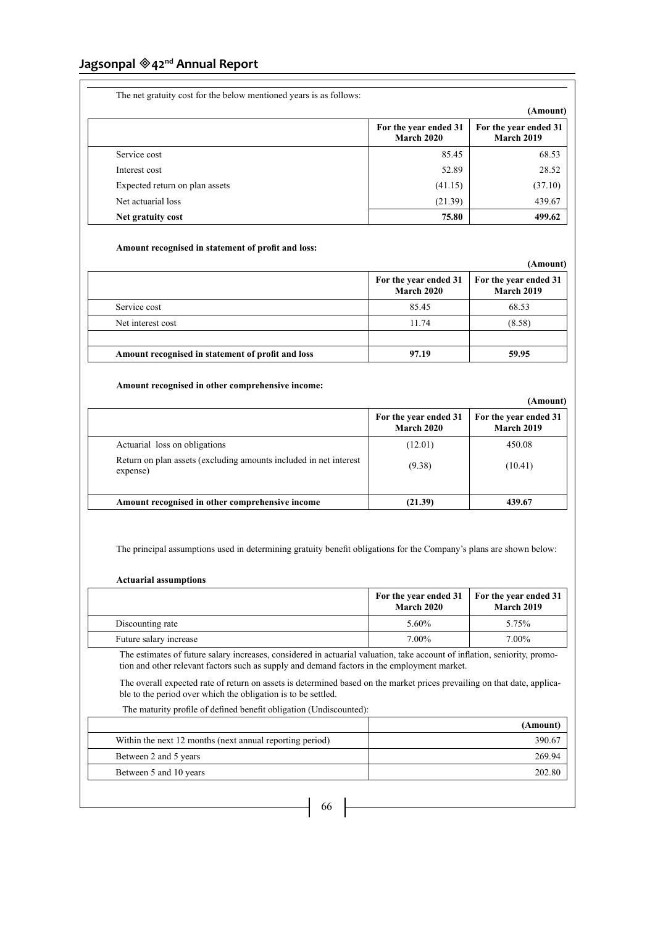| The net gratuity cost for the below mentioned years is as follows: |                                            |                                            |
|--------------------------------------------------------------------|--------------------------------------------|--------------------------------------------|
|                                                                    |                                            | (Amount)                                   |
|                                                                    | For the year ended 31<br><b>March 2020</b> | For the year ended 31<br><b>March 2019</b> |
| Service cost                                                       | 85.45                                      | 68.53                                      |
| Interest cost                                                      | 52.89                                      | 28.52                                      |
| Expected return on plan assets                                     | (41.15)                                    | (37.10)                                    |
| Net actuarial loss                                                 | (21.39)                                    | 439.67                                     |
| Net gratuity cost                                                  | 75.80                                      | 499.62                                     |

# **Amount recognised in statement of profit and loss:**

|                                                   |                                            | (Amount)                                   |
|---------------------------------------------------|--------------------------------------------|--------------------------------------------|
|                                                   | For the year ended 31<br><b>March 2020</b> | For the year ended 31<br><b>March 2019</b> |
| Service cost                                      | 85.45                                      | 68.53                                      |
| Net interest cost                                 | 11.74                                      | (8.58)                                     |
|                                                   |                                            |                                            |
| Amount recognised in statement of profit and loss | 97.19                                      | 59.95                                      |

# **Amount recognised in other comprehensive income:**

|                                                                               |                                            | (Amount)                                   |
|-------------------------------------------------------------------------------|--------------------------------------------|--------------------------------------------|
|                                                                               | For the year ended 31<br><b>March 2020</b> | For the year ended 31<br><b>March 2019</b> |
| Actuarial loss on obligations                                                 | (12.01)                                    | 450.08                                     |
| Return on plan assets (excluding amounts included in net interest<br>expense) | (9.38)                                     | (10.41)                                    |
| Amount recognised in other comprehensive income                               | (21.39)                                    | 439.67                                     |

The principal assumptions used in determining gratuity benefit obligations for the Company's plans are shown below:

# **Actuarial assumptions**

|                        | For the year ended $31 \mid$ For the year ended 31<br><b>March 2020</b> | <b>March 2019</b> |
|------------------------|-------------------------------------------------------------------------|-------------------|
| Discounting rate       | 5.60%                                                                   | 5.75%             |
| Future salary increase | 7.00%                                                                   | 7.00%             |

The estimates of future salary increases, considered in actuarial valuation, take account of inflation, seniority, promotion and other relevant factors such as supply and demand factors in the employment market.

The overall expected rate of return on assets is determined based on the market prices prevailing on that date, applicable to the period over which the obligation is to be settled.

The maturity profile of defined benefit obligation (Undiscounted):

|                                                          | (Amount) |
|----------------------------------------------------------|----------|
| Within the next 12 months (next annual reporting period) | 390.67   |
| Between 2 and 5 years                                    | 269.94   |
| Between 5 and 10 years                                   | 202.80   |
|                                                          |          |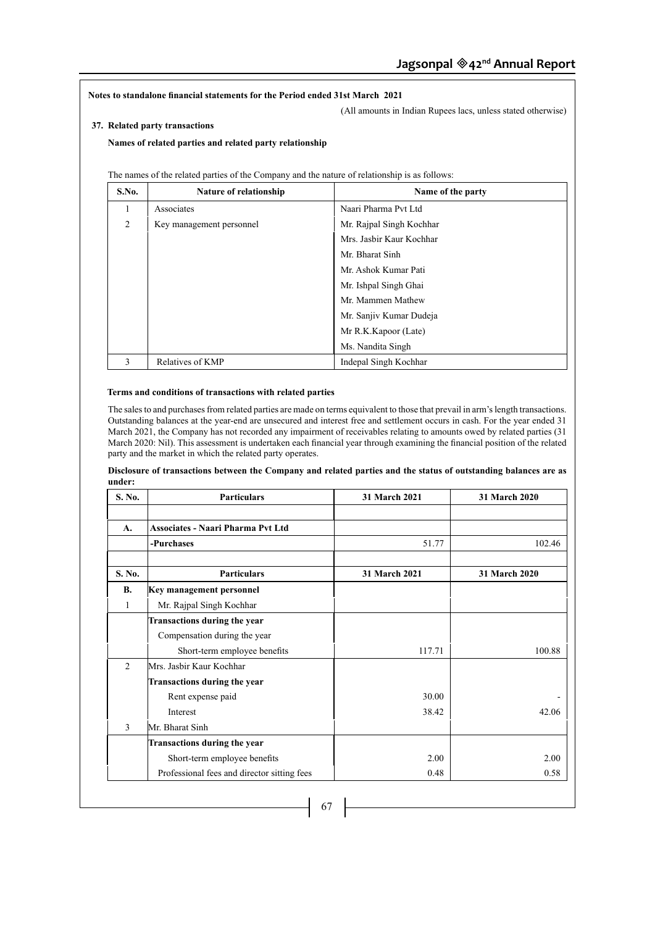**Notes to standalone financial statements for the Period ended 31st March 2021**

(All amounts in Indian Rupees lacs, unless stated otherwise)

# **37. Related party transactions**

**Names of related parties and related party relationship**

| S.No.          | <b>Nature of relationship</b> | Name of the party        |
|----------------|-------------------------------|--------------------------|
| 1              | Associates                    | Naari Pharma Pvt Ltd     |
| $\overline{c}$ | Key management personnel      | Mr. Rajpal Singh Kochhar |
|                |                               | Mrs. Jashir Kaur Kochhar |
|                |                               | Mr. Bharat Sinh          |
|                |                               | Mr. Ashok Kumar Pati     |
|                |                               | Mr. Ishpal Singh Ghai    |
|                |                               | Mr. Mammen Mathew        |
|                |                               | Mr. Sanjiv Kumar Dudeja  |
|                |                               | Mr R.K.Kapoor (Late)     |
|                |                               | Ms. Nandita Singh        |
| $\mathcal{E}$  | Relatives of KMP              | Indepal Singh Kochhar    |

# **Terms and conditions of transactions with related parties**

The sales to and purchases from related parties are made on terms equivalent to those that prevail in arm's length transactions. Outstanding balances at the year-end are unsecured and interest free and settlement occurs in cash. For the year ended 31 March 2021, the Company has not recorded any impairment of receivables relating to amounts owed by related parties (31 March 2020: Nil). This assessment is undertaken each financial year through examining the financial position of the related party and the market in which the related party operates.

| S. No.         | <b>Particulars</b>                          | 31 March 2021 | 31 March 2020 |
|----------------|---------------------------------------------|---------------|---------------|
|                |                                             |               |               |
| A.             | <b>Associates - Naari Pharma Pvt Ltd</b>    |               |               |
|                | -Purchases                                  | 51.77         | 102.46        |
| S. No.         | <b>Particulars</b>                          | 31 March 2021 | 31 March 2020 |
| <b>B.</b>      | Key management personnel                    |               |               |
| 1              | Mr. Rajpal Singh Kochhar                    |               |               |
|                | <b>Transactions during the year</b>         |               |               |
|                | Compensation during the year                |               |               |
|                | Short-term employee benefits                | 117.71        | 100.88        |
| $\overline{2}$ | Mrs. Jasbir Kaur Kochhar                    |               |               |
|                | Transactions during the year                |               |               |
|                | Rent expense paid                           | 30.00         |               |
|                | Interest                                    | 38.42         | 42.06         |
| 3              | Mr. Bharat Sinh                             |               |               |
|                | <b>Transactions during the year</b>         |               |               |
|                | Short-term employee benefits                | 2.00          | 2.00          |
|                | Professional fees and director sitting fees | 0.48          | 0.58          |

**Disclosure of transactions between the Company and related parties and the status of outstanding balances are as under:**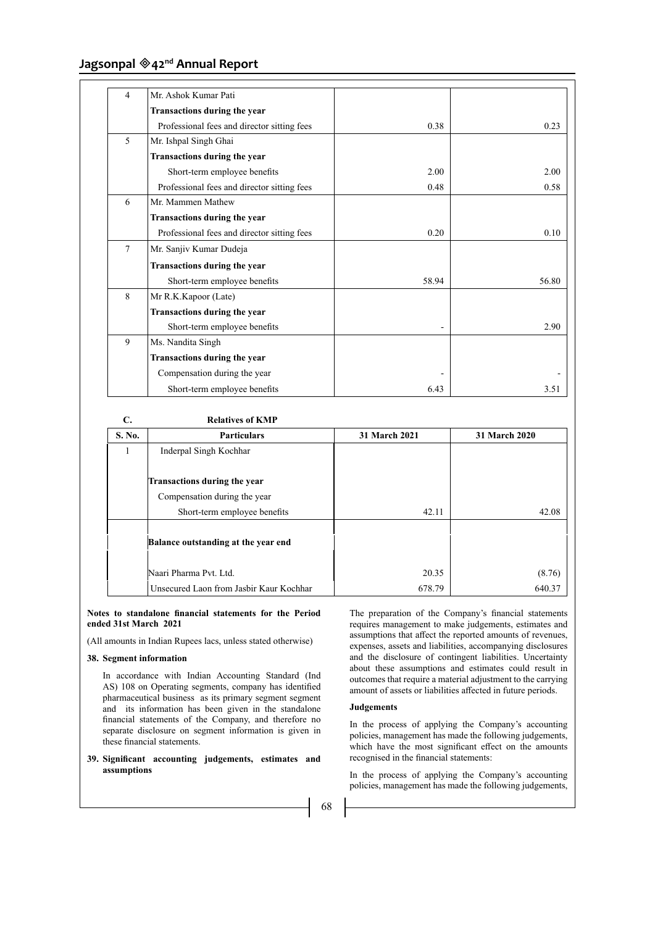| $\overline{4}$ | Mr. Ashok Kumar Pati                        |       |       |
|----------------|---------------------------------------------|-------|-------|
|                | Transactions during the year                |       |       |
|                | Professional fees and director sitting fees | 0.38  | 0.23  |
| 5              | Mr. Ishpal Singh Ghai                       |       |       |
|                | Transactions during the year                |       |       |
|                | Short-term employee benefits                | 2.00  | 2.00  |
|                | Professional fees and director sitting fees | 0.48  | 0.58  |
| 6              | Mr. Mammen Mathew                           |       |       |
|                | Transactions during the year                |       |       |
|                | Professional fees and director sitting fees | 0.20  | 0.10  |
| 7              | Mr. Sanjiv Kumar Dudeja                     |       |       |
|                | Transactions during the year                |       |       |
|                | Short-term employee benefits                | 58.94 | 56.80 |
| 8              | Mr R.K.Kapoor (Late)                        |       |       |
|                | Transactions during the year                |       |       |
|                | Short-term employee benefits                |       | 2.90  |
| 9              | Ms. Nandita Singh                           |       |       |
|                | Transactions during the year                |       |       |
|                | Compensation during the year                |       |       |
|                | Short-term employee benefits                | 6.43  | 3.51  |

| C.     | <b>Relatives of KMP</b>                 |               |               |
|--------|-----------------------------------------|---------------|---------------|
| S. No. | <b>Particulars</b>                      | 31 March 2021 | 31 March 2020 |
| 1      | Inderpal Singh Kochhar                  |               |               |
|        |                                         |               |               |
|        | <b>Transactions during the year</b>     |               |               |
|        | Compensation during the year            |               |               |
|        | Short-term employee benefits            | 42.11         | 42.08         |
|        |                                         |               |               |
|        | Balance outstanding at the year end     |               |               |
|        |                                         |               |               |
|        | Naari Pharma Pvt. Ltd.                  | 20.35         | (8.76)        |
|        | Unsecured Laon from Jashir Kaur Kochhar | 678.79        | 640.37        |

### **Notes to standalone financial statements for the Period ended 31st March 2021**

(All amounts in Indian Rupees lacs, unless stated otherwise)

# **38. Segment information**

In accordance with Indian Accounting Standard (Ind AS) 108 on Operating segments, company has identified pharmaceutical business as its primary segment segment and its information has been given in the standalone financial statements of the Company, and therefore no separate disclosure on segment information is given in these financial statements.

**39. Significant accounting judgements, estimates and assumptions**

The preparation of the Company's financial statements requires management to make judgements, estimates and assumptions that affect the reported amounts of revenues, expenses, assets and liabilities, accompanying disclosures and the disclosure of contingent liabilities. Uncertainty about these assumptions and estimates could result in outcomes that require a material adjustment to the carrying amount of assets or liabilities affected in future periods.

# **Judgements**

In the process of applying the Company's accounting policies, management has made the following judgements, which have the most significant effect on the amounts recognised in the financial statements:

In the process of applying the Company's accounting policies, management has made the following judgements,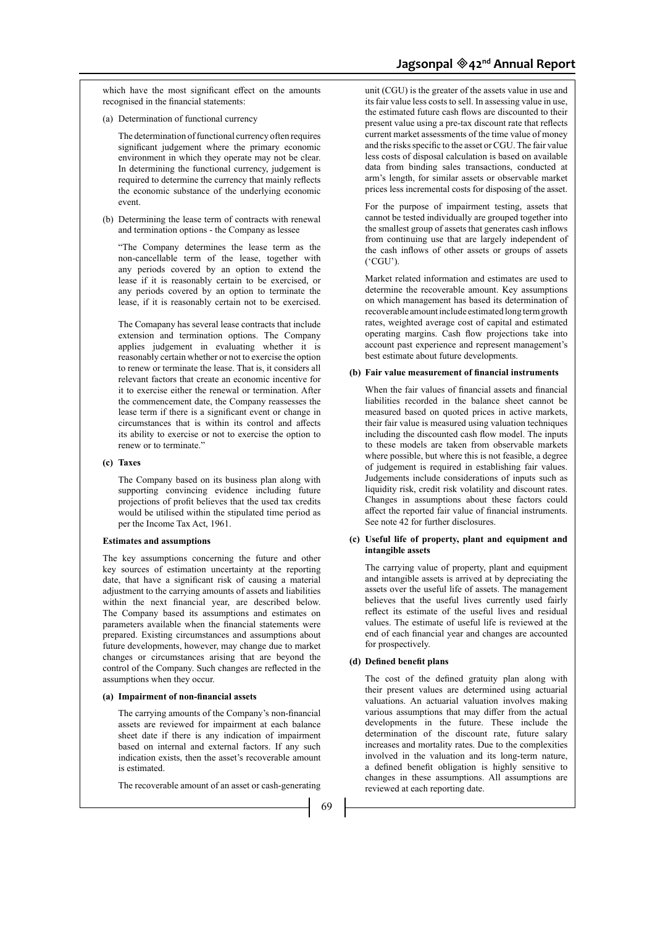(a) Determination of functional currency

The determination of functional currency often requires significant judgement where the primary economic environment in which they operate may not be clear. In determining the functional currency, judgement is required to determine the currency that mainly reflects the economic substance of the underlying economic event.

(b) Determining the lease term of contracts with renewal and termination options - the Company as lessee

"The Company determines the lease term as the non-cancellable term of the lease, together with any periods covered by an option to extend the lease if it is reasonably certain to be exercised, or any periods covered by an option to terminate the lease, if it is reasonably certain not to be exercised.

The Comapany has several lease contracts that include extension and termination options. The Company applies judgement in evaluating whether it is reasonably certain whether or not to exercise the option to renew or terminate the lease. That is, it considers all relevant factors that create an economic incentive for it to exercise either the renewal or termination. After the commencement date, the Company reassesses the lease term if there is a significant event or change in circumstances that is within its control and affects its ability to exercise or not to exercise the option to renew or to terminate."

### **(c) Taxes**

 The Company based on its business plan along with supporting convincing evidence including future projections of profit believes that the used tax credits would be utilised within the stipulated time period as per the Income Tax Act, 1961.

#### **Estimates and assumptions**

The key assumptions concerning the future and other key sources of estimation uncertainty at the reporting date, that have a significant risk of causing a material adjustment to the carrying amounts of assets and liabilities within the next financial year, are described below. The Company based its assumptions and estimates on parameters available when the financial statements were prepared. Existing circumstances and assumptions about future developments, however, may change due to market changes or circumstances arising that are beyond the control of the Company. Such changes are reflected in the assumptions when they occur.

### **(a) Impairment of non-financial assets**

The carrying amounts of the Company's non-financial assets are reviewed for impairment at each balance sheet date if there is any indication of impairment based on internal and external factors. If any such indication exists, then the asset's recoverable amount is estimated.

The recoverable amount of an asset or cash-generating

unit (CGU) is the greater of the assets value in use and its fair value less costs to sell. In assessing value in use, the estimated future cash flows are discounted to their present value using a pre-tax discount rate that reflects current market assessments of the time value of money and the risks specific to the asset or CGU. The fair value less costs of disposal calculation is based on available data from binding sales transactions, conducted at arm's length, for similar assets or observable market prices less incremental costs for disposing of the asset.

 For the purpose of impairment testing, assets that cannot be tested individually are grouped together into the smallest group of assets that generates cash inflows from continuing use that are largely independent of the cash inflows of other assets or groups of assets ('CGU').

 Market related information and estimates are used to determine the recoverable amount. Key assumptions on which management has based its determination of recoverable amount include estimated long term growth rates, weighted average cost of capital and estimated operating margins. Cash flow projections take into account past experience and represent management's best estimate about future developments.

#### **(b) Fair value measurement of financial instruments**

When the fair values of financial assets and financial liabilities recorded in the balance sheet cannot be measured based on quoted prices in active markets, their fair value is measured using valuation techniques including the discounted cash flow model. The inputs to these models are taken from observable markets where possible, but where this is not feasible, a degree of judgement is required in establishing fair values. Judgements include considerations of inputs such as liquidity risk, credit risk volatility and discount rates. Changes in assumptions about these factors could affect the reported fair value of financial instruments. See note 42 for further disclosures.

#### **(c) Useful life of property, plant and equipment and intangible assets**

The carrying value of property, plant and equipment and intangible assets is arrived at by depreciating the assets over the useful life of assets. The management believes that the useful lives currently used fairly reflect its estimate of the useful lives and residual values. The estimate of useful life is reviewed at the end of each financial year and changes are accounted for prospectively.

#### **(d) Defined benefit plans**

The cost of the defined gratuity plan along with their present values are determined using actuarial valuations. An actuarial valuation involves making various assumptions that may differ from the actual developments in the future. These include the determination of the discount rate, future salary increases and mortality rates. Due to the complexities involved in the valuation and its long-term nature, a defined benefit obligation is highly sensitive to changes in these assumptions. All assumptions are reviewed at each reporting date.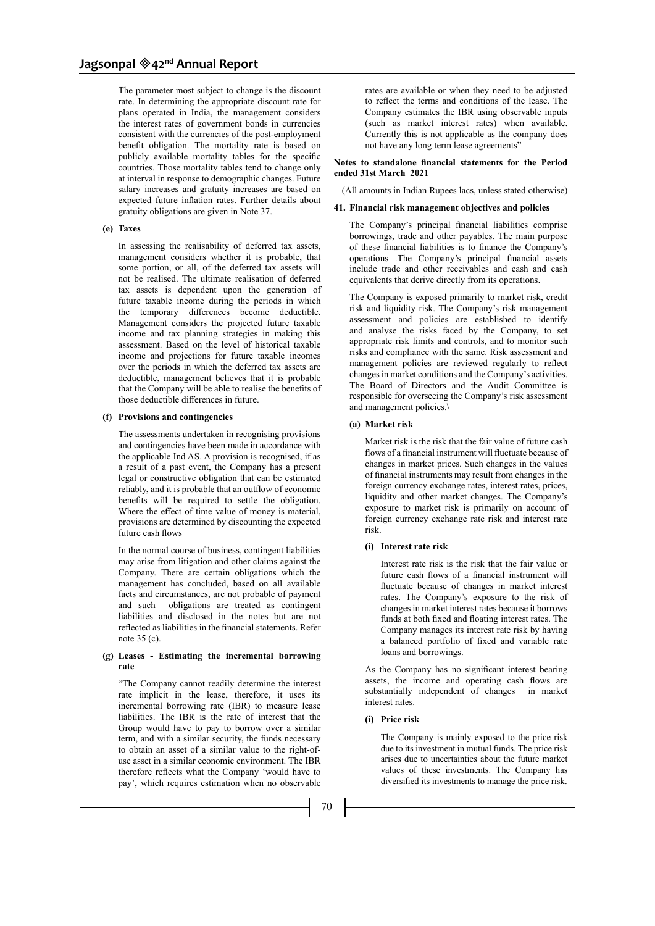The parameter most subject to change is the discount rate. In determining the appropriate discount rate for plans operated in India, the management considers the interest rates of government bonds in currencies consistent with the currencies of the post-employment benefit obligation. The mortality rate is based on publicly available mortality tables for the specific countries. Those mortality tables tend to change only at interval in response to demographic changes. Future salary increases and gratuity increases are based on expected future inflation rates. Further details about gratuity obligations are given in Note 37.

# **(e) Taxes**

In assessing the realisability of deferred tax assets, management considers whether it is probable, that some portion, or all, of the deferred tax assets will not be realised. The ultimate realisation of deferred tax assets is dependent upon the generation of future taxable income during the periods in which the temporary differences become deductible. Management considers the projected future taxable income and tax planning strategies in making this assessment. Based on the level of historical taxable income and projections for future taxable incomes over the periods in which the deferred tax assets are deductible, management believes that it is probable that the Company will be able to realise the benefits of those deductible differences in future.

# **(f) Provisions and contingencies**

The assessments undertaken in recognising provisions and contingencies have been made in accordance with the applicable Ind AS. A provision is recognised, if as a result of a past event, the Company has a present legal or constructive obligation that can be estimated reliably, and it is probable that an outflow of economic benefits will be required to settle the obligation. Where the effect of time value of money is material, provisions are determined by discounting the expected future cash flows

 In the normal course of business, contingent liabilities may arise from litigation and other claims against the Company. There are certain obligations which the management has concluded, based on all available facts and circumstances, are not probable of payment and such obligations are treated as contingent liabilities and disclosed in the notes but are not reflected as liabilities in the financial statements. Refer note 35 (c).

### **(g) Leases - Estimating the incremental borrowing rate**

"The Company cannot readily determine the interest rate implicit in the lease, therefore, it uses its incremental borrowing rate (IBR) to measure lease liabilities. The IBR is the rate of interest that the Group would have to pay to borrow over a similar term, and with a similar security, the funds necessary to obtain an asset of a similar value to the right-ofuse asset in a similar economic environment. The IBR therefore reflects what the Company 'would have to pay', which requires estimation when no observable

rates are available or when they need to be adjusted to reflect the terms and conditions of the lease. The Company estimates the IBR using observable inputs (such as market interest rates) when available. Currently this is not applicable as the company does not have any long term lease agreements"

## **Notes to standalone financial statements for the Period ended 31st March 2021**

(All amounts in Indian Rupees lacs, unless stated otherwise)

#### **41. Financial risk management objectives and policies**

The Company's principal financial liabilities comprise borrowings, trade and other payables. The main purpose of these financial liabilities is to finance the Company's operations .The Company's principal financial assets include trade and other receivables and cash and cash equivalents that derive directly from its operations.

The Company is exposed primarily to market risk, credit risk and liquidity risk. The Company's risk management assessment and policies are established to identify and analyse the risks faced by the Company, to set appropriate risk limits and controls, and to monitor such risks and compliance with the same. Risk assessment and management policies are reviewed regularly to reflect changes in market conditions and the Company's activities. The Board of Directors and the Audit Committee is responsible for overseeing the Company's risk assessment and management policies.\

### **(a) Market risk**

Market risk is the risk that the fair value of future cash flows of a financial instrument will fluctuate because of changes in market prices. Such changes in the values of financial instruments may result from changes in the foreign currency exchange rates, interest rates, prices, liquidity and other market changes. The Company's exposure to market risk is primarily on account of foreign currency exchange rate risk and interest rate risk.

### **(i) Interest rate risk**

 Interest rate risk is the risk that the fair value or future cash flows of a financial instrument will fluctuate because of changes in market interest rates. The Company's exposure to the risk of changes in market interest rates because it borrows funds at both fixed and floating interest rates. The Company manages its interest rate risk by having a balanced portfolio of fixed and variable rate loans and borrowings.

As the Company has no significant interest bearing assets, the income and operating cash flows are substantially independent of changes in market interest rates.

### **(i) Price risk**

 The Company is mainly exposed to the price risk due to its investment in mutual funds. The price risk arises due to uncertainties about the future market values of these investments. The Company has diversified its investments to manage the price risk.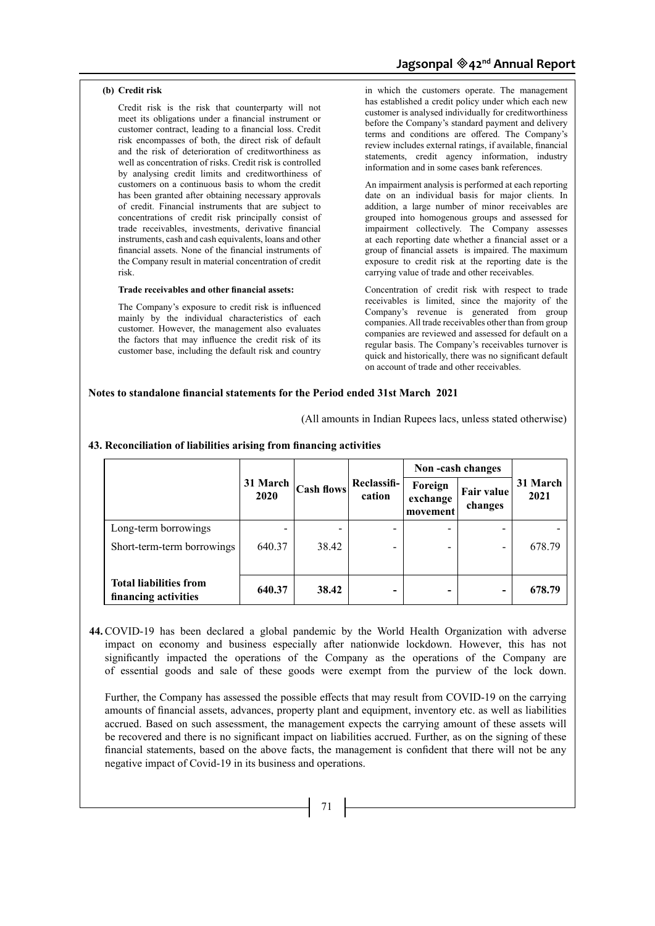# **(b) Credit risk**

 Credit risk is the risk that counterparty will not meet its obligations under a financial instrument or customer contract, leading to a financial loss. Credit risk encompasses of both, the direct risk of default and the risk of deterioration of creditworthiness as well as concentration of risks. Credit risk is controlled by analysing credit limits and creditworthiness of customers on a continuous basis to whom the credit has been granted after obtaining necessary approvals of credit. Financial instruments that are subject to concentrations of credit risk principally consist of trade receivables, investments, derivative financial instruments, cash and cash equivalents, loans and other financial assets. None of the financial instruments of the Company result in material concentration of credit risk.

### **Trade receivables and other financial assets:**

The Company's exposure to credit risk is influenced mainly by the individual characteristics of each customer. However, the management also evaluates the factors that may influence the credit risk of its customer base, including the default risk and country

in which the customers operate. The management has established a credit policy under which each new customer is analysed individually for creditworthiness before the Company's standard payment and delivery terms and conditions are offered. The Company's review includes external ratings, if available, financial statements, credit agency information, industry information and in some cases bank references.

 An impairment analysis is performed at each reporting date on an individual basis for major clients. In addition, a large number of minor receivables are grouped into homogenous groups and assessed for impairment collectively. The Company assesses at each reporting date whether a financial asset or a group of financial assets is impaired. The maximum exposure to credit risk at the reporting date is the carrying value of trade and other receivables.

 Concentration of credit risk with respect to trade receivables is limited, since the majority of the Company's revenue is generated from group companies. All trade receivables other than from group companies are reviewed and assessed for default on a regular basis. The Company's receivables turnover is quick and historically, there was no significant default on account of trade and other receivables.

# **Notes to standalone financial statements for the Period ended 31st March 2021**

(All amounts in Indian Rupees lacs, unless stated otherwise)

|                                                       |          | Cash flows <br>2020 | Reclassifi-<br>cation    | Non-cash changes                |                          |                  |
|-------------------------------------------------------|----------|---------------------|--------------------------|---------------------------------|--------------------------|------------------|
|                                                       | 31 March |                     |                          | Foreign<br>exchange<br>movement | Fair value<br>changes    | 31 March<br>2021 |
| Long-term borrowings                                  |          |                     |                          |                                 |                          |                  |
| Short-term-term borrowings                            | 640.37   | 38.42               |                          |                                 | $\overline{\phantom{a}}$ | 678.79           |
| <b>Total liabilities from</b><br>financing activities | 640.37   | 38.42               | $\overline{\phantom{0}}$ |                                 | $\overline{\phantom{0}}$ | 678.79           |

# **43. Reconciliation of liabilities arising from financing activities**

**44.** COVID-19 has been declared a global pandemic by the World Health Organization with adverse impact on economy and business especially after nationwide lockdown. However, this has not significantly impacted the operations of the Company as the operations of the Company are of essential goods and sale of these goods were exempt from the purview of the lock down.

Further, the Company has assessed the possible effects that may result from COVID-19 on the carrying amounts of financial assets, advances, property plant and equipment, inventory etc. as well as liabilities accrued. Based on such assessment, the management expects the carrying amount of these assets will be recovered and there is no significant impact on liabilities accrued. Further, as on the signing of these financial statements, based on the above facts, the management is confident that there will not be any negative impact of Covid-19 in its business and operations.

 $-$  71  $\vert$